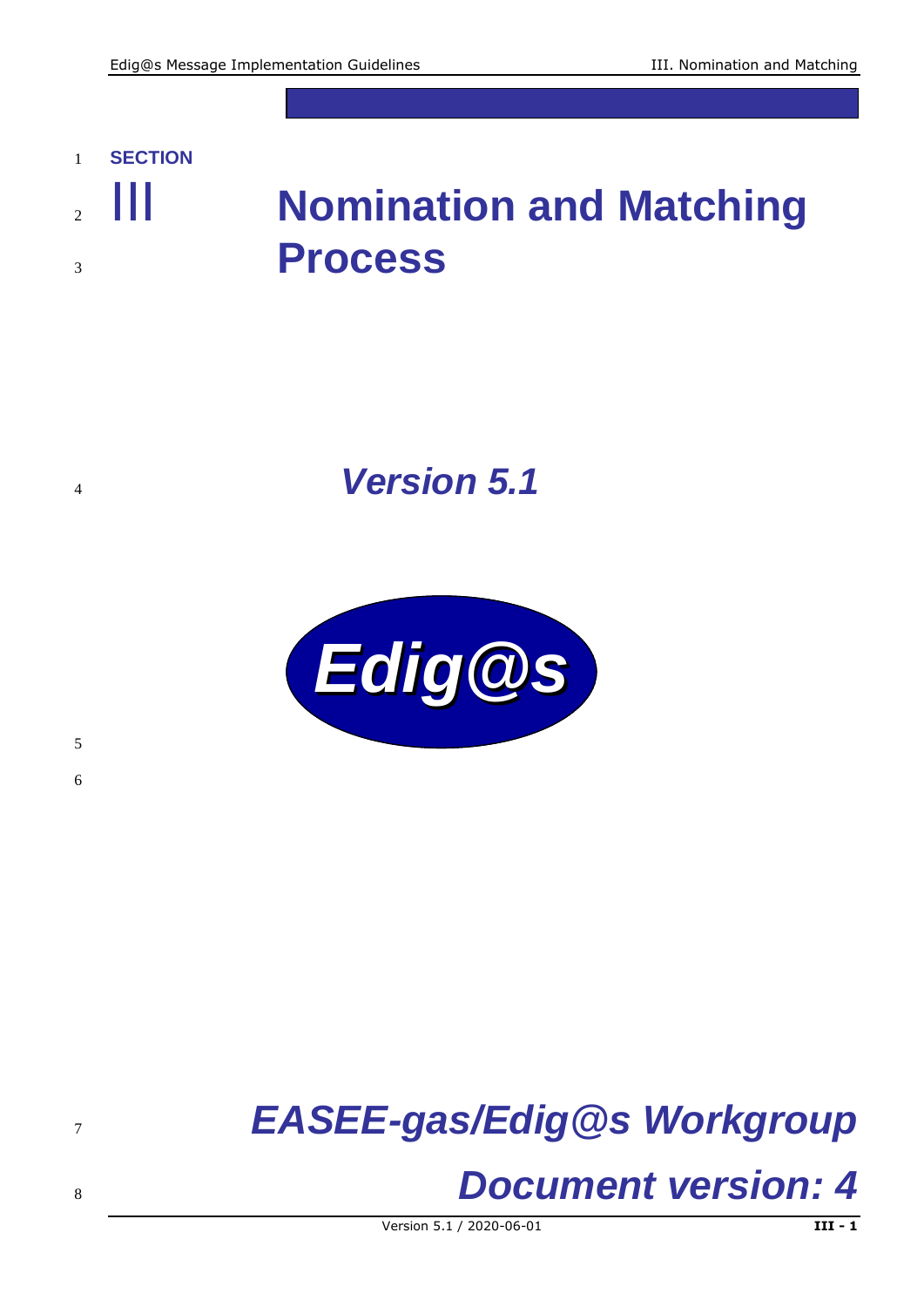### **SECTION**

## III **Nomination and Matching Process**

## *Version 5.1*



# *EASEE-gas/Edig@s Workgroup*

## *Document version: 4*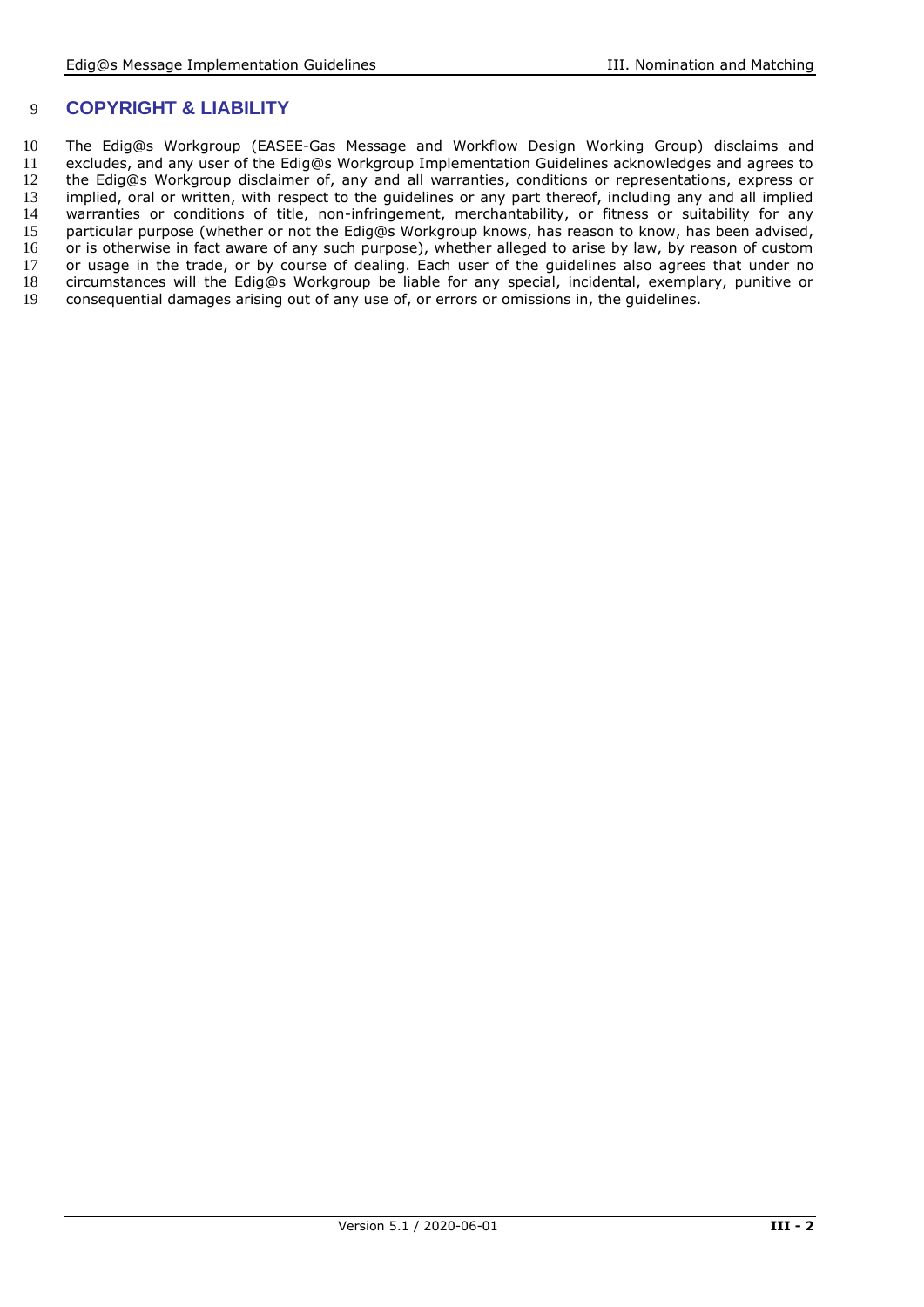#### 9 **COPYRIGHT & LIABILITY**

10 The Edig@s Workgroup (EASEE-Gas Message and Workflow Design Working Group) disclaims and 11 excludes, and any user of the Edig@s Workgroup Implementation Guidelines acknowledges and agrees to<br>12 the Edig@s Workgroup disclaimer of, any and all warranties, conditions or representations, express or 12 the Edig@s Workgroup disclaimer of, any and all warranties, conditions or representations, express or<br>13 implied, oral or written, with respect to the quidelines or any part thereof, including any and all implied 13 implied, oral or written, with respect to the guidelines or any part thereof, including any and all implied<br>14 warranties or conditions of title, non-infringement, merchantability, or fitness or suitability for any 14 warranties or conditions of title, non-infringement, merchantability, or fitness or suitability for any<br>15 particular purpose (whether or not the Ediq@s Workgroup knows, has reason to know, has been advised, 15 particular purpose (whether or not the Edig@s Workgroup knows, has reason to know, has been advised, 16 or i<br>16 or is otherwise in fact aware of any such purpose), whether alleged to arise by law, by reason of custom 16 or is otherwise in fact aware of any such purpose), whether alleged to arise by law, by reason of custom<br>17 or usage in the trade, or by course of dealing. Each user of the quidelines also agrees that under no 17 or usage in the trade, or by course of dealing. Each user of the guidelines also agrees that under no 18 circumstances will the Edig@s Workgroup be liable for any special, incidental, exemplary, punitive or 18 circumstances will the Edig@s Workgroup be liable for any special, incidental, exemplary, punitive or 19 consequential damages arising out of any use of, or errors or omissions in, the quidelines. consequential damages arising out of any use of, or errors or omissions in, the quidelines.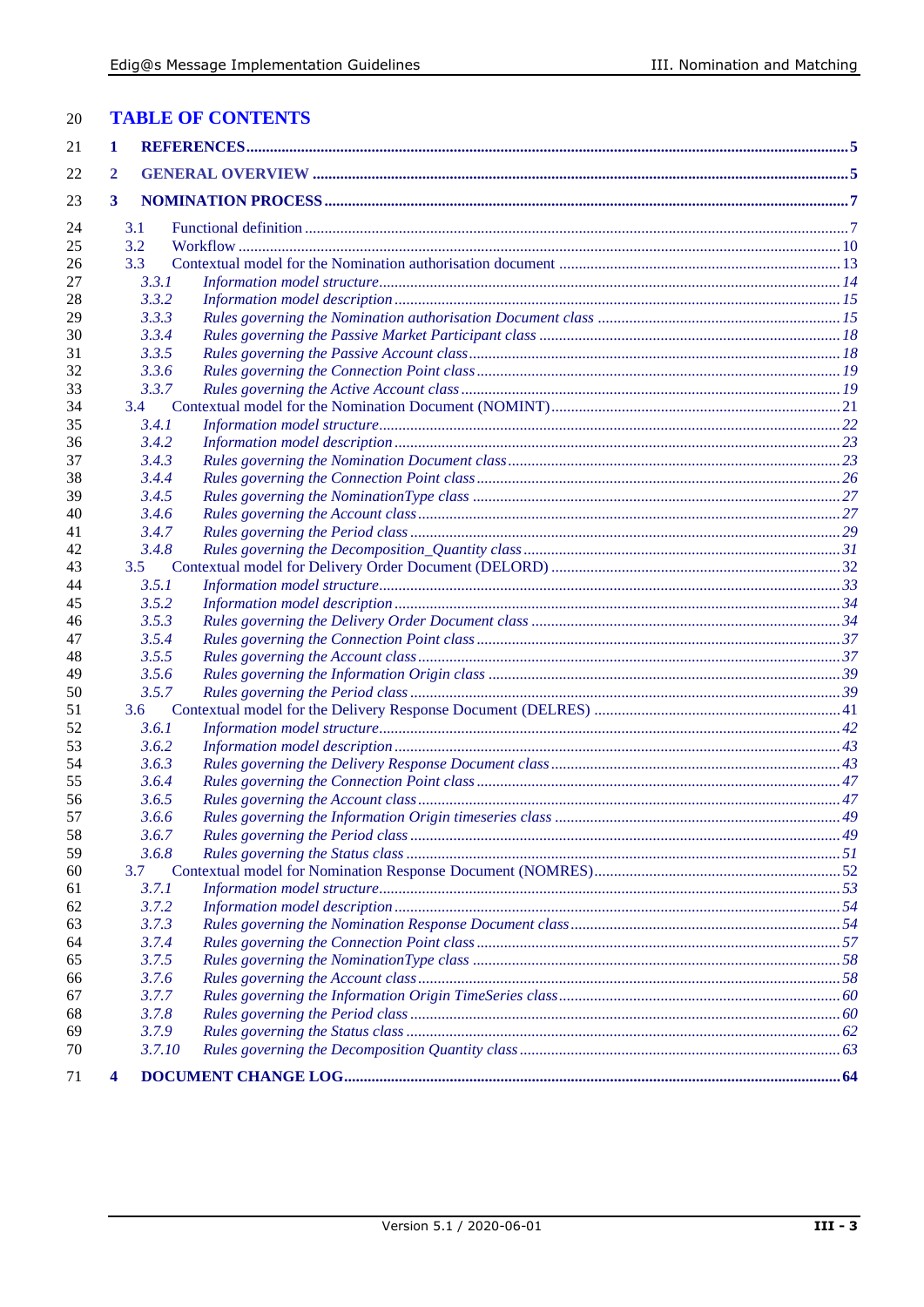| <b>TABLE OF CONTENTS</b><br>20 |
|--------------------------------|
|--------------------------------|

| 21       | 1            |                |  |
|----------|--------------|----------------|--|
| 22       | $\mathbf{2}$ |                |  |
| 23       | 3            |                |  |
| 24       |              | 3.1            |  |
| 25       |              | 3.2            |  |
| 26       |              | 3.3            |  |
| 27       |              | 3.3.1          |  |
| 28       |              | 3.3.2          |  |
| 29       |              | 3.3.3          |  |
| 30       |              | 3.3.4          |  |
| 31       |              | 3.3.5          |  |
| 32       |              | 3.3.6          |  |
| 33       |              | 3.3.7          |  |
| 34       |              | 3.4            |  |
| 35       |              | 3.4.1          |  |
| 36       |              | 3.4.2          |  |
| 37       |              | 3.4.3          |  |
| 38       |              | 3.4.4          |  |
| 39       |              | 3.4.5          |  |
| 40       |              | 3.4.6          |  |
| 41       |              | 3.4.7          |  |
| 42       |              | 3.4.8          |  |
| 43       |              | 3.5            |  |
| 44       |              | 3.5.1          |  |
| 45       |              | 3.5.2          |  |
| 46       |              | 3.5.3          |  |
| 47       |              | 3.5.4          |  |
| 48       |              | 3.5.5          |  |
| 49       |              | 3.5.6          |  |
| 50       |              | 3.5.7          |  |
| 51       |              | 3.6            |  |
| 52       |              | 3.6.1          |  |
| 53       |              | 3.6.2          |  |
| 54       |              | 3.6.3          |  |
| 55       |              | 3.6.4          |  |
| 56       |              | 3.6.5          |  |
| 57       |              | 3.6.6          |  |
| 58       |              | 3.6.7          |  |
| 59       |              | 3.6.8          |  |
| 60       |              | 3.7            |  |
| 61       |              | 3.7.1          |  |
| 62       |              | 3.7.2          |  |
| 63       |              | 3.7.3          |  |
| 64       |              | 3.7.4          |  |
| 65       |              | 3.7.5<br>3.7.6 |  |
| 66<br>67 |              | 3.7.7          |  |
|          |              | 3.7.8          |  |
| 68<br>69 |              | 3.7.9          |  |
| 70       |              | 3.7.10         |  |
|          |              |                |  |
| 71       | 4            |                |  |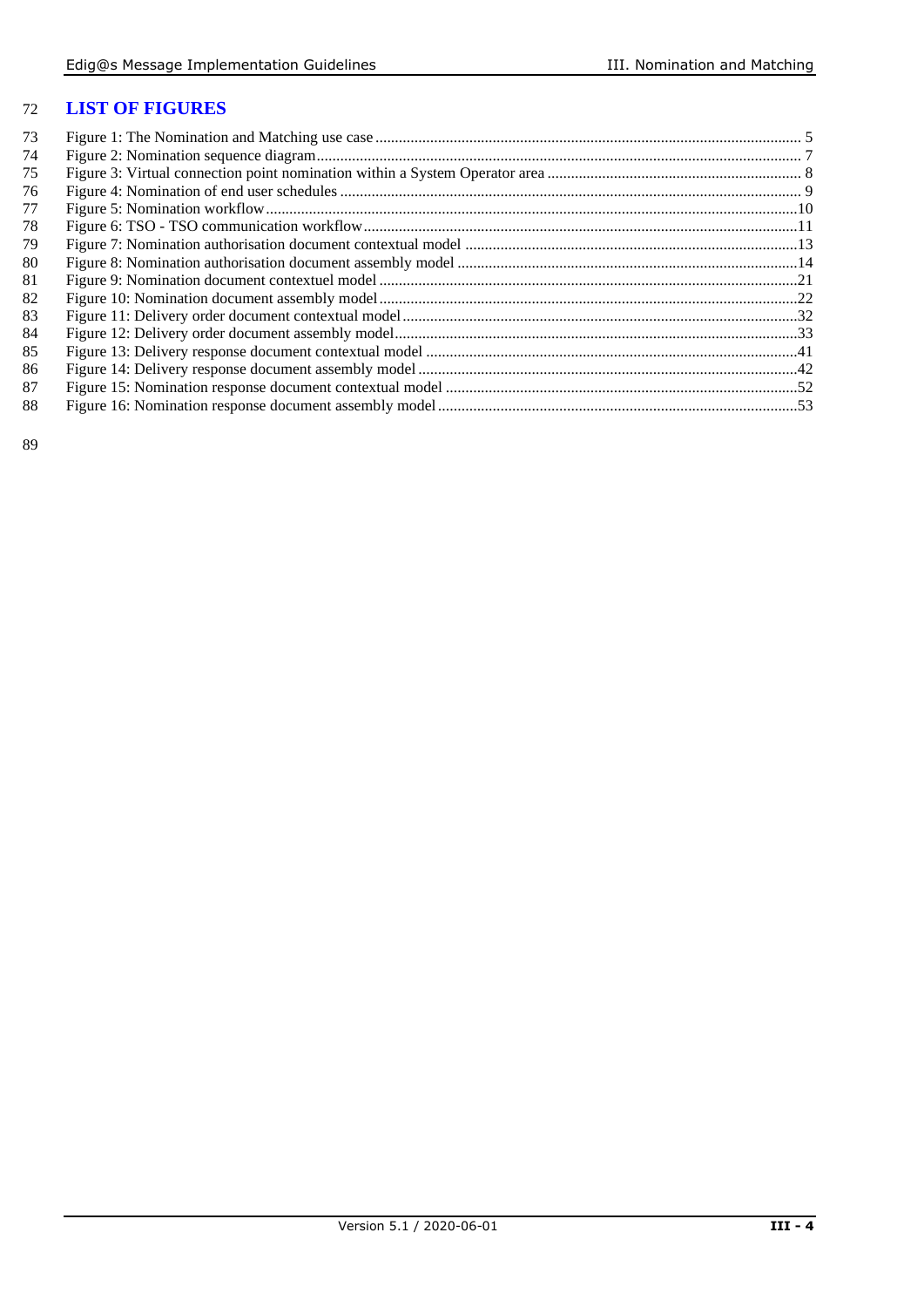#### **LIST OF FIGURES**

| 73 |  |
|----|--|
| 74 |  |
| 75 |  |
| 76 |  |
| 77 |  |
| 78 |  |
| 79 |  |
| 80 |  |
| 81 |  |
| 82 |  |
| 83 |  |
| 84 |  |
| 85 |  |
| 86 |  |
| 87 |  |
| 88 |  |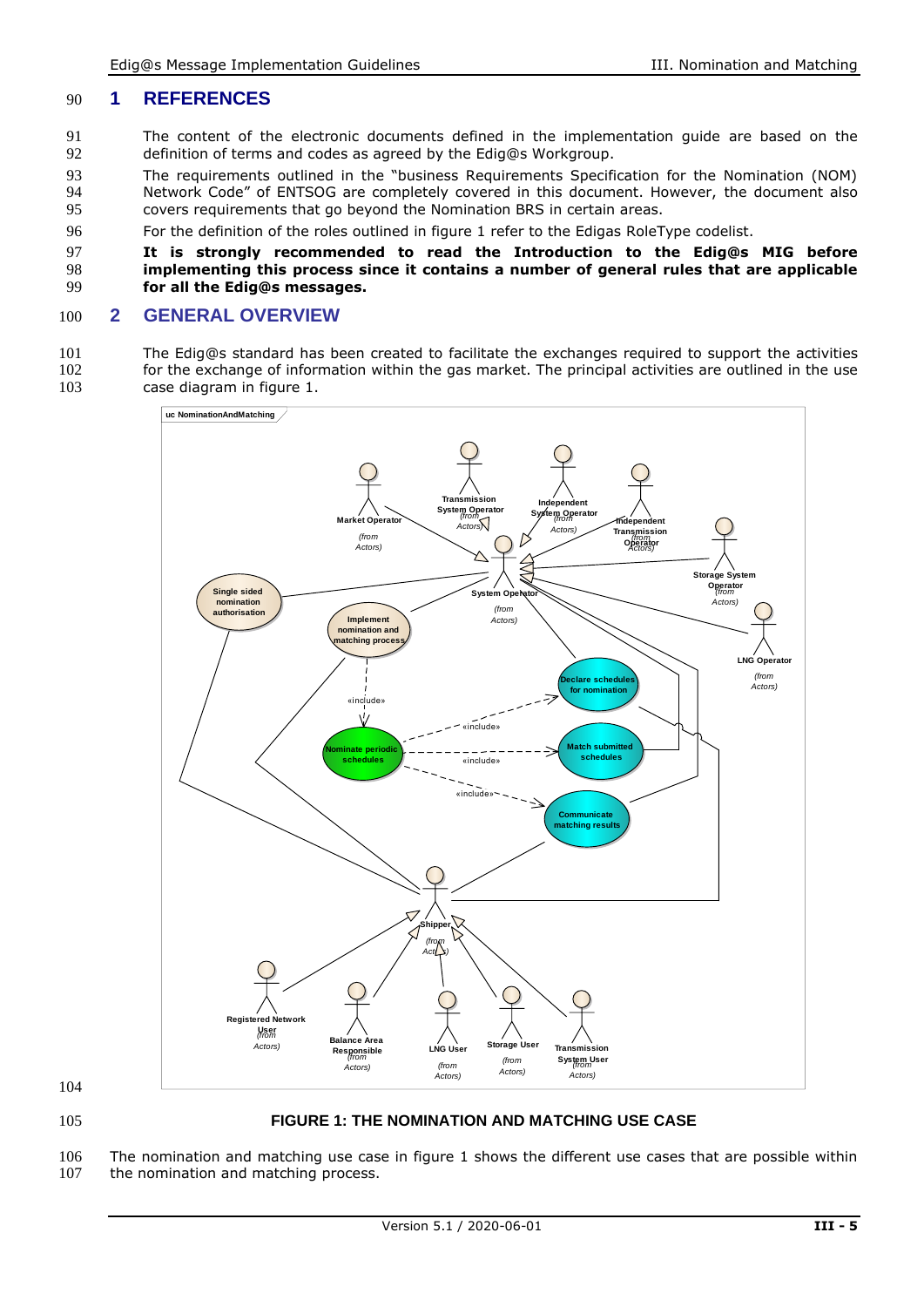#### 90 **1 REFERENCES**

- 91 The content of the electronic documents defined in the implementation guide are based on the 92 definition of terms and codes as agreed by the Edig@s Workgroup.
- 93 The requirements outlined in the "business Requirements Specification for the Nomination (NOM) 94 Network Code" of ENTSOG are completely covered in this document. However, the document also<br>95 covers requirements that go bevond the Nomination BRS in certain areas. 95 covers requirements that go beyond the Nomination BRS in certain areas.
- 96 For the definition of the roles outlined in figure 1 refer to the Edigas RoleType codelist.

#### 97 **It is strongly recommended to read the Introduction to the Edig@s MIG before**  98 **implementing this process since it contains a number of general rules that are applicable**  99 **for all the Edig@s messages.**

#### 100 **2 GENERAL OVERVIEW**

101 The Edig@s standard has been created to facilitate the exchanges required to support the activities 102 for the exchange of information within the gas market. The principal activities are outlined in the use for the exchange of information within the gas market. The principal activities are outlined in the use 103 case diagram in figure 1.



104

#### <span id="page-4-0"></span>105 **FIGURE 1: THE NOMINATION AND MATCHING USE CASE**

106 The nomination and matching use case in figure 1 shows the different use cases that are possible within 107 the nomination and matching process.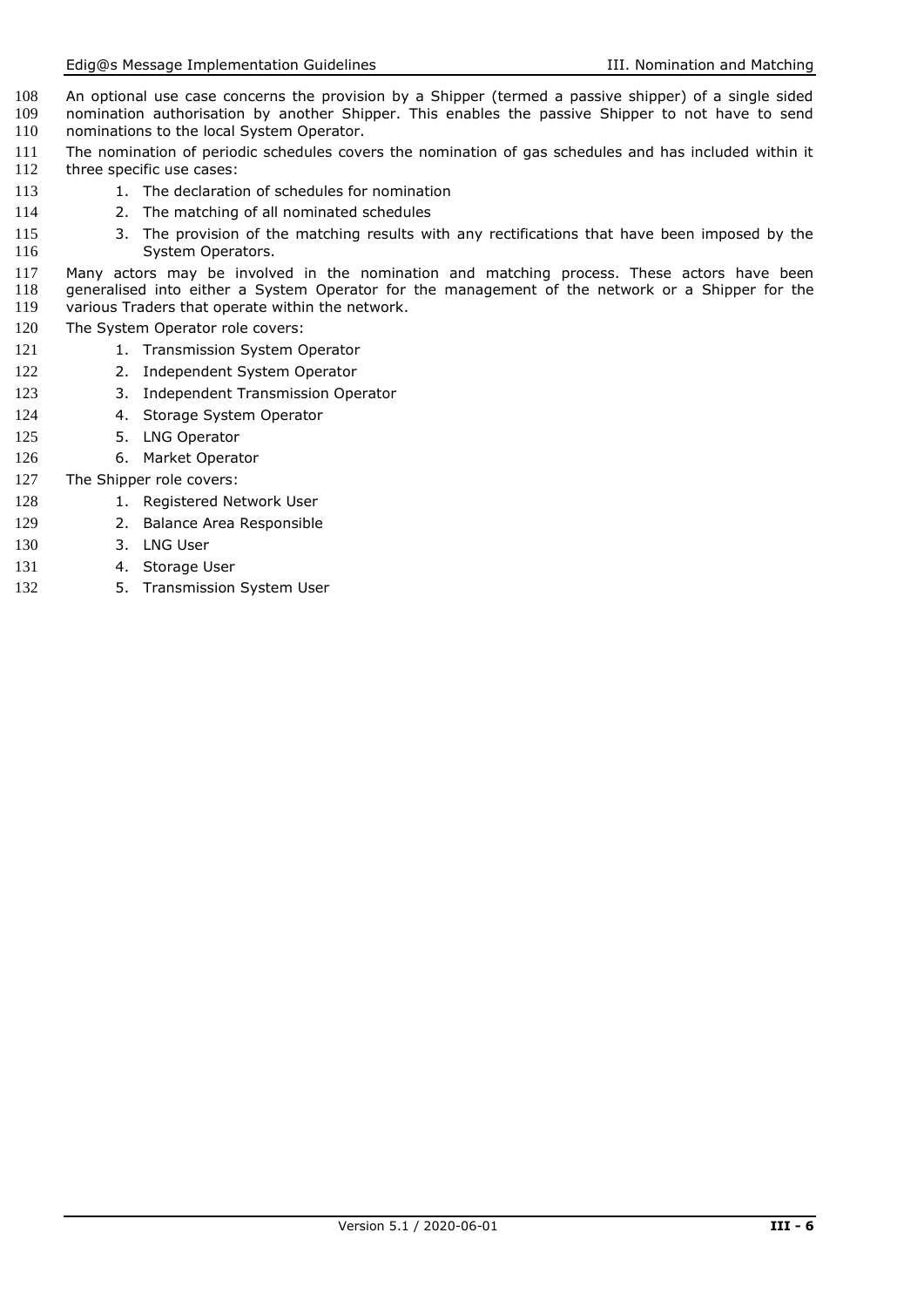- 108 An optional use case concerns the provision by a Shipper (termed a passive shipper) of a single sided 109 nomination authorisation by another Shipper. This enables the passive Shipper to not have to send 109 nomination authorisation by another Shipper. This enables the passive Shipper to not have to send<br>110 nominations to the local System Operator. nominations to the local System Operator.
- 111 The nomination of periodic schedules covers the nomination of gas schedules and has included within it 112 three specific use cases: three specific use cases:
- 113 1. The declaration of schedules for nomination
- 114 2. The matching of all nominated schedules
- 115 3. The provision of the matching results with any rectifications that have been imposed by the System Operators. System Operators.
- 117 Many actors may be involved in the nomination and matching process. These actors have been 118 generalised into either a System Operator for the management of the network or a Shipper for the 119 various Traders that operate within the network. various Traders that operate within the network.
- 120 The System Operator role covers:
- 121 1. Transmission System Operator
- 122 2. Independent System Operator
- 123 3. Independent Transmission Operator
- 124 4. Storage System Operator
- 125 5. LNG Operator
- 126 6. Market Operator
- 127 The Shipper role covers:
- 128 1. Registered Network User
- 129 2. Balance Area Responsible
- 130 3. LNG User
- 131 4. Storage User
- 132 5. Transmission System User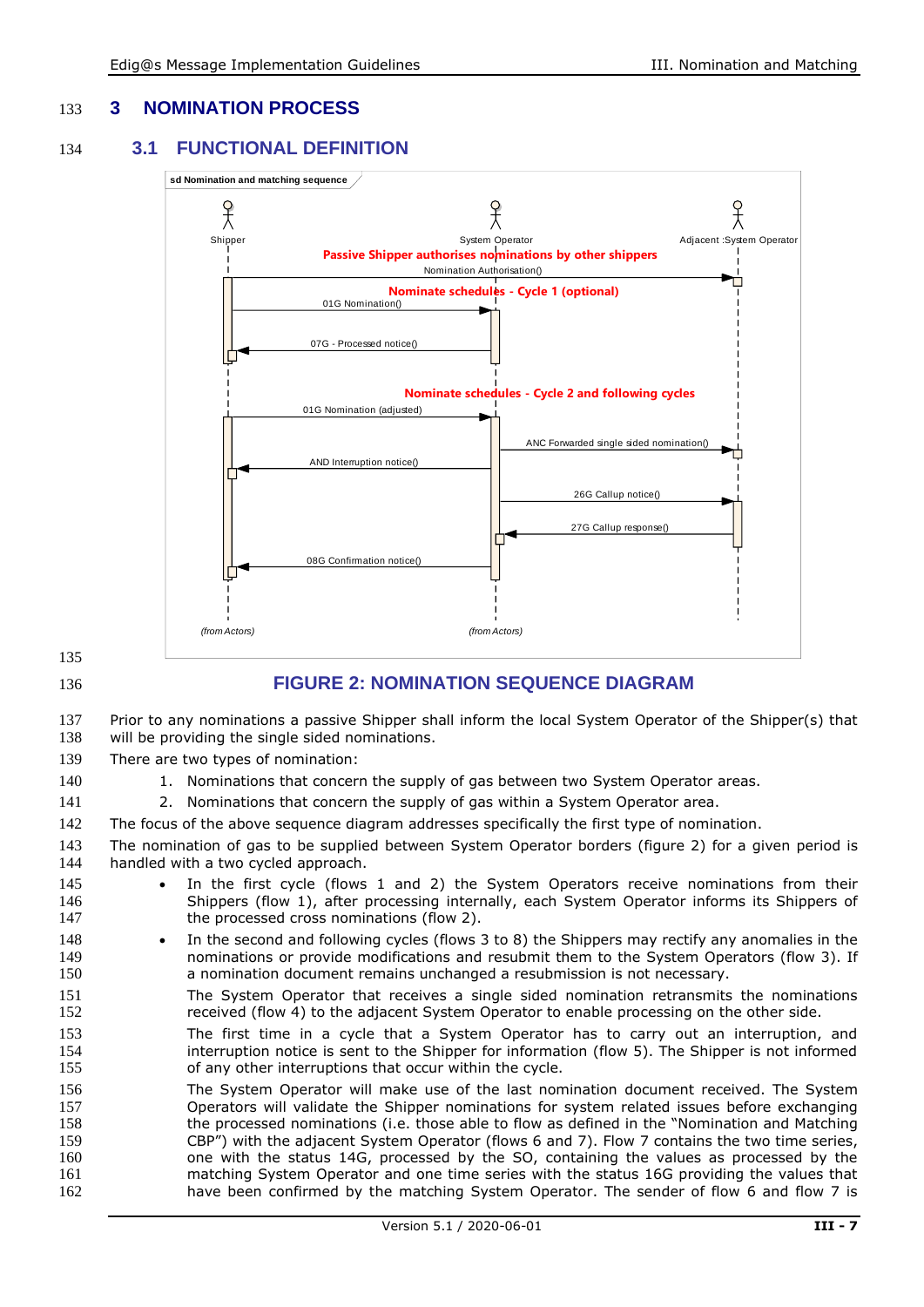#### 133 **3 NOMINATION PROCESS**

#### 134 **3.1 FUNCTIONAL DEFINITION**



135

#### <span id="page-6-0"></span>136 **FIGURE 2: NOMINATION SEQUENCE DIAGRAM**

137 Prior to any nominations a passive Shipper shall inform the local System Operator of the Shipper(s) that 138 will be providing the single sided nominations. will be providing the single sided nominations.

139 There are two types of nomination:

- 140 1. Nominations that concern the supply of gas between two System Operator areas.
- 141 2. Nominations that concern the supply of gas within a System Operator area.

142 The focus of the above sequence diagram addresses specifically the first type of nomination.

143 The nomination of gas to be supplied between System Operator borders (figure 2) for a given period is 144 handled with a two cycled approach.

- 145 In the first cycle (flows 1 and 2) the System Operators receive nominations from their 146 Shippers (flow 1), after processing internally, each System Operator informs its Shippers of 147 the processed cross nominations (flow 2).
- 148 In the second and following cycles (flows 3 to 8) the Shippers may rectify any anomalies in the 149 **nominations or provide modifications and resubmit them to the System Operators (flow 3). If** 150 a nomination document remains unchanged a resubmission is not necessary.
- 151 The System Operator that receives a single sided nomination retransmits the nominations 152 received (flow 4) to the adjacent System Operator to enable processing on the other side.
- 153 The first time in a cycle that a System Operator has to carry out an interruption, and 154 interruption notice is sent to the Shipper for information (flow 5). The Shipper is not informed 155 of any other interruptions that occur within the cycle.
- 156 The System Operator will make use of the last nomination document received. The System 157 Operators will validate the Shipper nominations for system related issues before exchanging 158 the processed nominations (i.e. those able to flow as defined in the "Nomination and Matching 159 CBP") with the adjacent System Operator (flows 6 and 7). Flow 7 contains the two time series, 160 one with the status 14G, processed by the SO, containing the values as processed by the 161 matching System Operator and one time series with the status 16G providing the values that 162 have been confirmed by the matching System Operator. The sender of flow 6 and flow 7 is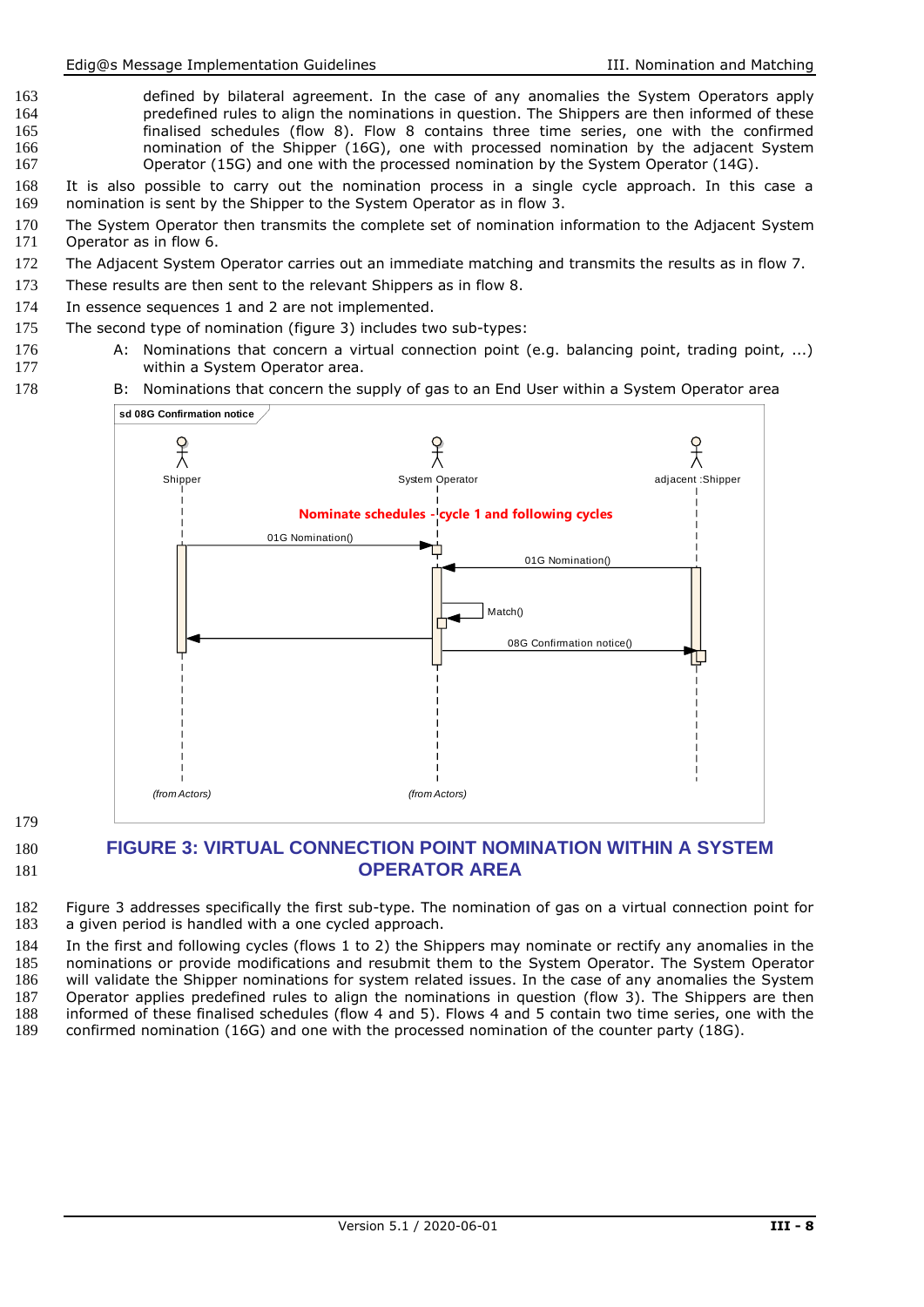- 163 defined by bilateral agreement. In the case of any anomalies the System Operators apply<br>164 https://www.predefined rules to align the nominations in question. The Shippers are then informed of these 164 predefined rules to align the nominations in question. The Shippers are then informed of these<br>165 finalised schedules (flow 8). Flow 8 contains three time series, one with the confirmed 165 finalised schedules (flow 8). Flow 8 contains three time series, one with the confirmed<br>166 homination of the Shipper (16G), one with processed nomination by the adiacent System 166 166 nomination of the Shipper (16G), one with processed nomination by the adjacent System<br>167 0Derator (15G) and one with the processed nomination by the System Operator (14G). Operator (15G) and one with the processed nomination by the System Operator (14G).
- 168 It is also possible to carry out the nomination process in a single cycle approach. In this case a 169 nomination is sent by the Shipper to the System Operator as in flow 3.
- 170 The System Operator then transmits the complete set of nomination information to the Adjacent System<br>171 Operator as in flow 6. Operator as in flow 6.
- 172 The Adjacent System Operator carries out an immediate matching and transmits the results as in flow 7.
- 173 These results are then sent to the relevant Shippers as in flow 8.
- 174 In essence sequences 1 and 2 are not implemented.
- 175 The second type of nomination (figure 3) includes two sub-types:
- 176 A: Nominations that concern a virtual connection point (e.g. balancing point, trading point, ...)<br>177 within a System Operator area. within a System Operator area.
- 178 B: Nominations that concern the supply of gas to an End User within a System Operator area



179

#### <span id="page-7-0"></span>180 **FIGURE 3: VIRTUAL CONNECTION POINT NOMINATION WITHIN A SYSTEM**  181 **OPERATOR AREA**

- 182 Figure 3 addresses specifically the first sub-type. The nomination of gas on a virtual connection point for 183 a given period is handled with a one cycled approach.
- 184 In the first and following cycles (flows 1 to 2) the Shippers may nominate or rectify any anomalies in the<br>185 nominations or provide modifications and resubmit them to the System Operator. The System Operator nominations or provide modifications and resubmit them to the System Operator. The System Operator 186 will validate the Shipper nominations for system related issues. In the case of any anomalies the System 187 Operator applies predefined rules to align the nominations in question (flow 3). The Shippers are then 188 informed of these finalised schedules (flow 4 and 5). Flows 4 and 5 contain two time series, one with the 189 confirmed nomination (16G) and one with the processed nomination of the counter party (18G). confirmed nomination (16G) and one with the processed nomination of the counter party (18G).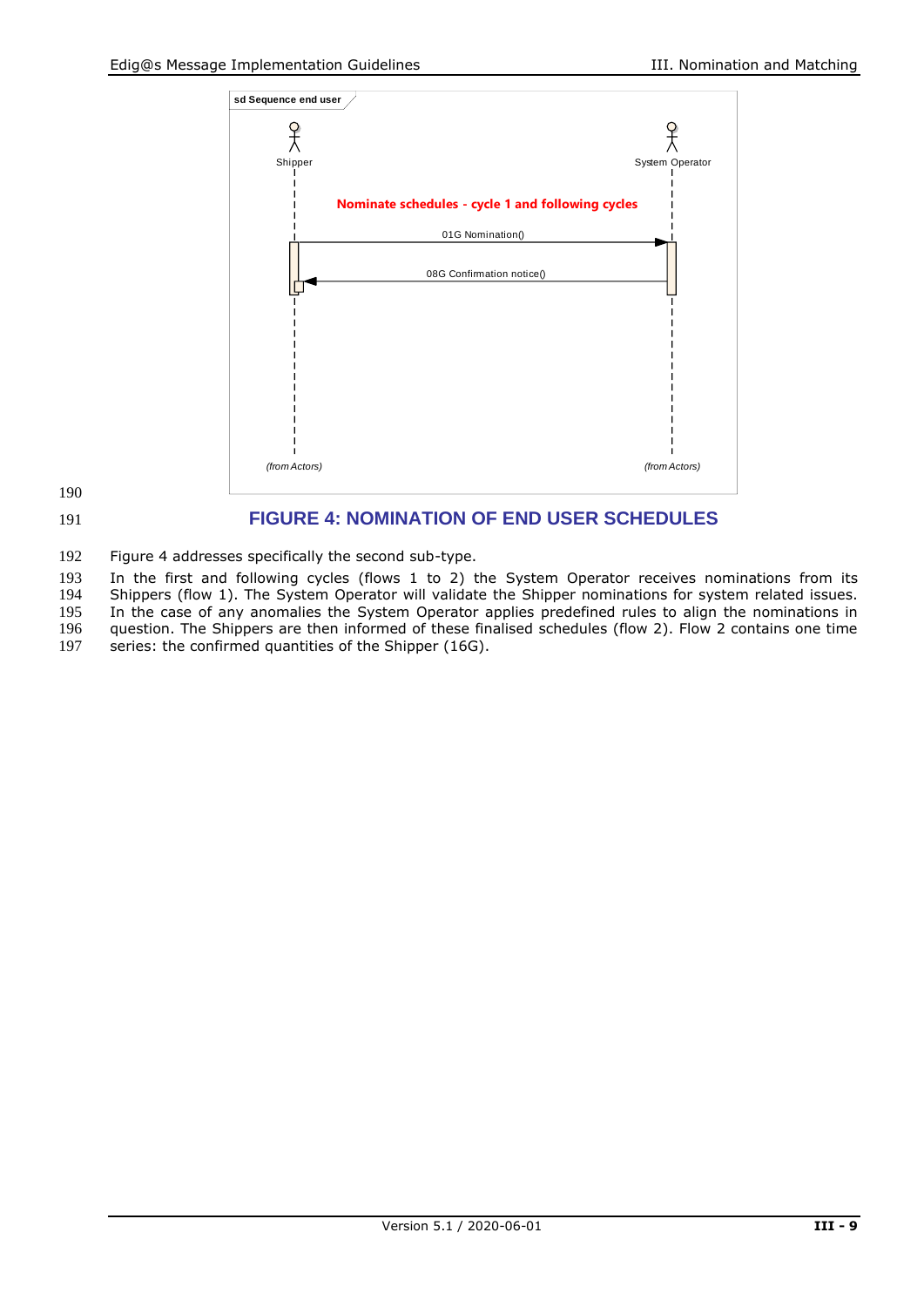



#### <span id="page-8-0"></span>191 **FIGURE 4: NOMINATION OF END USER SCHEDULES**

192 Figure 4 addresses specifically the second sub-type.

193 In the first and following cycles (flows 1 to 2) the System Operator receives nominations from its

194 Shippers (flow 1). The System Operator will validate the Shipper nominations for system related issues.<br>195 In the case of any anomalies the System Operator applies predefined rules to align the nominations in

195 In the case of any anomalies the System Operator applies predefined rules to align the nominations in 196 question. The Shippers are then informed of these finalised schedules (flow 2). Flow 2 contains one time

196 question. The Shippers are then informed of these finalised schedules (flow 2). Flow 2 contains one time 197 series: the confirmed quantities of the Shipper (16G).

series: the confirmed quantities of the Shipper (16G).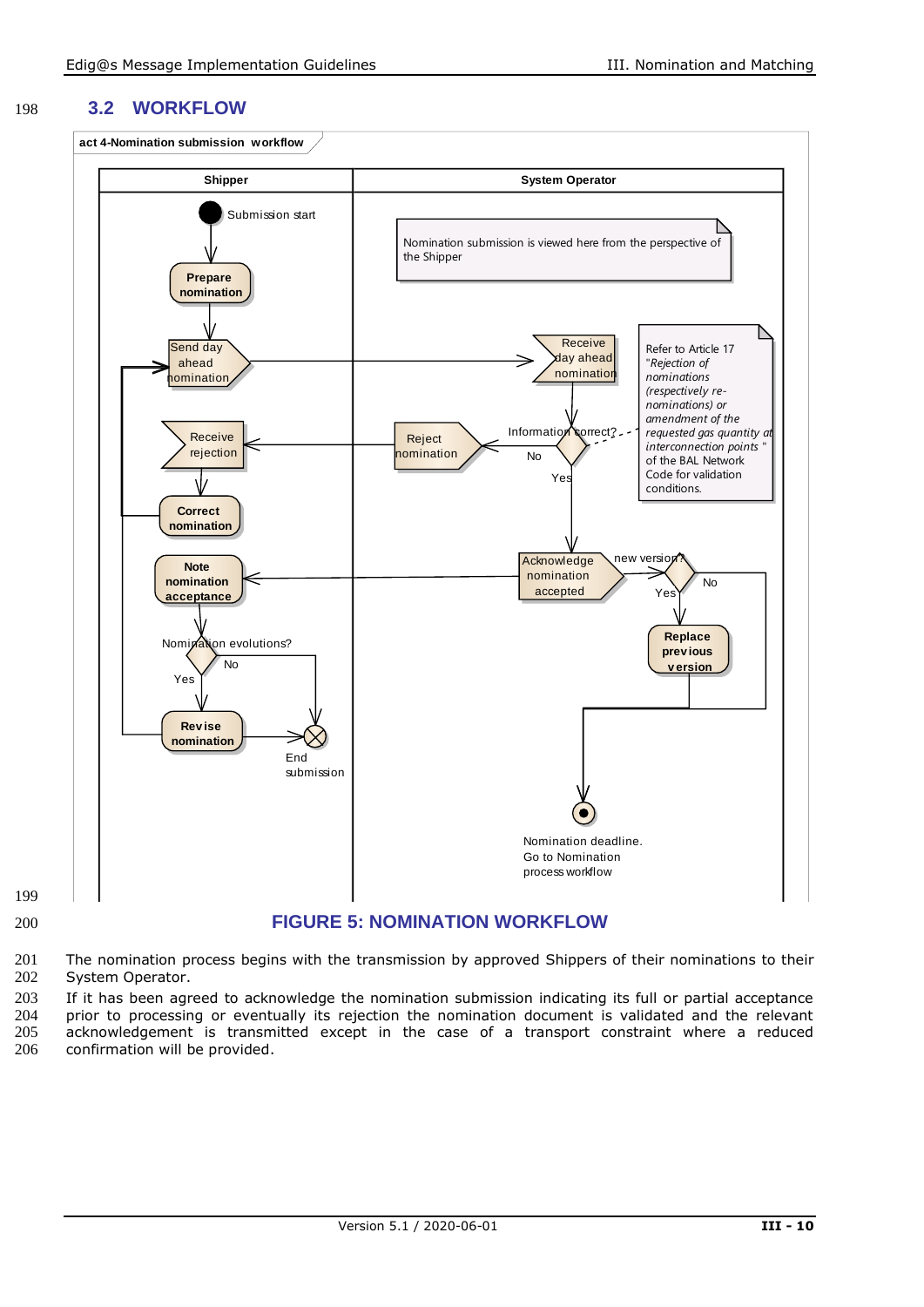#### 198 **3.2 WORKFLOW**



<span id="page-9-0"></span>199

#### 200 **FIGURE 5: NOMINATION WORKFLOW**

201 The nomination process begins with the transmission by approved Shippers of their nominations to their<br>202 System Operator. System Operator.

203 If it has been agreed to acknowledge the nomination submission indicating its full or partial acceptance<br>204 prior to processing or eventually its rejection the nomination document is validated and the relevant prior to processing or eventually its rejection the nomination document is validated and the relevant 205 acknowledgement is transmitted except in the case of a transport constraint where a reduced 206 confirmation will be provided.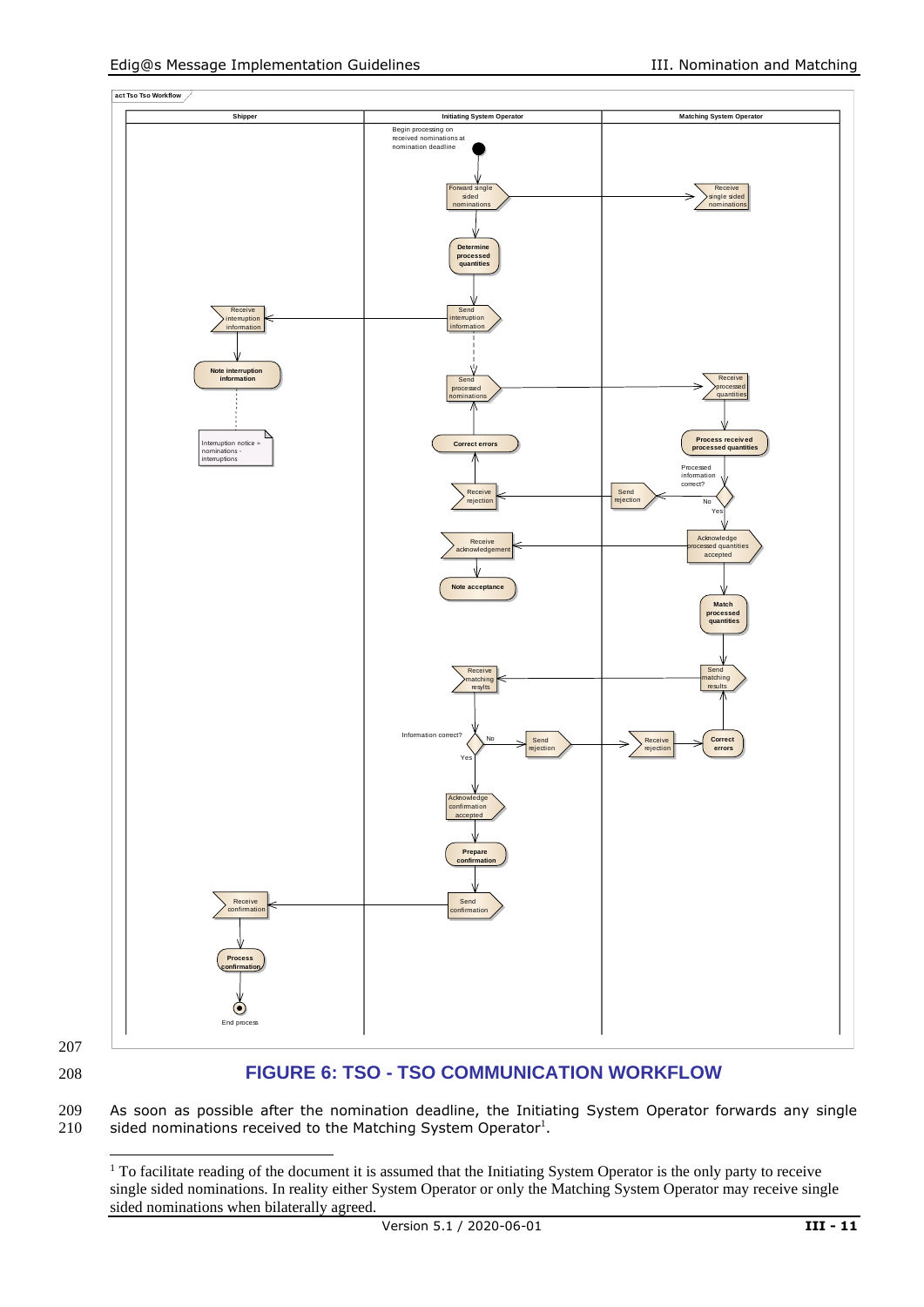

207

#### <span id="page-10-0"></span>208 **FIGURE 6: TSO - TSO COMMUNICATION WORKFLOW**

209 As soon as possible after the nomination deadline, the Initiating System Operator forwards any single  $210$  sided nominations received to the Matching System Operator<sup>1</sup>. sided nominations received to the Matching System Operator<sup>1</sup>.

<sup>&</sup>lt;sup>1</sup> To facilitate reading of the document it is assumed that the Initiating System Operator is the only party to receive single sided nominations. In reality either System Operator or only the Matching System Operator may receive single sided nominations when bilaterally agreed.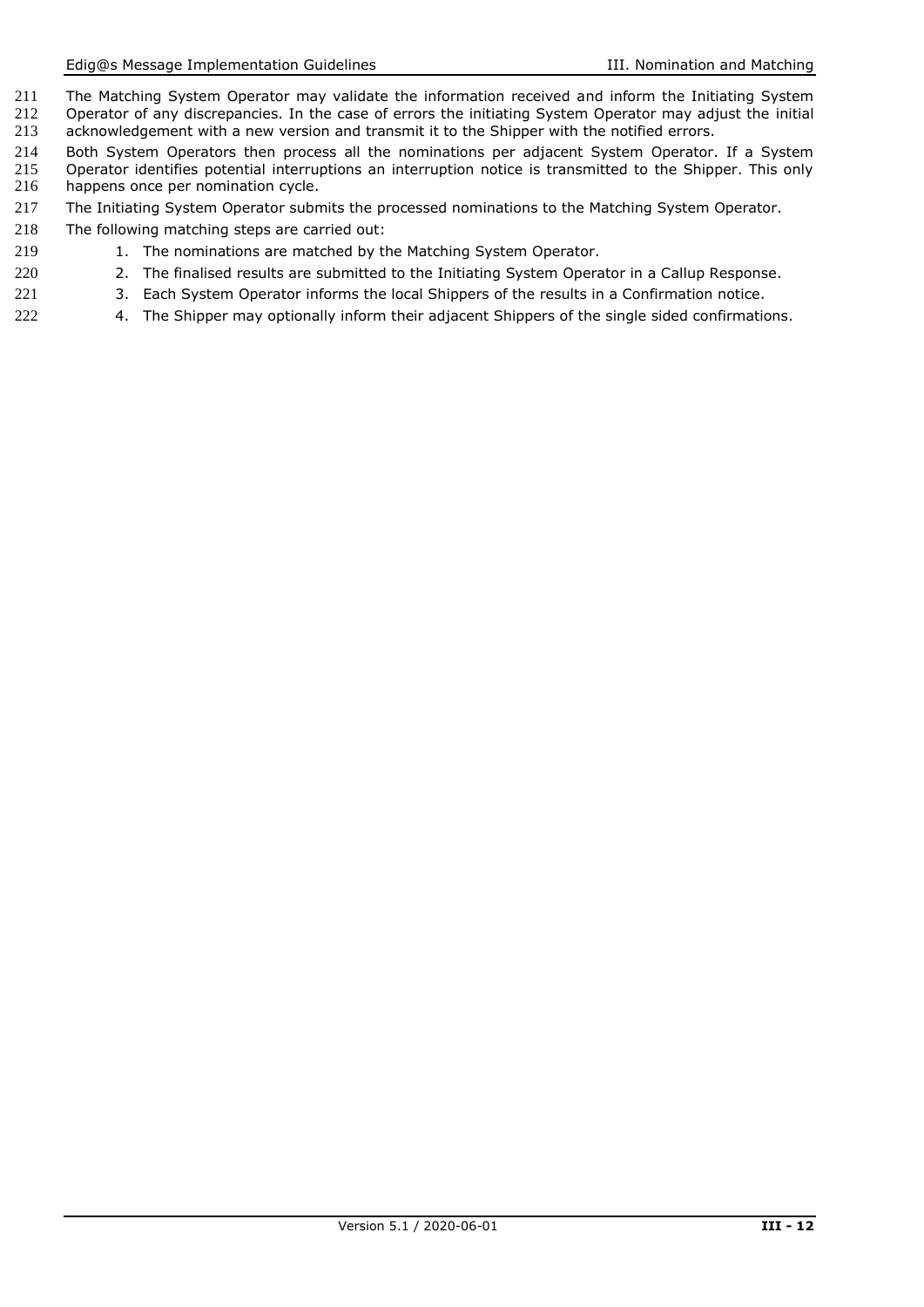- 211 The Matching System Operator may validate the information received and inform the Initiating System<br>212 Operator of any discrepancies. In the case of errors the initiating System Operator may adjust the initial 212 Operator of any discrepancies. In the case of errors the initiating System Operator may adjust the initial<br>213 acknowledgement with a new version and transmit it to the Shipper with the notified errors. acknowledgement with a new version and transmit it to the Shipper with the notified errors.
- 214 Both System Operators then process all the nominations per adjacent System Operator. If a System<br>215 Operator identifies potential interruptions an interruption notice is transmitted to the Shipper. This only 215 Operator identifies potential interruptions an interruption notice is transmitted to the Shipper. This only 216 happens once per nomination cycle.
- 217 The Initiating System Operator submits the processed nominations to the Matching System Operator.
- 218 The following matching steps are carried out:
- 219 1. The nominations are matched by the Matching System Operator.
- 220 20 2. The finalised results are submitted to the Initiating System Operator in a Callup Response.
- 221 3. Each System Operator informs the local Shippers of the results in a Confirmation notice.
- 222 4. The Shipper may optionally inform their adjacent Shippers of the single sided confirmations.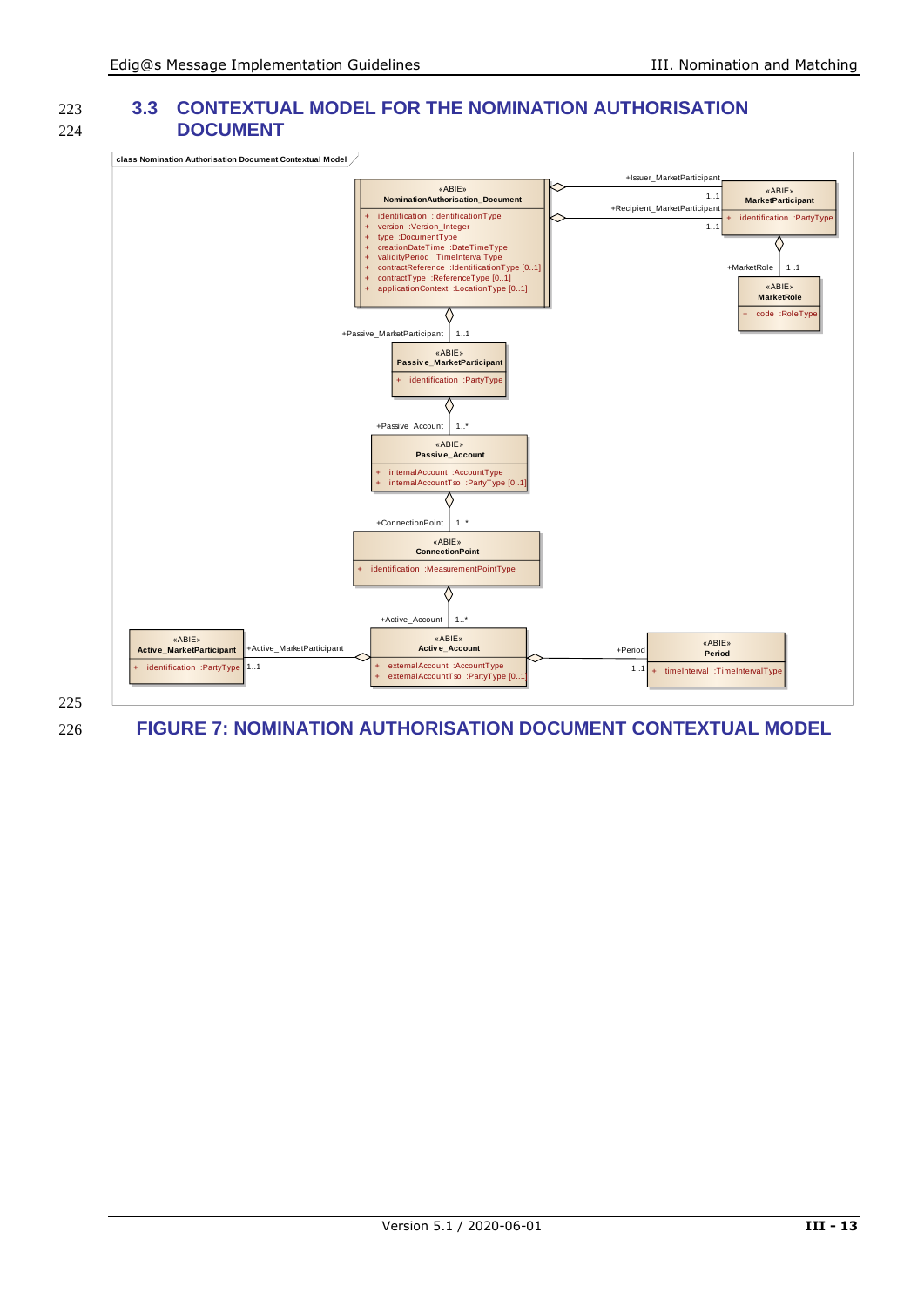#### 223 **3.3 CONTEXTUAL MODEL FOR THE NOMINATION AUTHORISATION**  224 **DOCUMENT**



225

<span id="page-12-0"></span>226 **FIGURE 7: NOMINATION AUTHORISATION DOCUMENT CONTEXTUAL MODEL**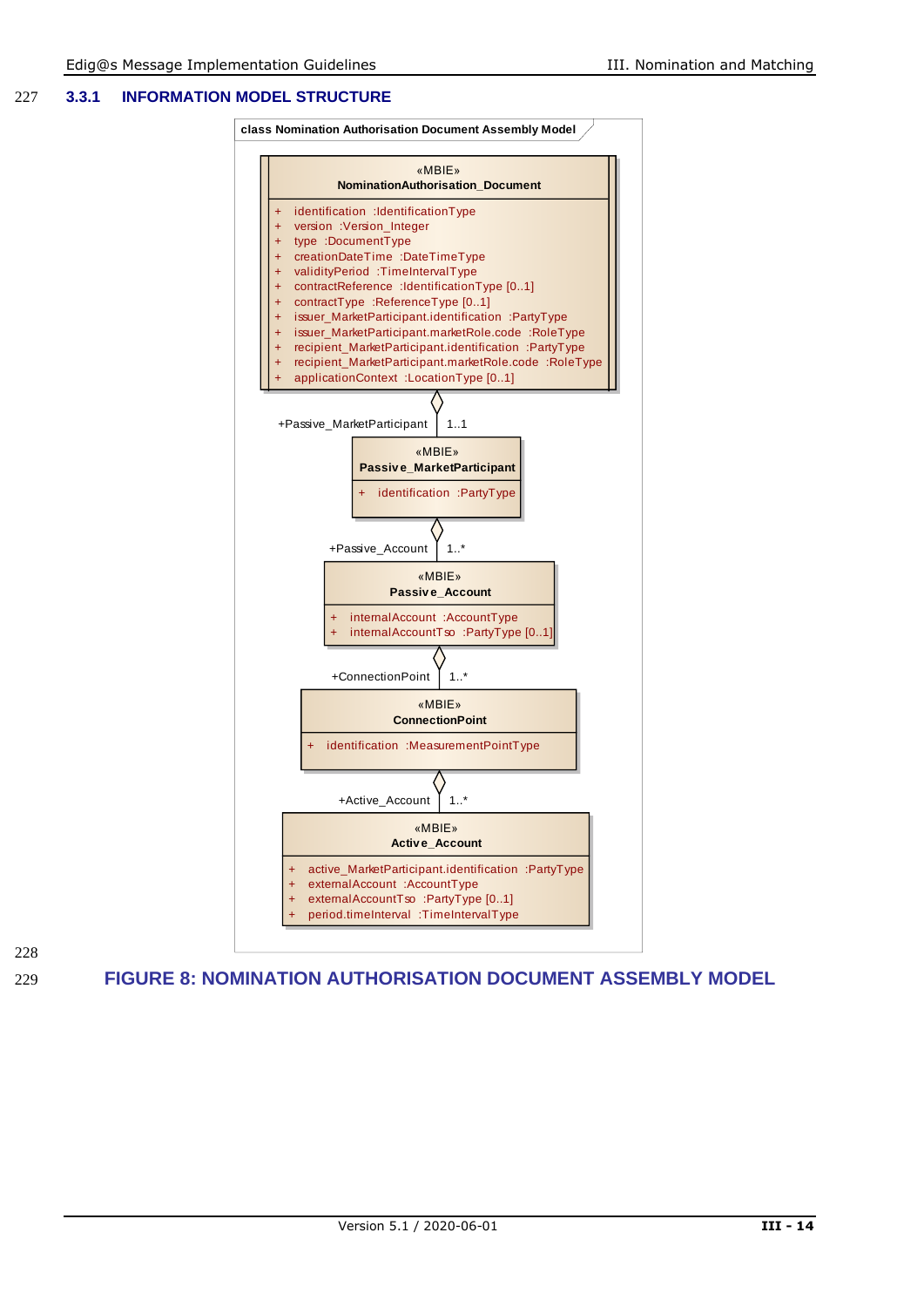#### 227 **3.3.1 INFORMATION MODEL STRUCTURE**



228

<span id="page-13-0"></span>229 **FIGURE 8: NOMINATION AUTHORISATION DOCUMENT ASSEMBLY MODEL**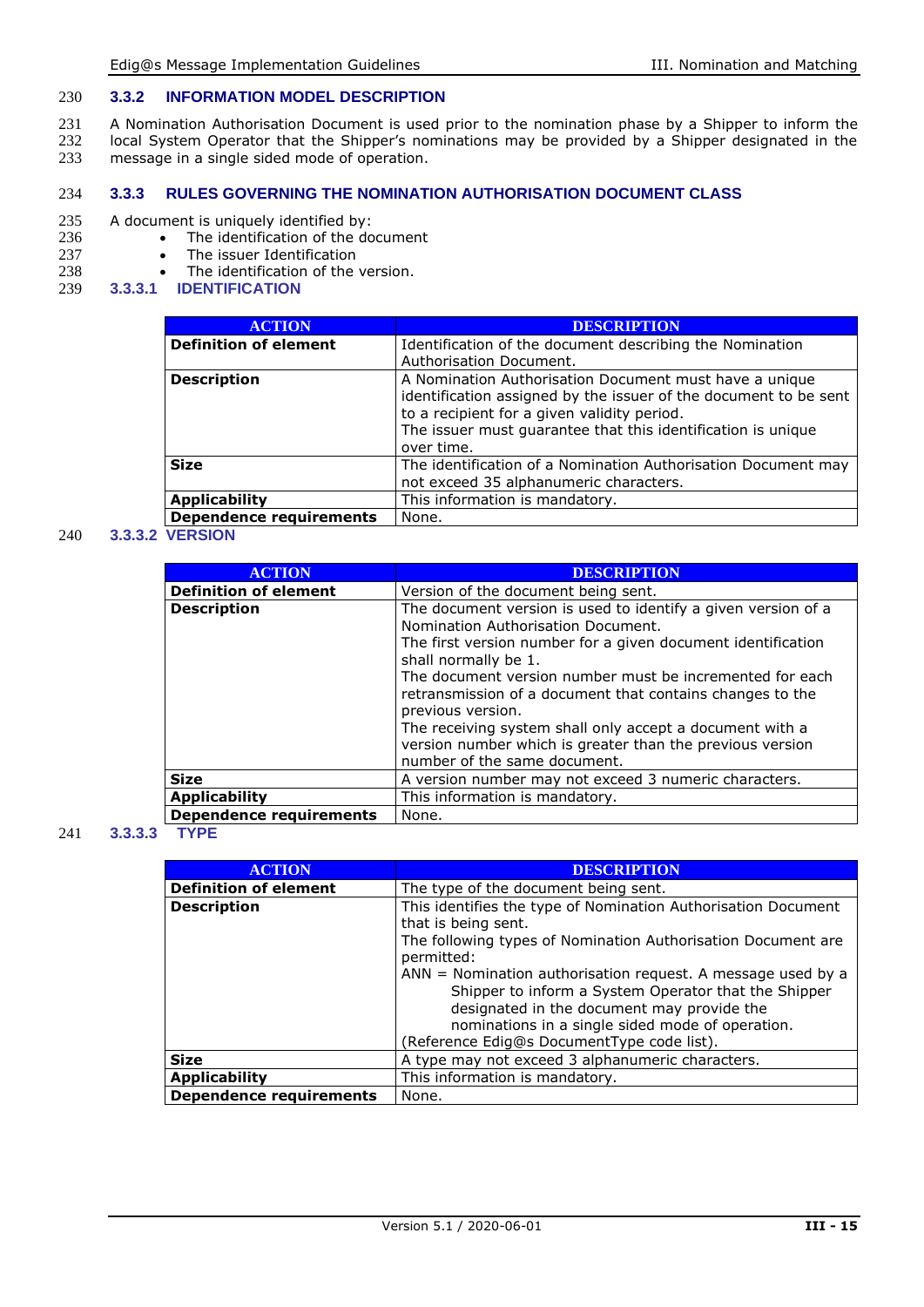#### 230 **3.3.2 INFORMATION MODEL DESCRIPTION**

- 231 A Nomination Authorisation Document is used prior to the nomination phase by a Shipper to inform the 232 local System Operator that the Shipper's nominations may be provided by a Shipper designated in the
- 232 local System Operator that the Shipper's nominations may be provided by a Shipper designated in the 233 message in a single sided mode of operation.
- message in a single sided mode of operation.

#### 234 **3.3.3 RULES GOVERNING THE NOMINATION AUTHORISATION DOCUMENT CLASS**

### 235 A document is uniquely identified by:<br>236 • The identification of the do

- 236 The identification of the document<br>237 The issuer Identification
- 237 The issuer Identification<br>238 The identification of the
- 238 The identification of the version.<br>239 **3.3.3.1 IDENTIFICATION**
- 239 **3.3.3.1 IDENTIFICATION**

| <b>ACTION</b>                                                                | <b>DESCRIPTION</b>                                                                                                                                                                                                                                      |
|------------------------------------------------------------------------------|---------------------------------------------------------------------------------------------------------------------------------------------------------------------------------------------------------------------------------------------------------|
| <b>Definition of element</b>                                                 | Identification of the document describing the Nomination<br>Authorisation Document.                                                                                                                                                                     |
| <b>Description</b>                                                           | A Nomination Authorisation Document must have a unique<br>identification assigned by the issuer of the document to be sent<br>to a recipient for a given validity period.<br>The issuer must guarantee that this identification is unique<br>over time. |
| Size                                                                         | The identification of a Nomination Authorisation Document may<br>not exceed 35 alphanumeric characters.                                                                                                                                                 |
| <b>Applicability</b>                                                         | This information is mandatory.                                                                                                                                                                                                                          |
| <b>Dependence requirements</b>                                               | None.                                                                                                                                                                                                                                                   |
| $\mathbf{r} = \mathbf{r} \cdot \mathbf{r} \cdot \mathbf{r} \cdot \mathbf{r}$ |                                                                                                                                                                                                                                                         |

#### 240 **3.3.3.2 VERSION**

| <b>ACTION</b>                  | <b>DESCRIPTION</b>                                                                                                                                                                                                                                                                                                                                                                                    |  |  |  |  |
|--------------------------------|-------------------------------------------------------------------------------------------------------------------------------------------------------------------------------------------------------------------------------------------------------------------------------------------------------------------------------------------------------------------------------------------------------|--|--|--|--|
| <b>Definition of element</b>   | Version of the document being sent.                                                                                                                                                                                                                                                                                                                                                                   |  |  |  |  |
| <b>Description</b>             | The document version is used to identify a given version of a<br>Nomination Authorisation Document.<br>The first version number for a given document identification<br>shall normally be 1.<br>The document version number must be incremented for each<br>retransmission of a document that contains changes to the<br>previous version.<br>The receiving system shall only accept a document with a |  |  |  |  |
|                                | version number which is greater than the previous version<br>number of the same document.                                                                                                                                                                                                                                                                                                             |  |  |  |  |
| <b>Size</b>                    | A version number may not exceed 3 numeric characters.                                                                                                                                                                                                                                                                                                                                                 |  |  |  |  |
| <b>Applicability</b>           | This information is mandatory.                                                                                                                                                                                                                                                                                                                                                                        |  |  |  |  |
| <b>Dependence requirements</b> | None.                                                                                                                                                                                                                                                                                                                                                                                                 |  |  |  |  |

#### 241 **3.3.3.3 TYPE**

| <b>ACTION</b>                  | <b>DESCRIPTION</b>                                                                                                                                                                                                                                                     |  |  |
|--------------------------------|------------------------------------------------------------------------------------------------------------------------------------------------------------------------------------------------------------------------------------------------------------------------|--|--|
| <b>Definition of element</b>   | The type of the document being sent.                                                                                                                                                                                                                                   |  |  |
| <b>Description</b>             | This identifies the type of Nomination Authorisation Document<br>that is being sent.                                                                                                                                                                                   |  |  |
|                                | The following types of Nomination Authorisation Document are<br>permitted:                                                                                                                                                                                             |  |  |
|                                | $ANN = N$ omination authorisation request. A message used by a<br>Shipper to inform a System Operator that the Shipper<br>designated in the document may provide the<br>nominations in a single sided mode of operation.<br>(Reference Edig@s DocumentType code list). |  |  |
| <b>Size</b>                    | A type may not exceed 3 alphanumeric characters.                                                                                                                                                                                                                       |  |  |
| <b>Applicability</b>           | This information is mandatory.                                                                                                                                                                                                                                         |  |  |
| <b>Dependence requirements</b> | None.                                                                                                                                                                                                                                                                  |  |  |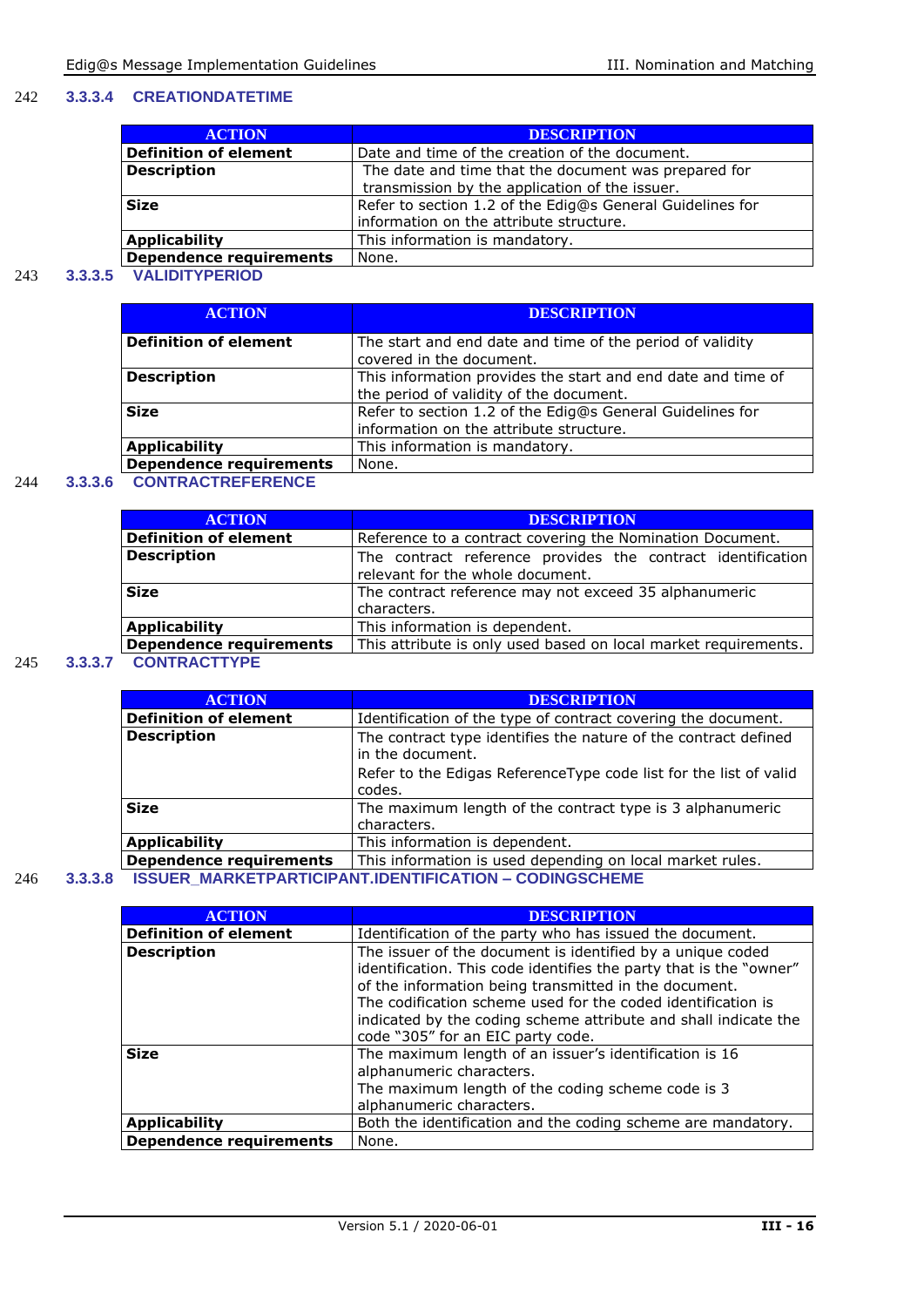#### 242 **3.3.3.4 CREATIONDATETIME**

| <b>ACTION</b>                  | <b>DESCRIPTION</b>                                                                                     |  |  |
|--------------------------------|--------------------------------------------------------------------------------------------------------|--|--|
| <b>Definition of element</b>   | Date and time of the creation of the document.                                                         |  |  |
| <b>Description</b>             | The date and time that the document was prepared for<br>transmission by the application of the issuer. |  |  |
| <b>Size</b>                    | Refer to section 1.2 of the Edig@s General Guidelines for<br>information on the attribute structure.   |  |  |
| <b>Applicability</b>           | This information is mandatory.                                                                         |  |  |
| <b>Dependence requirements</b> | None.                                                                                                  |  |  |

#### 243 **3.3.3.5 VALIDITYPERIOD**

| <b>ACTION</b>                  | <b>DESCRIPTION</b>                                           |
|--------------------------------|--------------------------------------------------------------|
| <b>Definition of element</b>   | The start and end date and time of the period of validity    |
|                                | covered in the document.                                     |
| <b>Description</b>             | This information provides the start and end date and time of |
|                                | the period of validity of the document.                      |
| <b>Size</b>                    | Refer to section 1.2 of the Edig@s General Guidelines for    |
|                                | information on the attribute structure.                      |
| <b>Applicability</b>           | This information is mandatory.                               |
| <b>Dependence requirements</b> | None.                                                        |

#### 244 **3.3.3.6 CONTRACTREFERENCE**

|     |         | <b>ACTION</b>                  | <b>DESCRIPTION</b>                                                                              |  |  |  |
|-----|---------|--------------------------------|-------------------------------------------------------------------------------------------------|--|--|--|
|     |         | <b>Definition of element</b>   | Reference to a contract covering the Nomination Document.                                       |  |  |  |
|     |         | <b>Description</b>             | The contract reference provides the contract identification<br>relevant for the whole document. |  |  |  |
|     |         | <b>Size</b>                    | The contract reference may not exceed 35 alphanumeric<br>characters.                            |  |  |  |
|     |         | <b>Applicability</b>           | This information is dependent.                                                                  |  |  |  |
|     |         | <b>Dependence requirements</b> | This attribute is only used based on local market requirements.                                 |  |  |  |
| 245 | 3.3.3.7 | <b>CONTRACTTYPE</b>            |                                                                                                 |  |  |  |

|  |     | <b>ACTION</b> |  |
|--|-----|---------------|--|
|  | - - |               |  |

| <b>ACTION</b>                | <b>DESCRIPTION</b>                                                                  |  |  |  |
|------------------------------|-------------------------------------------------------------------------------------|--|--|--|
| <b>Definition of element</b> | Identification of the type of contract covering the document.                       |  |  |  |
| <b>Description</b>           | The contract type identifies the nature of the contract defined<br>in the document. |  |  |  |
|                              | Refer to the Edigas ReferenceType code list for the list of valid                   |  |  |  |
|                              | codes.                                                                              |  |  |  |
| <b>Size</b>                  | The maximum length of the contract type is 3 alphanumeric                           |  |  |  |
|                              | characters.                                                                         |  |  |  |
| <b>Applicability</b>         | This information is dependent.                                                      |  |  |  |
| Dependence requirements      | This information is used depending on local market rules.                           |  |  |  |
|                              | <b>ICCLIED MADKETDADTICIDANT INENTIEICATION _ CONINGCCUEME</b>                      |  |  |  |

246 **3.3.3.8 ISSUER\_MARKETPARTICIPANT.IDENTIFICATION – CODINGSCHEME**

| <b>ACTION</b>                  | <b>DESCRIPTION</b>                                                                                                                                                                                                                                                                                                                                                |
|--------------------------------|-------------------------------------------------------------------------------------------------------------------------------------------------------------------------------------------------------------------------------------------------------------------------------------------------------------------------------------------------------------------|
| <b>Definition of element</b>   | Identification of the party who has issued the document.                                                                                                                                                                                                                                                                                                          |
| <b>Description</b>             | The issuer of the document is identified by a unique coded<br>identification. This code identifies the party that is the "owner"<br>of the information being transmitted in the document.<br>The codification scheme used for the coded identification is<br>indicated by the coding scheme attribute and shall indicate the<br>code "305" for an EIC party code. |
| <b>Size</b>                    | The maximum length of an issuer's identification is 16<br>alphanumeric characters.<br>The maximum length of the coding scheme code is 3<br>alphanumeric characters.                                                                                                                                                                                               |
| <b>Applicability</b>           | Both the identification and the coding scheme are mandatory.                                                                                                                                                                                                                                                                                                      |
| <b>Dependence requirements</b> | None.                                                                                                                                                                                                                                                                                                                                                             |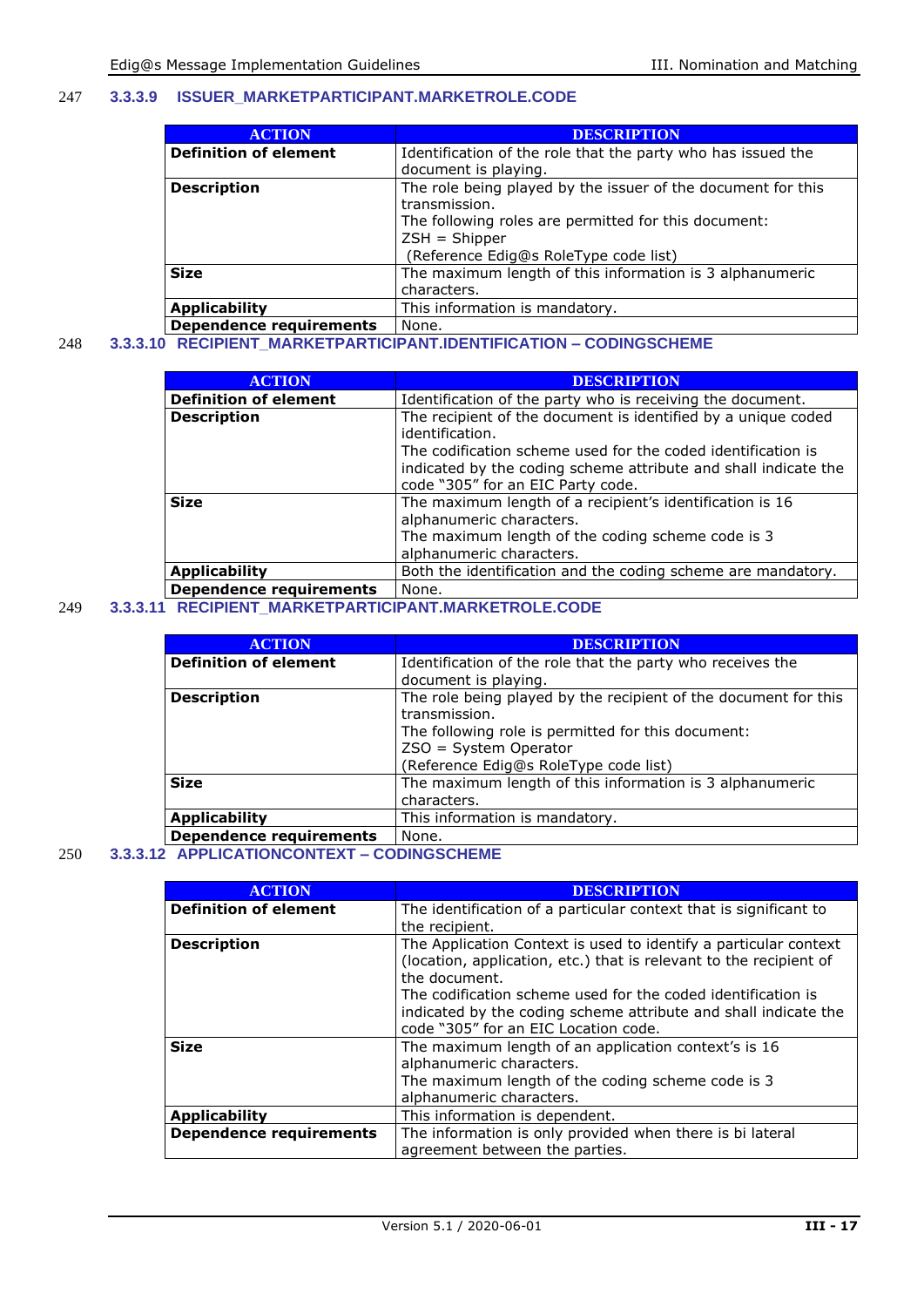#### 247 **3.3.3.9 ISSUER\_MARKETPARTICIPANT.MARKETROLE.CODE**

| <b>ACTION</b>                  | <b>DESCRIPTION</b>                                           |
|--------------------------------|--------------------------------------------------------------|
| <b>Definition of element</b>   | Identification of the role that the party who has issued the |
|                                | document is playing.                                         |
| <b>Description</b>             | The role being played by the issuer of the document for this |
|                                | transmission.                                                |
|                                | The following roles are permitted for this document:         |
|                                | $ZSH = Shipper$                                              |
|                                | (Reference Edig@s RoleType code list)                        |
| <b>Size</b>                    | The maximum length of this information is 3 alphanumeric     |
|                                | characters.                                                  |
| <b>Applicability</b>           | This information is mandatory.                               |
| <b>Dependence requirements</b> | None.                                                        |

### 248 **3.3.3.10 RECIPIENT\_MARKETPARTICIPANT.IDENTIFICATION – CODINGSCHEME**

| <b>ACTION</b>                  | <b>DESCRIPTION</b>                                                                                                                                                                                                                                       |
|--------------------------------|----------------------------------------------------------------------------------------------------------------------------------------------------------------------------------------------------------------------------------------------------------|
| <b>Definition of element</b>   | Identification of the party who is receiving the document.                                                                                                                                                                                               |
| <b>Description</b>             | The recipient of the document is identified by a unique coded<br>identification.<br>The codification scheme used for the coded identification is<br>indicated by the coding scheme attribute and shall indicate the<br>code "305" for an EIC Party code. |
| <b>Size</b>                    | The maximum length of a recipient's identification is 16<br>alphanumeric characters.<br>The maximum length of the coding scheme code is 3<br>alphanumeric characters.                                                                                    |
| <b>Applicability</b>           | Both the identification and the coding scheme are mandatory.                                                                                                                                                                                             |
| <b>Dependence requirements</b> | None.                                                                                                                                                                                                                                                    |

#### 249 **3.3.3.11 RECIPIENT\_MARKETPARTICIPANT.MARKETROLE.CODE**

| <b>ACTION</b>                  | <b>DESCRIPTION</b>                                                                                                                                                                                         |
|--------------------------------|------------------------------------------------------------------------------------------------------------------------------------------------------------------------------------------------------------|
| <b>Definition of element</b>   | Identification of the role that the party who receives the<br>document is playing.                                                                                                                         |
| <b>Description</b>             | The role being played by the recipient of the document for this<br>transmission.<br>The following role is permitted for this document:<br>$ZSO = System Operator$<br>(Reference Edig@s RoleType code list) |
| <b>Size</b>                    | The maximum length of this information is 3 alphanumeric<br>characters.                                                                                                                                    |
| <b>Applicability</b>           | This information is mandatory.                                                                                                                                                                             |
| <b>Dependence requirements</b> | None.                                                                                                                                                                                                      |

#### 250 **3.3.3.12 APPLICATIONCONTEXT – CODINGSCHEME**

| <b>ACTION</b>                  | <b>DESCRIPTION</b>                                                                                                                                                                                                                                                                                                                 |
|--------------------------------|------------------------------------------------------------------------------------------------------------------------------------------------------------------------------------------------------------------------------------------------------------------------------------------------------------------------------------|
| <b>Definition of element</b>   | The identification of a particular context that is significant to<br>the recipient.                                                                                                                                                                                                                                                |
| <b>Description</b>             | The Application Context is used to identify a particular context<br>(location, application, etc.) that is relevant to the recipient of<br>the document.<br>The codification scheme used for the coded identification is<br>indicated by the coding scheme attribute and shall indicate the<br>code "305" for an EIC Location code. |
| <b>Size</b>                    | The maximum length of an application context's is 16<br>alphanumeric characters.<br>The maximum length of the coding scheme code is 3<br>alphanumeric characters.                                                                                                                                                                  |
| <b>Applicability</b>           | This information is dependent.                                                                                                                                                                                                                                                                                                     |
| <b>Dependence requirements</b> | The information is only provided when there is bi lateral<br>agreement between the parties.                                                                                                                                                                                                                                        |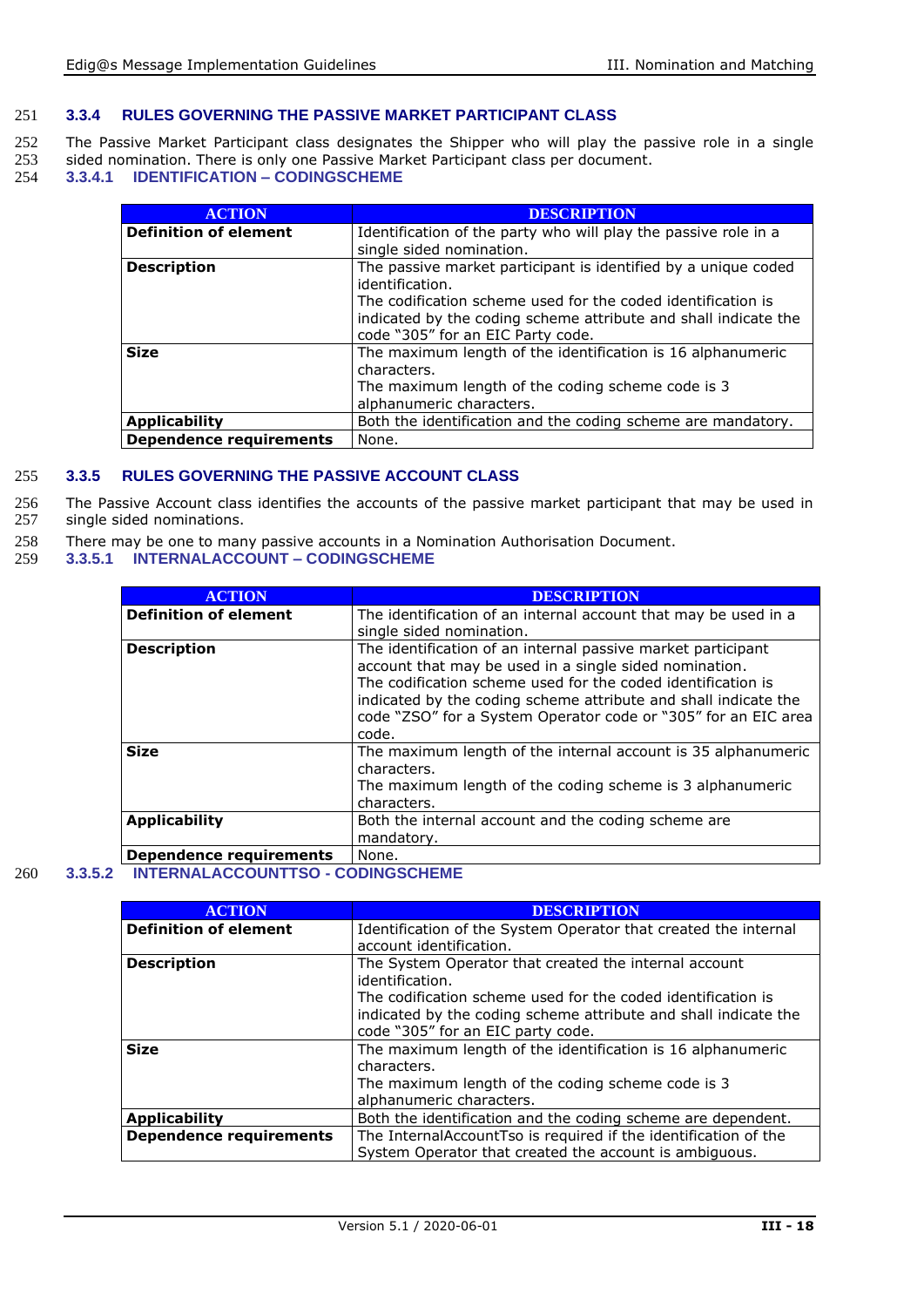#### 251 **3.3.4 RULES GOVERNING THE PASSIVE MARKET PARTICIPANT CLASS**

252 The Passive Market Participant class designates the Shipper who will play the passive role in a single 253 sided nomination. There is only one Passive Market Participant class per document. 253 sided nomination. There is only one Passive Market Participant class per document.<br>254 3.3.4.1 IDENTIFICATION - CODINGSCHEME

254 **3.3.4.1 IDENTIFICATION – CODINGSCHEME**

| <b>ACTION</b>                  | <b>DESCRIPTION</b>                                              |
|--------------------------------|-----------------------------------------------------------------|
| <b>Definition of element</b>   | Identification of the party who will play the passive role in a |
|                                | single sided nomination.                                        |
| <b>Description</b>             | The passive market participant is identified by a unique coded  |
|                                | identification.                                                 |
|                                | The codification scheme used for the coded identification is    |
|                                | indicated by the coding scheme attribute and shall indicate the |
|                                | code "305" for an EIC Party code.                               |
| <b>Size</b>                    | The maximum length of the identification is 16 alphanumeric     |
|                                | characters.                                                     |
|                                | The maximum length of the coding scheme code is 3               |
|                                | alphanumeric characters.                                        |
| <b>Applicability</b>           | Both the identification and the coding scheme are mandatory.    |
| <b>Dependence requirements</b> | None.                                                           |

#### 255 **3.3.5 RULES GOVERNING THE PASSIVE ACCOUNT CLASS**

256 The Passive Account class identifies the accounts of the passive market participant that may be used in 257 single sided nominations. single sided nominations.

- 258 There may be one to many passive accounts in a Nomination Authorisation Document.<br>259 3.3.5.1 INTERNALACCOUNT CODINGSCHEME
- 259 **3.3.5.1 INTERNALACCOUNT – CODINGSCHEME**

| <b>ACTION</b>                  | <b>DESCRIPTION</b>                                                                                                                                                                                                                                                                                                                   |
|--------------------------------|--------------------------------------------------------------------------------------------------------------------------------------------------------------------------------------------------------------------------------------------------------------------------------------------------------------------------------------|
| <b>Definition of element</b>   | The identification of an internal account that may be used in a                                                                                                                                                                                                                                                                      |
|                                | single sided nomination.                                                                                                                                                                                                                                                                                                             |
| <b>Description</b>             | The identification of an internal passive market participant<br>account that may be used in a single sided nomination.<br>The codification scheme used for the coded identification is<br>indicated by the coding scheme attribute and shall indicate the<br>code "ZSO" for a System Operator code or "305" for an EIC area<br>code. |
| <b>Size</b>                    | The maximum length of the internal account is 35 alphanumeric<br>characters.<br>The maximum length of the coding scheme is 3 alphanumeric<br>characters.                                                                                                                                                                             |
| <b>Applicability</b>           | Both the internal account and the coding scheme are<br>mandatory.                                                                                                                                                                                                                                                                    |
| <b>Dependence requirements</b> | None.                                                                                                                                                                                                                                                                                                                                |

#### 260 **3.3.5.2 INTERNALACCOUNTTSO - CODINGSCHEME**

| <b>ACTION</b>                  | <b>DESCRIPTION</b>                                              |
|--------------------------------|-----------------------------------------------------------------|
| <b>Definition of element</b>   | Identification of the System Operator that created the internal |
|                                | account identification.                                         |
| <b>Description</b>             | The System Operator that created the internal account           |
|                                | identification.                                                 |
|                                | The codification scheme used for the coded identification is    |
|                                | indicated by the coding scheme attribute and shall indicate the |
|                                | code "305" for an EIC party code.                               |
| <b>Size</b>                    | The maximum length of the identification is 16 alphanumeric     |
|                                | characters.                                                     |
|                                | The maximum length of the coding scheme code is 3               |
|                                | alphanumeric characters.                                        |
| <b>Applicability</b>           | Both the identification and the coding scheme are dependent.    |
| <b>Dependence requirements</b> | The InternalAccountTso is required if the identification of the |
|                                | System Operator that created the account is ambiguous.          |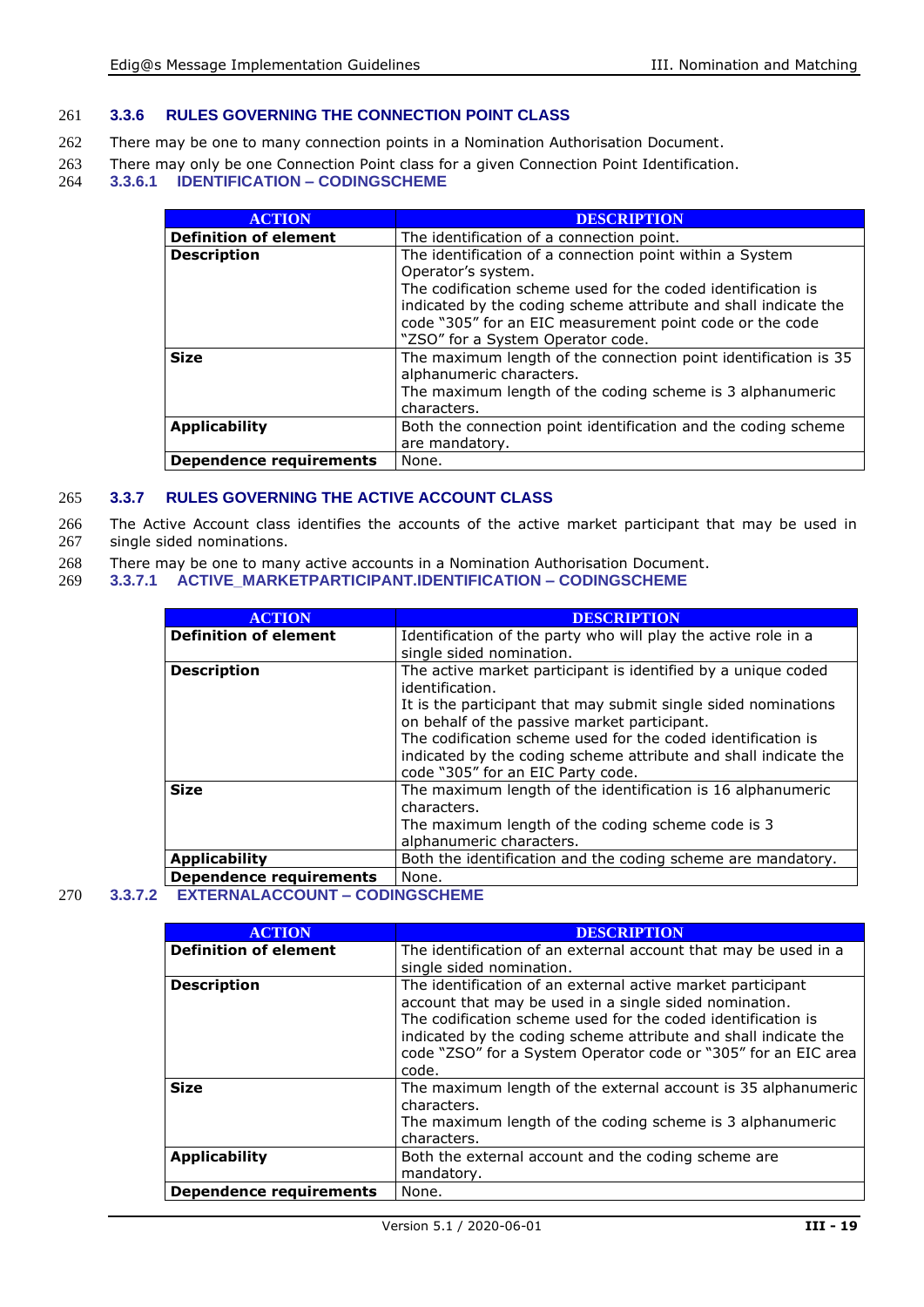#### 261 **3.3.6 RULES GOVERNING THE CONNECTION POINT CLASS**

- 262 There may be one to many connection points in a Nomination Authorisation Document.
- 263 There may only be one Connection Point class for a given Connection Point Identification.<br>264 3.3.6.1 IDENTIFICATION CODINGSCHEME

#### 264 **3.3.6.1 IDENTIFICATION – CODINGSCHEME**

| <b>ACTION</b>                  | <b>DESCRIPTION</b>                                                                                                                                                                                                                                                                                                 |
|--------------------------------|--------------------------------------------------------------------------------------------------------------------------------------------------------------------------------------------------------------------------------------------------------------------------------------------------------------------|
| <b>Definition of element</b>   | The identification of a connection point.                                                                                                                                                                                                                                                                          |
| <b>Description</b>             | The identification of a connection point within a System<br>Operator's system.<br>The codification scheme used for the coded identification is<br>indicated by the coding scheme attribute and shall indicate the<br>code "305" for an EIC measurement point code or the code<br>"ZSO" for a System Operator code. |
| <b>Size</b>                    | The maximum length of the connection point identification is 35<br>alphanumeric characters.<br>The maximum length of the coding scheme is 3 alphanumeric<br>characters.                                                                                                                                            |
| <b>Applicability</b>           | Both the connection point identification and the coding scheme<br>are mandatory.                                                                                                                                                                                                                                   |
| <b>Dependence requirements</b> | None.                                                                                                                                                                                                                                                                                                              |

#### 265 **3.3.7 RULES GOVERNING THE ACTIVE ACCOUNT CLASS**

266 The Active Account class identifies the accounts of the active market participant that may be used in 267 single sided nominations. single sided nominations.

- 268 There may be one to many active accounts in a Nomination Authorisation Document.<br>269 3.3.7.1 ACTIVE MARKETPARTICIPANT.IDENTIFICATION CODINGSCHEME
- 269 **3.3.7.1 ACTIVE\_MARKETPARTICIPANT.IDENTIFICATION – CODINGSCHEME**

| <b>ACTION</b>                  | <b>DESCRIPTION</b>                                                                                                                                                             |
|--------------------------------|--------------------------------------------------------------------------------------------------------------------------------------------------------------------------------|
| <b>Definition of element</b>   | Identification of the party who will play the active role in a                                                                                                                 |
|                                | single sided nomination.                                                                                                                                                       |
| <b>Description</b>             | The active market participant is identified by a unique coded<br>identification.                                                                                               |
|                                | It is the participant that may submit single sided nominations<br>on behalf of the passive market participant.<br>The codification scheme used for the coded identification is |
|                                | indicated by the coding scheme attribute and shall indicate the<br>code "305" for an EIC Party code.                                                                           |
| <b>Size</b>                    | The maximum length of the identification is 16 alphanumeric<br>characters.                                                                                                     |
|                                | The maximum length of the coding scheme code is 3<br>alphanumeric characters.                                                                                                  |
| <b>Applicability</b>           | Both the identification and the coding scheme are mandatory.                                                                                                                   |
| <b>Dependence requirements</b> | None.                                                                                                                                                                          |

#### 270 **3.3.7.2 EXTERNALACCOUNT – CODINGSCHEME**

| <b>ACTION</b>                  | <b>DESCRIPTION</b>                                                                                                                                                                                                                                                                                                                  |
|--------------------------------|-------------------------------------------------------------------------------------------------------------------------------------------------------------------------------------------------------------------------------------------------------------------------------------------------------------------------------------|
| <b>Definition of element</b>   | The identification of an external account that may be used in a                                                                                                                                                                                                                                                                     |
|                                | single sided nomination.                                                                                                                                                                                                                                                                                                            |
| <b>Description</b>             | The identification of an external active market participant<br>account that may be used in a single sided nomination.<br>The codification scheme used for the coded identification is<br>indicated by the coding scheme attribute and shall indicate the<br>code "ZSO" for a System Operator code or "305" for an EIC area<br>code. |
| <b>Size</b>                    | The maximum length of the external account is 35 alphanumeric<br>characters.<br>The maximum length of the coding scheme is 3 alphanumeric<br>characters.                                                                                                                                                                            |
| <b>Applicability</b>           | Both the external account and the coding scheme are<br>mandatory.                                                                                                                                                                                                                                                                   |
| <b>Dependence requirements</b> | None.                                                                                                                                                                                                                                                                                                                               |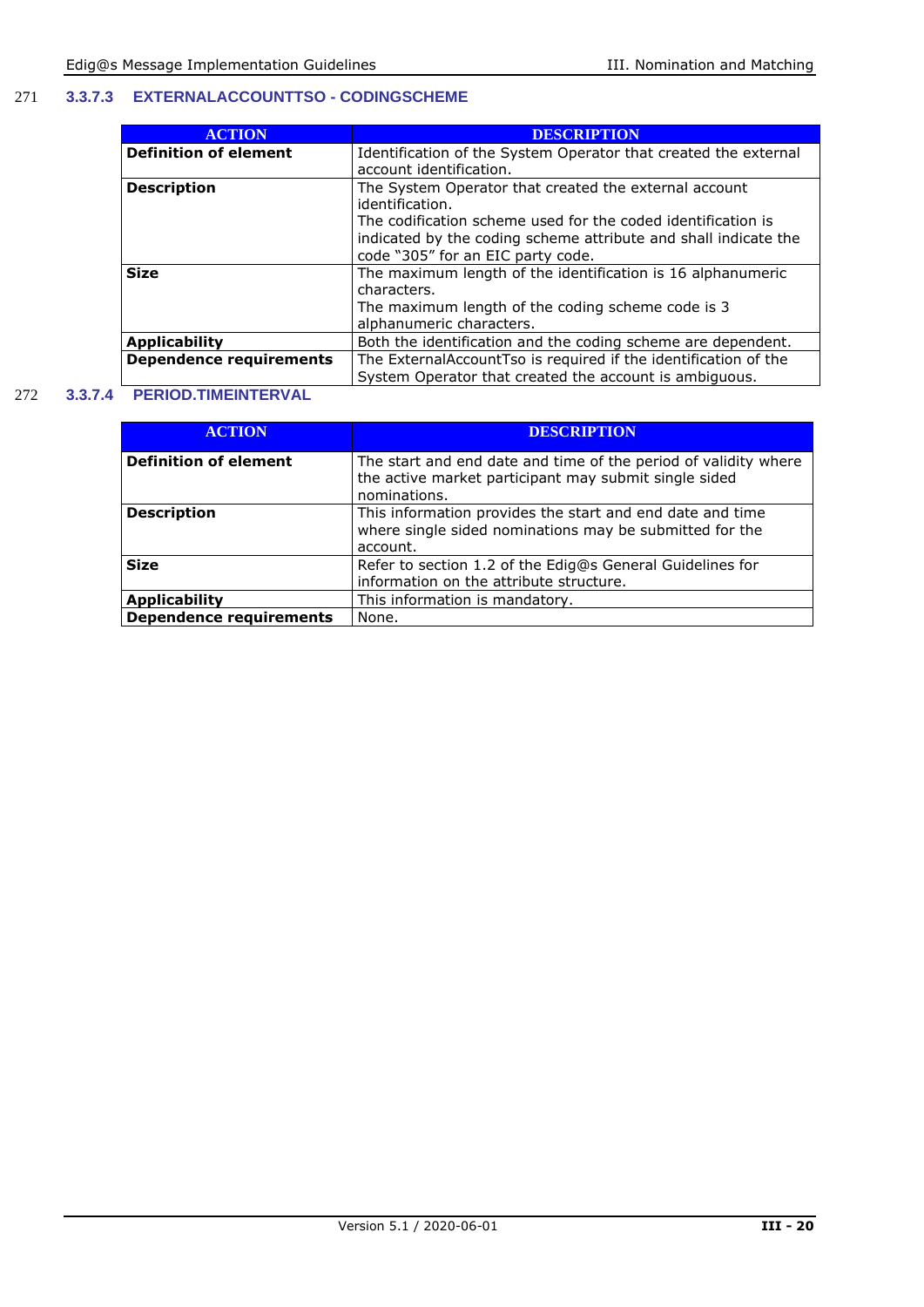#### 271 **3.3.7.3 EXTERNALACCOUNTTSO - CODINGSCHEME**

| <b>ACTION</b>                  | <b>DESCRIPTION</b>                                              |
|--------------------------------|-----------------------------------------------------------------|
| <b>Definition of element</b>   | Identification of the System Operator that created the external |
|                                | account identification.                                         |
| <b>Description</b>             | The System Operator that created the external account           |
|                                | identification.                                                 |
|                                | The codification scheme used for the coded identification is    |
|                                | indicated by the coding scheme attribute and shall indicate the |
|                                | code "305" for an EIC party code.                               |
| <b>Size</b>                    | The maximum length of the identification is 16 alphanumeric     |
|                                | characters.                                                     |
|                                | The maximum length of the coding scheme code is 3               |
|                                | alphanumeric characters.                                        |
| <b>Applicability</b>           | Both the identification and the coding scheme are dependent.    |
| <b>Dependence requirements</b> | The ExternalAccountTso is required if the identification of the |
|                                | System Operator that created the account is ambiguous.          |

#### 272 **3.3.7.4 PERIOD.TIMEINTERVAL**

| <b>ACTION</b>                  | <b>DESCRIPTION</b>                                                                                                                       |
|--------------------------------|------------------------------------------------------------------------------------------------------------------------------------------|
| <b>Definition of element</b>   | The start and end date and time of the period of validity where<br>the active market participant may submit single sided<br>nominations. |
| <b>Description</b>             | This information provides the start and end date and time<br>where single sided nominations may be submitted for the<br>account.         |
| <b>Size</b>                    | Refer to section 1.2 of the Edig@s General Guidelines for<br>information on the attribute structure.                                     |
| <b>Applicability</b>           | This information is mandatory.                                                                                                           |
| <b>Dependence requirements</b> | None.                                                                                                                                    |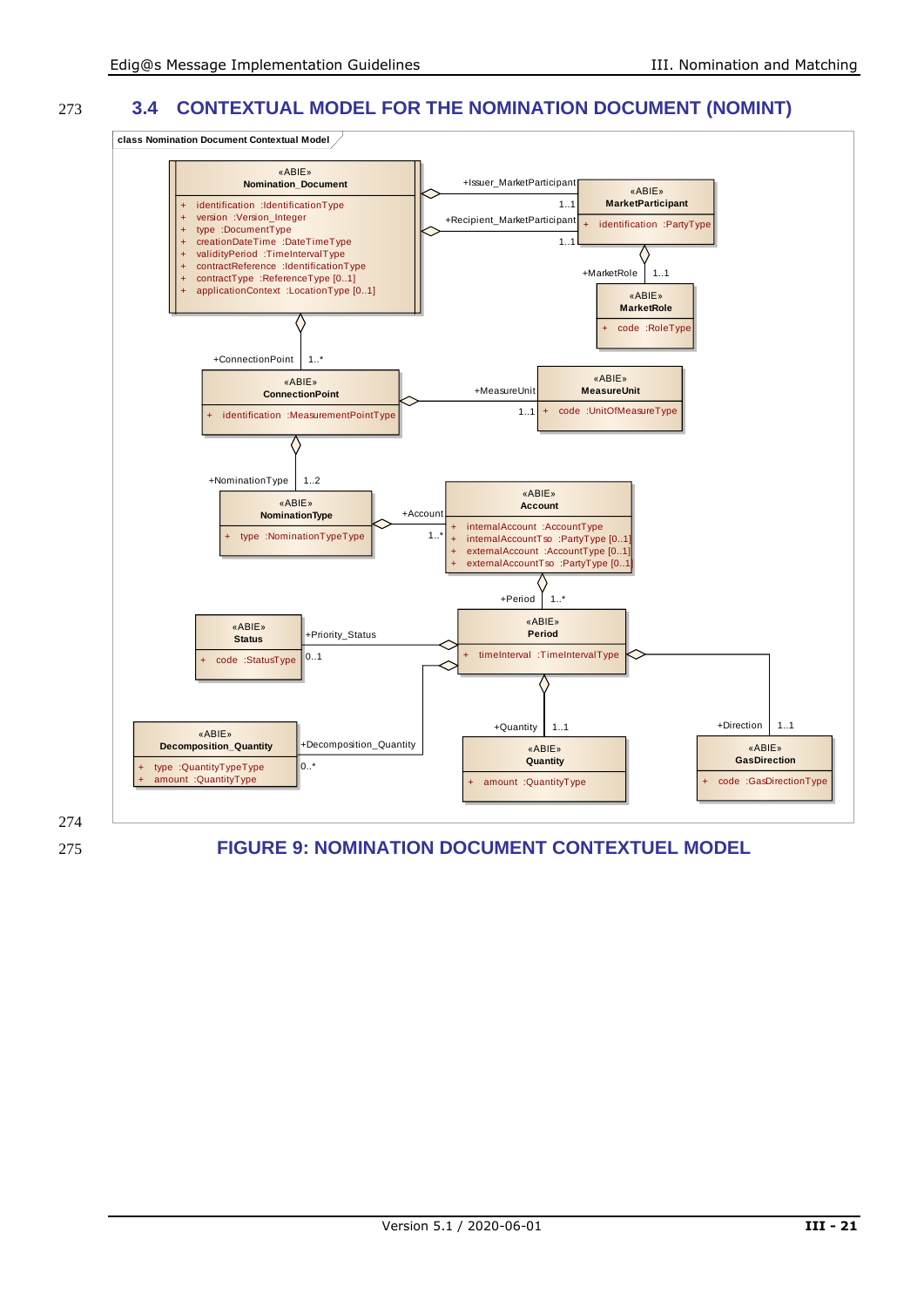#### 273 **3.4 CONTEXTUAL MODEL FOR THE NOMINATION DOCUMENT (NOMINT)**



274

<span id="page-20-0"></span>275 **FIGURE 9: NOMINATION DOCUMENT CONTEXTUEL MODEL**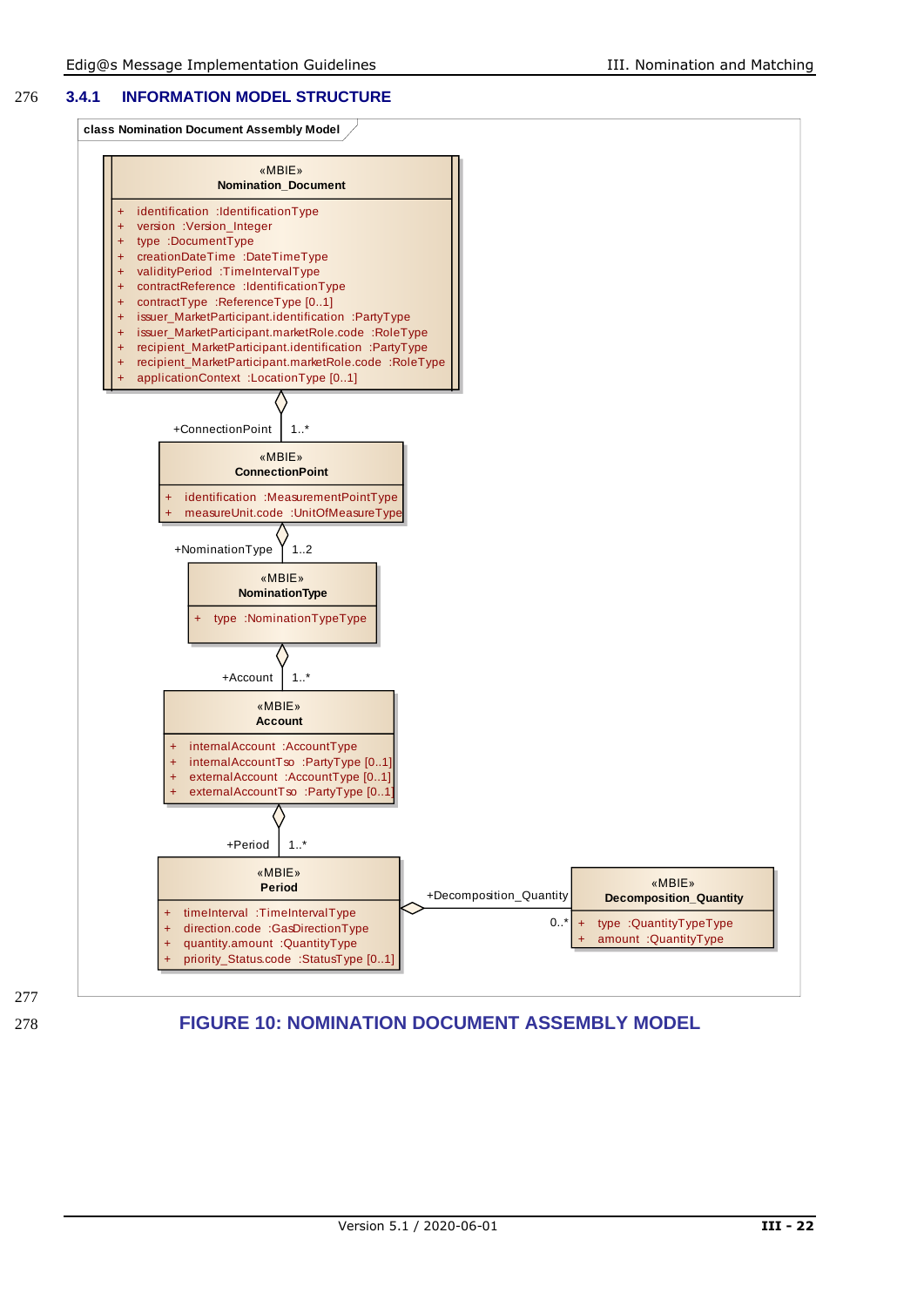#### 276 **3.4.1 INFORMATION MODEL STRUCTURE**

**class Nomination Document Assembly Model**



277

<span id="page-21-0"></span>278 **FIGURE 10: NOMINATION DOCUMENT ASSEMBLY MODEL**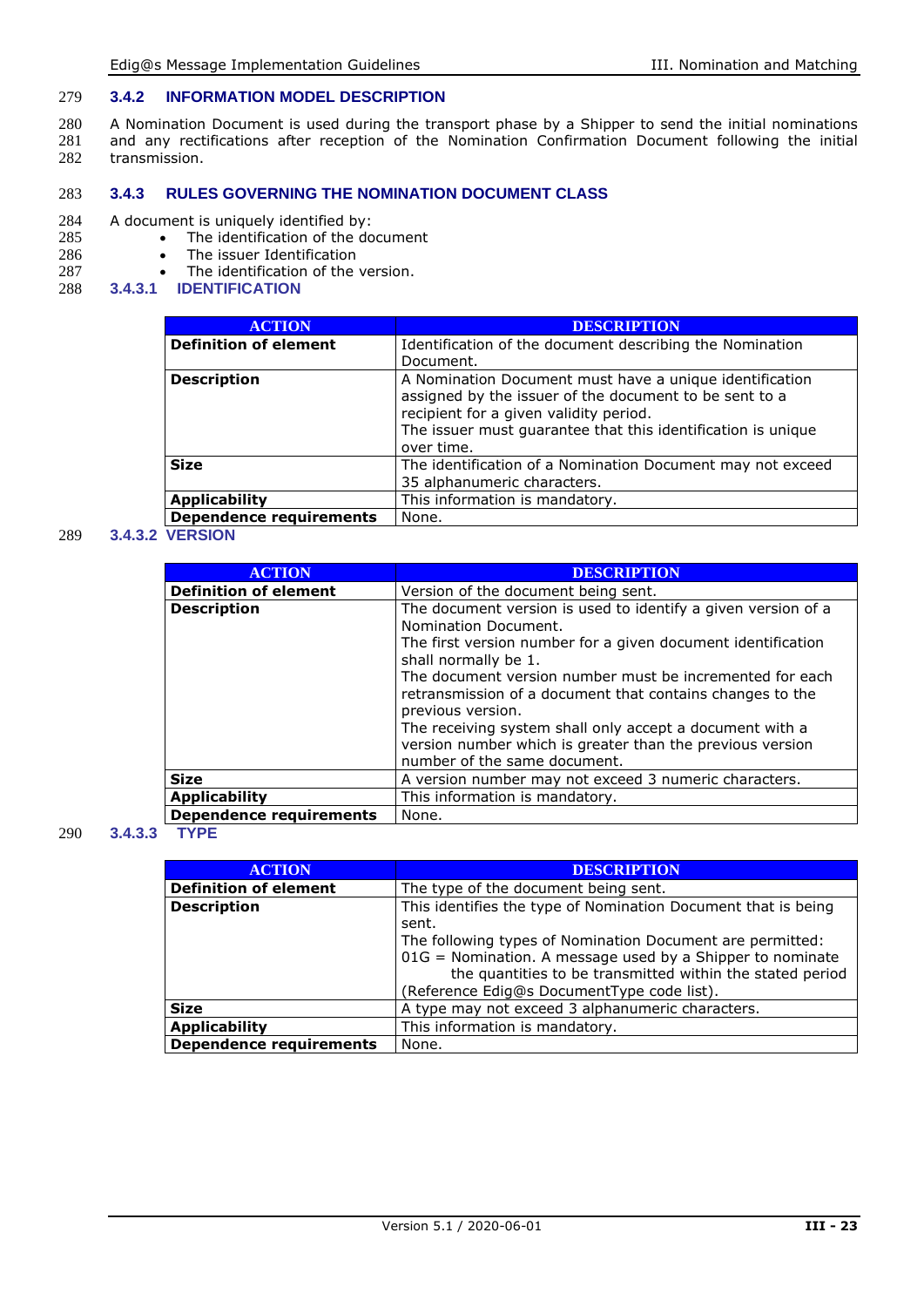#### 279 **3.4.2 INFORMATION MODEL DESCRIPTION**

280 A Nomination Document is used during the transport phase by a Shipper to send the initial nominations 281 and any rectifications after reception of the Nomination Confirmation Document following the initial 282 transmission.

#### 283 **3.4.3 RULES GOVERNING THE NOMINATION DOCUMENT CLASS**

## 284 A document is uniquely identified by:<br>285 • The identification of the do

- 285 The identification of the document<br>286 The issuer Identification
- 286 The issuer Identification<br>287 The identification of the
- 287 The identification of the version.<br>288 **3.4.3.1 IDENTIFICATION**
- 288 **3.4.3.1 IDENTIFICATION**

| <b>ACTION</b>                                                                | <b>DESCRIPTION</b>                                                                                                                                                                                                                        |
|------------------------------------------------------------------------------|-------------------------------------------------------------------------------------------------------------------------------------------------------------------------------------------------------------------------------------------|
| <b>Definition of element</b>                                                 | Identification of the document describing the Nomination<br>Document.                                                                                                                                                                     |
| Description                                                                  | A Nomination Document must have a unique identification<br>assigned by the issuer of the document to be sent to a<br>recipient for a given validity period.<br>The issuer must quarantee that this identification is unique<br>over time. |
| Size                                                                         | The identification of a Nomination Document may not exceed<br>35 alphanumeric characters.                                                                                                                                                 |
| <b>Applicability</b>                                                         | This information is mandatory.                                                                                                                                                                                                            |
| Dependence requirements                                                      | None.                                                                                                                                                                                                                                     |
| $\mathbf{r} = \mathbf{r} \cdot \mathbf{r} \cdot \mathbf{r} \cdot \mathbf{r}$ |                                                                                                                                                                                                                                           |

#### 289 **3.4.3.2 VERSION**

| <b>ACTION</b>                  | <b>DESCRIPTION</b>                                                                                                                                                                                                                        |
|--------------------------------|-------------------------------------------------------------------------------------------------------------------------------------------------------------------------------------------------------------------------------------------|
| <b>Definition of element</b>   | Version of the document being sent.                                                                                                                                                                                                       |
| <b>Description</b>             | The document version is used to identify a given version of a<br>Nomination Document.<br>The first version number for a given document identification<br>shall normally be 1.<br>The document version number must be incremented for each |
|                                | retransmission of a document that contains changes to the<br>previous version.<br>The receiving system shall only accept a document with a<br>version number which is greater than the previous version<br>number of the same document.   |
| <b>Size</b>                    | A version number may not exceed 3 numeric characters.                                                                                                                                                                                     |
| <b>Applicability</b>           | This information is mandatory.                                                                                                                                                                                                            |
| <b>Dependence requirements</b> | None.                                                                                                                                                                                                                                     |

#### 290 **3.4.3.3 TYPE**

| <b>ACTION</b>                  | <b>DESCRIPTION</b>                                            |
|--------------------------------|---------------------------------------------------------------|
| <b>Definition of element</b>   | The type of the document being sent.                          |
| <b>Description</b>             | This identifies the type of Nomination Document that is being |
|                                | sent.                                                         |
|                                | The following types of Nomination Document are permitted:     |
|                                | $01G =$ Nomination. A message used by a Shipper to nominate   |
|                                | the quantities to be transmitted within the stated period     |
|                                | (Reference Edig@s DocumentType code list).                    |
| <b>Size</b>                    | A type may not exceed 3 alphanumeric characters.              |
| <b>Applicability</b>           | This information is mandatory.                                |
| <b>Dependence requirements</b> | None.                                                         |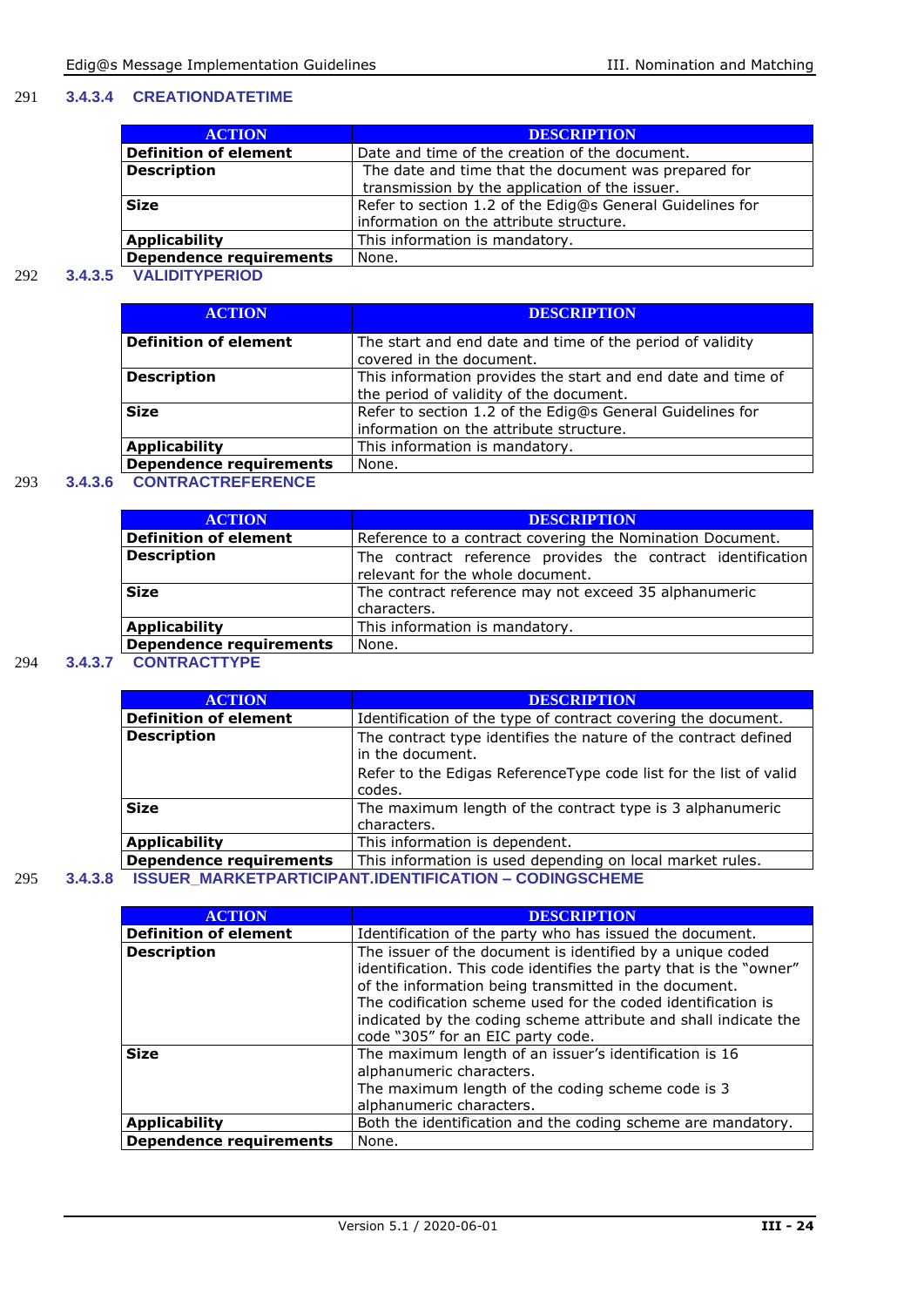#### 291 **3.4.3.4 CREATIONDATETIME**

| <b>ACTION</b>                  | <b>DESCRIPTION</b>                                                                                     |
|--------------------------------|--------------------------------------------------------------------------------------------------------|
| <b>Definition of element</b>   | Date and time of the creation of the document.                                                         |
| <b>Description</b>             | The date and time that the document was prepared for<br>transmission by the application of the issuer. |
| <b>Size</b>                    | Refer to section 1.2 of the Edig@s General Guidelines for<br>information on the attribute structure.   |
| <b>Applicability</b>           | This information is mandatory.                                                                         |
| <b>Dependence requirements</b> | None.                                                                                                  |

#### 292 **3.4.3.5 VALIDITYPERIOD**

| <b>ACTION</b>                  | <b>DESCRIPTION</b>                                                                                      |
|--------------------------------|---------------------------------------------------------------------------------------------------------|
| <b>Definition of element</b>   | The start and end date and time of the period of validity<br>covered in the document.                   |
| <b>Description</b>             | This information provides the start and end date and time of<br>the period of validity of the document. |
| <b>Size</b>                    | Refer to section 1.2 of the Edig@s General Guidelines for<br>information on the attribute structure.    |
| <b>Applicability</b>           | This information is mandatory.                                                                          |
| <b>Dependence requirements</b> | None.                                                                                                   |

#### 293 **3.4.3.6 CONTRACTREFERENCE**

| <b>ACTION</b>                  | <b>DESCRIPTION</b>                                                                              |
|--------------------------------|-------------------------------------------------------------------------------------------------|
| <b>Definition of element</b>   | Reference to a contract covering the Nomination Document.                                       |
| <b>Description</b>             | The contract reference provides the contract identification<br>relevant for the whole document. |
| <b>Size</b>                    | The contract reference may not exceed 35 alphanumeric<br>characters.                            |
| <b>Applicability</b>           | This information is mandatory.                                                                  |
| <b>Dependence requirements</b> | None.                                                                                           |
|                                |                                                                                                 |

#### 294 **3.4.3.7 CONTRACTTYPE**

| <b>ACTION</b>                | <b>DESCRIPTION</b>                                                                  |
|------------------------------|-------------------------------------------------------------------------------------|
| <b>Definition of element</b> | Identification of the type of contract covering the document.                       |
| <b>Description</b>           | The contract type identifies the nature of the contract defined<br>in the document. |
|                              | Refer to the Edigas Reference Type code list for the list of valid<br>codes.        |
| <b>Size</b>                  | The maximum length of the contract type is 3 alphanumeric<br>characters.            |
| <b>Applicability</b>         | This information is dependent.                                                      |
| Dependence requirements      | This information is used depending on local market rules.                           |
|                              | <b>ICCLIED MADKETDADTICIDANT INENTIEICATION _ CONINGCCUEME</b>                      |

#### 295 **3.4.3.8 ISSUER\_MARKETPARTICIPANT.IDENTIFICATION – CODINGSCHEME**

| <b>ACTION</b>                  | <b>DESCRIPTION</b>                                                                                                                                                                                                                                                                                                                                                |
|--------------------------------|-------------------------------------------------------------------------------------------------------------------------------------------------------------------------------------------------------------------------------------------------------------------------------------------------------------------------------------------------------------------|
| <b>Definition of element</b>   | Identification of the party who has issued the document.                                                                                                                                                                                                                                                                                                          |
| <b>Description</b>             | The issuer of the document is identified by a unique coded<br>identification. This code identifies the party that is the "owner"<br>of the information being transmitted in the document.<br>The codification scheme used for the coded identification is<br>indicated by the coding scheme attribute and shall indicate the<br>code "305" for an EIC party code. |
| <b>Size</b>                    | The maximum length of an issuer's identification is 16<br>alphanumeric characters.<br>The maximum length of the coding scheme code is 3<br>alphanumeric characters.                                                                                                                                                                                               |
| <b>Applicability</b>           | Both the identification and the coding scheme are mandatory.                                                                                                                                                                                                                                                                                                      |
| <b>Dependence requirements</b> | None.                                                                                                                                                                                                                                                                                                                                                             |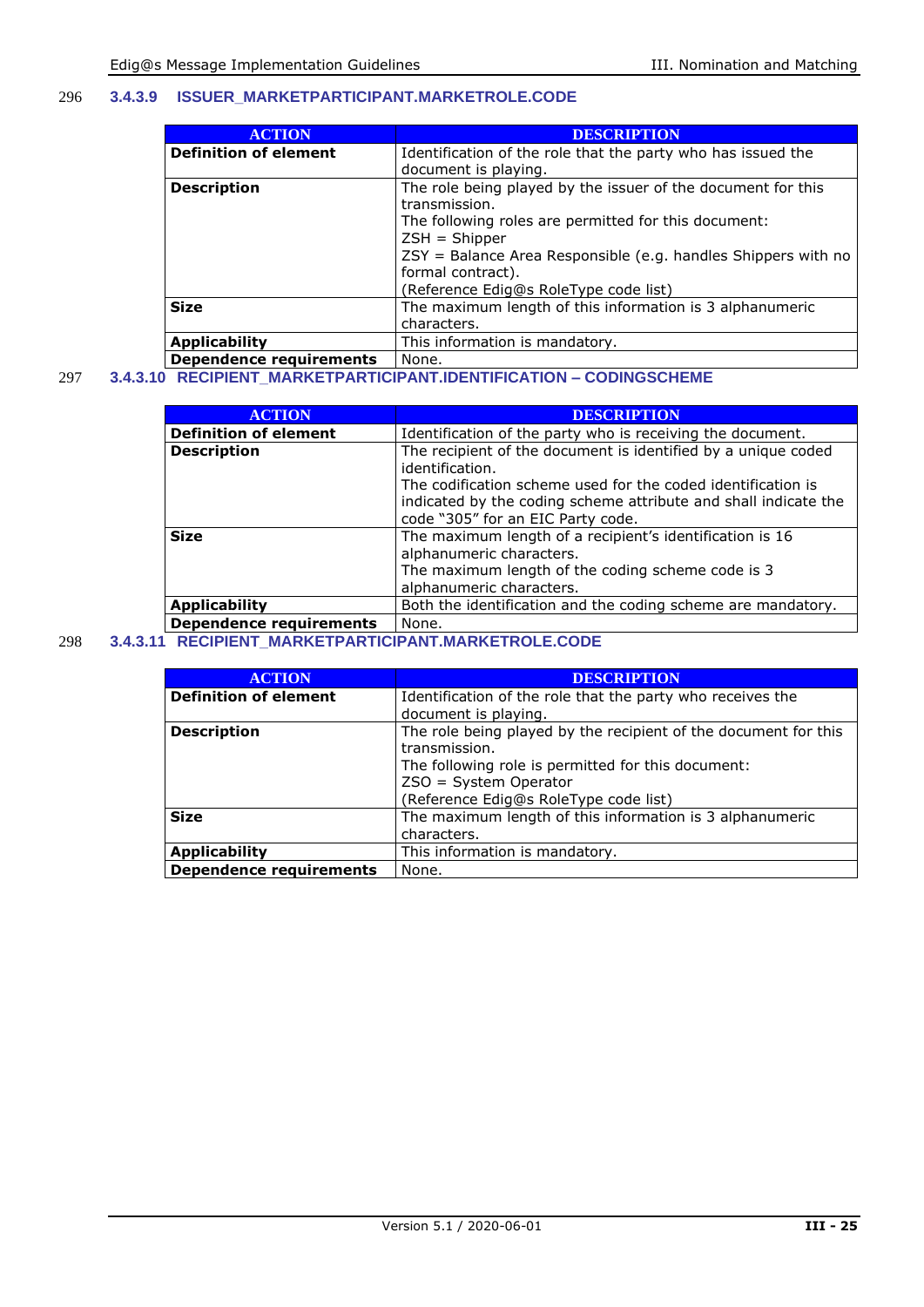#### 296 **3.4.3.9 ISSUER\_MARKETPARTICIPANT.MARKETROLE.CODE**

| <b>ACTION</b>                  | <b>DESCRIPTION</b>                                              |
|--------------------------------|-----------------------------------------------------------------|
| <b>Definition of element</b>   | Identification of the role that the party who has issued the    |
|                                | document is playing.                                            |
| <b>Description</b>             | The role being played by the issuer of the document for this    |
|                                | transmission.                                                   |
|                                | The following roles are permitted for this document:            |
|                                | $ZSH = Shipper$                                                 |
|                                | $ZSY =$ Balance Area Responsible (e.g. handles Shippers with no |
|                                | formal contract).                                               |
|                                | (Reference Edig@s RoleType code list)                           |
| <b>Size</b>                    | The maximum length of this information is 3 alphanumeric        |
|                                | characters.                                                     |
| <b>Applicability</b>           | This information is mandatory.                                  |
| <b>Dependence requirements</b> | None.                                                           |

297 **3.4.3.10 RECIPIENT\_MARKETPARTICIPANT.IDENTIFICATION – CODINGSCHEME**

| <b>ACTION</b>                  | <b>DESCRIPTION</b>                                                                                                                               |
|--------------------------------|--------------------------------------------------------------------------------------------------------------------------------------------------|
| <b>Definition of element</b>   | Identification of the party who is receiving the document.                                                                                       |
| <b>Description</b>             | The recipient of the document is identified by a unique coded<br>identification.<br>The codification scheme used for the coded identification is |
|                                | indicated by the coding scheme attribute and shall indicate the<br>code "305" for an EIC Party code.                                             |
| <b>Size</b>                    | The maximum length of a recipient's identification is 16<br>alphanumeric characters.                                                             |
|                                | The maximum length of the coding scheme code is 3<br>alphanumeric characters.                                                                    |
| <b>Applicability</b>           | Both the identification and the coding scheme are mandatory.                                                                                     |
| <b>Dependence requirements</b> | None.                                                                                                                                            |

#### 298 **3.4.3.11 RECIPIENT\_MARKETPARTICIPANT.MARKETROLE.CODE**

| <b>ACTION</b>                  | <b>DESCRIPTION</b>                                                                                                                                                                                         |
|--------------------------------|------------------------------------------------------------------------------------------------------------------------------------------------------------------------------------------------------------|
| <b>Definition of element</b>   | Identification of the role that the party who receives the<br>document is playing.                                                                                                                         |
| <b>Description</b>             | The role being played by the recipient of the document for this<br>transmission.<br>The following role is permitted for this document:<br>$ZSO = System Operator$<br>(Reference Edig@s RoleType code list) |
| <b>Size</b>                    | The maximum length of this information is 3 alphanumeric<br>characters.                                                                                                                                    |
| <b>Applicability</b>           | This information is mandatory.                                                                                                                                                                             |
| <b>Dependence requirements</b> | None.                                                                                                                                                                                                      |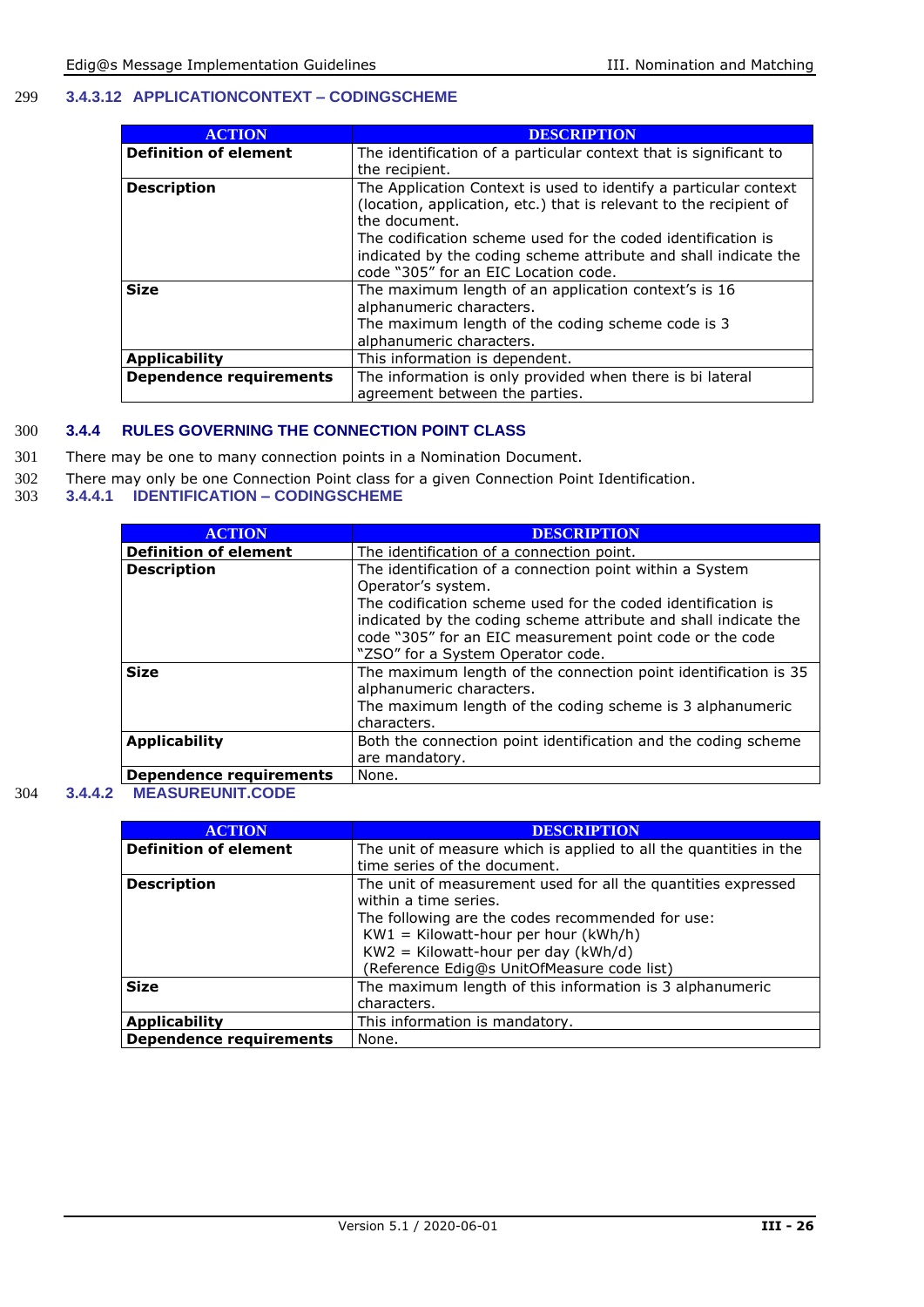#### 299 **3.4.3.12 APPLICATIONCONTEXT – CODINGSCHEME**

| <b>ACTION</b>                  | <b>DESCRIPTION</b>                                                 |
|--------------------------------|--------------------------------------------------------------------|
| <b>Definition of element</b>   | The identification of a particular context that is significant to  |
|                                | the recipient.                                                     |
| <b>Description</b>             | The Application Context is used to identify a particular context   |
|                                | (location, application, etc.) that is relevant to the recipient of |
|                                | the document.                                                      |
|                                | The codification scheme used for the coded identification is       |
|                                | indicated by the coding scheme attribute and shall indicate the    |
|                                | code "305" for an EIC Location code.                               |
| <b>Size</b>                    | The maximum length of an application context's is 16               |
|                                | alphanumeric characters.                                           |
|                                | The maximum length of the coding scheme code is 3                  |
|                                | alphanumeric characters.                                           |
| <b>Applicability</b>           | This information is dependent.                                     |
| <b>Dependence requirements</b> | The information is only provided when there is bi lateral          |
|                                | agreement between the parties.                                     |

#### 300 **3.4.4 RULES GOVERNING THE CONNECTION POINT CLASS**

- 301 There may be one to many connection points in a Nomination Document.
- 302 There may only be one Connection Point class for a given Connection Point Identification.<br>303 3.4.4.1 IDENTIFICATION CODINGSCHEME
- 303 **3.4.4.1 IDENTIFICATION – CODINGSCHEME**

| <b>ACTION</b>                | <b>DESCRIPTION</b>                                              |
|------------------------------|-----------------------------------------------------------------|
| <b>Definition of element</b> | The identification of a connection point.                       |
| <b>Description</b>           | The identification of a connection point within a System        |
|                              | Operator's system.                                              |
|                              | The codification scheme used for the coded identification is    |
|                              | indicated by the coding scheme attribute and shall indicate the |
|                              | code "305" for an EIC measurement point code or the code        |
|                              | "ZSO" for a System Operator code.                               |
| <b>Size</b>                  | The maximum length of the connection point identification is 35 |
|                              | alphanumeric characters.                                        |
|                              | The maximum length of the coding scheme is 3 alphanumeric       |
|                              | characters.                                                     |
| <b>Applicability</b>         | Both the connection point identification and the coding scheme  |
|                              | are mandatory.                                                  |
| Dependence requirements      | None.                                                           |

#### 304 **3.4.4.2 MEASUREUNIT.CODE**

| <b>ACTION</b>                  | <b>DESCRIPTION</b>                                                |
|--------------------------------|-------------------------------------------------------------------|
| <b>Definition of element</b>   | The unit of measure which is applied to all the quantities in the |
|                                | time series of the document.                                      |
| <b>Description</b>             | The unit of measurement used for all the quantities expressed     |
|                                | within a time series.                                             |
|                                | The following are the codes recommended for use:                  |
|                                | $KW1 = Kilowatt-hour per hour (kWh/h)$                            |
|                                | $KW2 = Kilowatt-hour per day (kWh/d)$                             |
|                                | (Reference Edig@s UnitOfMeasure code list)                        |
| <b>Size</b>                    | The maximum length of this information is 3 alphanumeric          |
|                                | characters.                                                       |
| <b>Applicability</b>           | This information is mandatory.                                    |
| <b>Dependence requirements</b> | None.                                                             |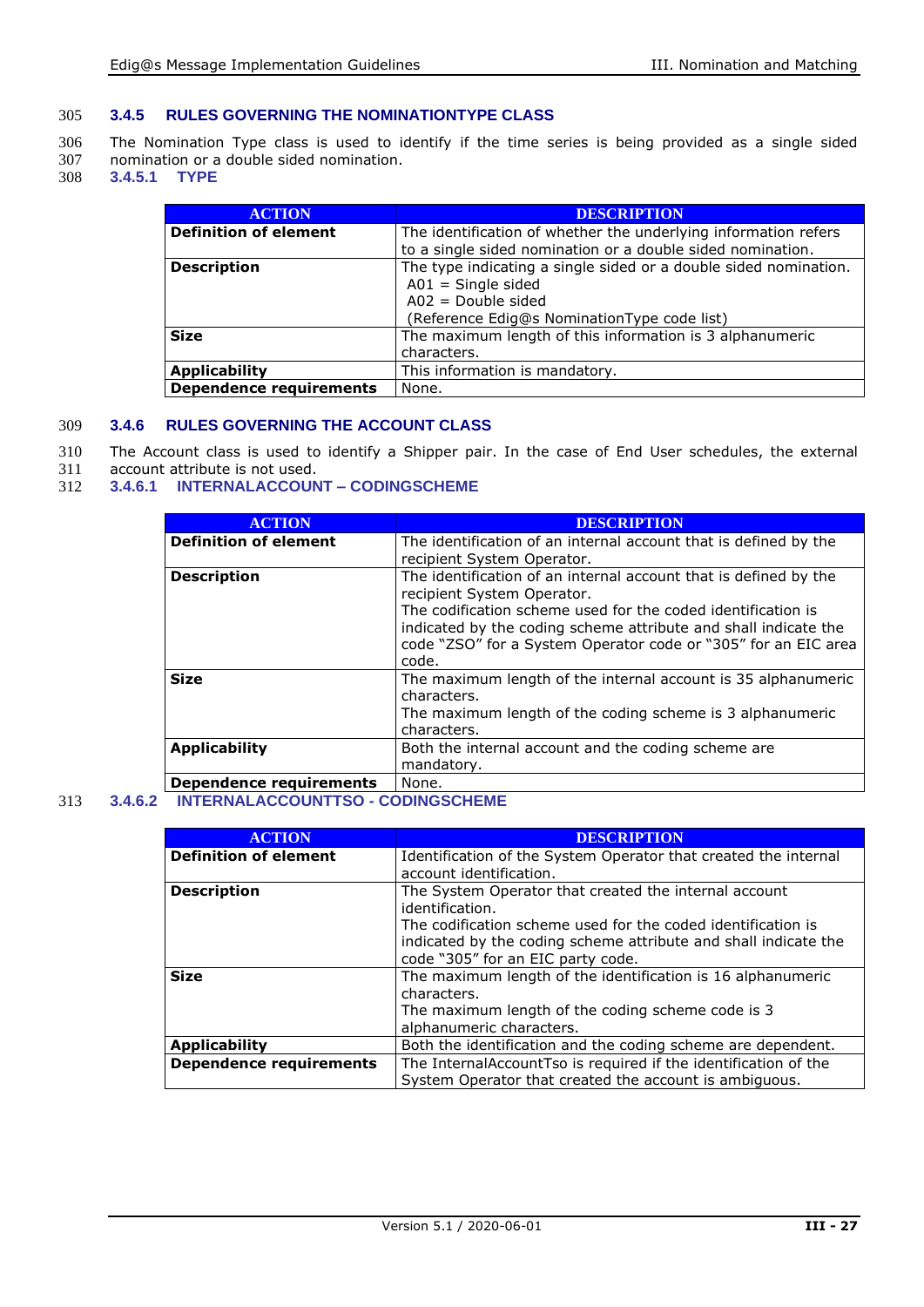#### 305 **3.4.5 RULES GOVERNING THE NOMINATIONTYPE CLASS**

306 The Nomination Type class is used to identify if the time series is being provided as a single sided 307 nomination or a double sided nomination.<br>308 3.4.5.1 TYPE

308 **3.4.5.1 TYPE**

| <b>ACTION</b>                  | <b>DESCRIPTION</b>                                               |
|--------------------------------|------------------------------------------------------------------|
| <b>Definition of element</b>   | The identification of whether the underlying information refers  |
|                                | to a single sided nomination or a double sided nomination.       |
| <b>Description</b>             | The type indicating a single sided or a double sided nomination. |
|                                | $A01 =$ Single sided                                             |
|                                | $A02 = Double side$                                              |
|                                | (Reference Edig@s NominationType code list)                      |
| <b>Size</b>                    | The maximum length of this information is 3 alphanumeric         |
|                                | characters.                                                      |
| Applicability                  | This information is mandatory.                                   |
| <b>Dependence requirements</b> | None.                                                            |

#### 309 **3.4.6 RULES GOVERNING THE ACCOUNT CLASS**

- 310 The Account class is used to identify a Shipper pair. In the case of End User schedules, the external 311 account attribute is not used.
- 311 account attribute is not used.<br>312 3.4.6.1 INTERNALACCOUN

#### 312 **3.4.6.1 INTERNALACCOUNT – CODINGSCHEME**

| <b>ACTION</b>                  | <b>DESCRIPTION</b>                                               |
|--------------------------------|------------------------------------------------------------------|
| <b>Definition of element</b>   | The identification of an internal account that is defined by the |
|                                | recipient System Operator.                                       |
| <b>Description</b>             | The identification of an internal account that is defined by the |
|                                | recipient System Operator.                                       |
|                                | The codification scheme used for the coded identification is     |
|                                | indicated by the coding scheme attribute and shall indicate the  |
|                                | code "ZSO" for a System Operator code or "305" for an EIC area   |
|                                | code.                                                            |
|                                |                                                                  |
| <b>Size</b>                    | The maximum length of the internal account is 35 alphanumeric    |
|                                | characters.                                                      |
|                                | The maximum length of the coding scheme is 3 alphanumeric        |
|                                | characters.                                                      |
| <b>Applicability</b>           | Both the internal account and the coding scheme are              |
|                                |                                                                  |
|                                | mandatory.                                                       |
| <b>Dependence requirements</b> | None.                                                            |

#### 313 **3.4.6.2 INTERNALACCOUNTTSO - CODINGSCHEME**

| <b>ACTION</b>                  | <b>DESCRIPTION</b>                                              |
|--------------------------------|-----------------------------------------------------------------|
| <b>Definition of element</b>   | Identification of the System Operator that created the internal |
|                                | account identification.                                         |
| <b>Description</b>             | The System Operator that created the internal account           |
|                                | identification.                                                 |
|                                | The codification scheme used for the coded identification is    |
|                                | indicated by the coding scheme attribute and shall indicate the |
|                                | code "305" for an EIC party code.                               |
| <b>Size</b>                    | The maximum length of the identification is 16 alphanumeric     |
|                                | characters.                                                     |
|                                | The maximum length of the coding scheme code is 3               |
|                                | alphanumeric characters.                                        |
| <b>Applicability</b>           | Both the identification and the coding scheme are dependent.    |
| <b>Dependence requirements</b> | The InternalAccountTso is required if the identification of the |
|                                | System Operator that created the account is ambiguous.          |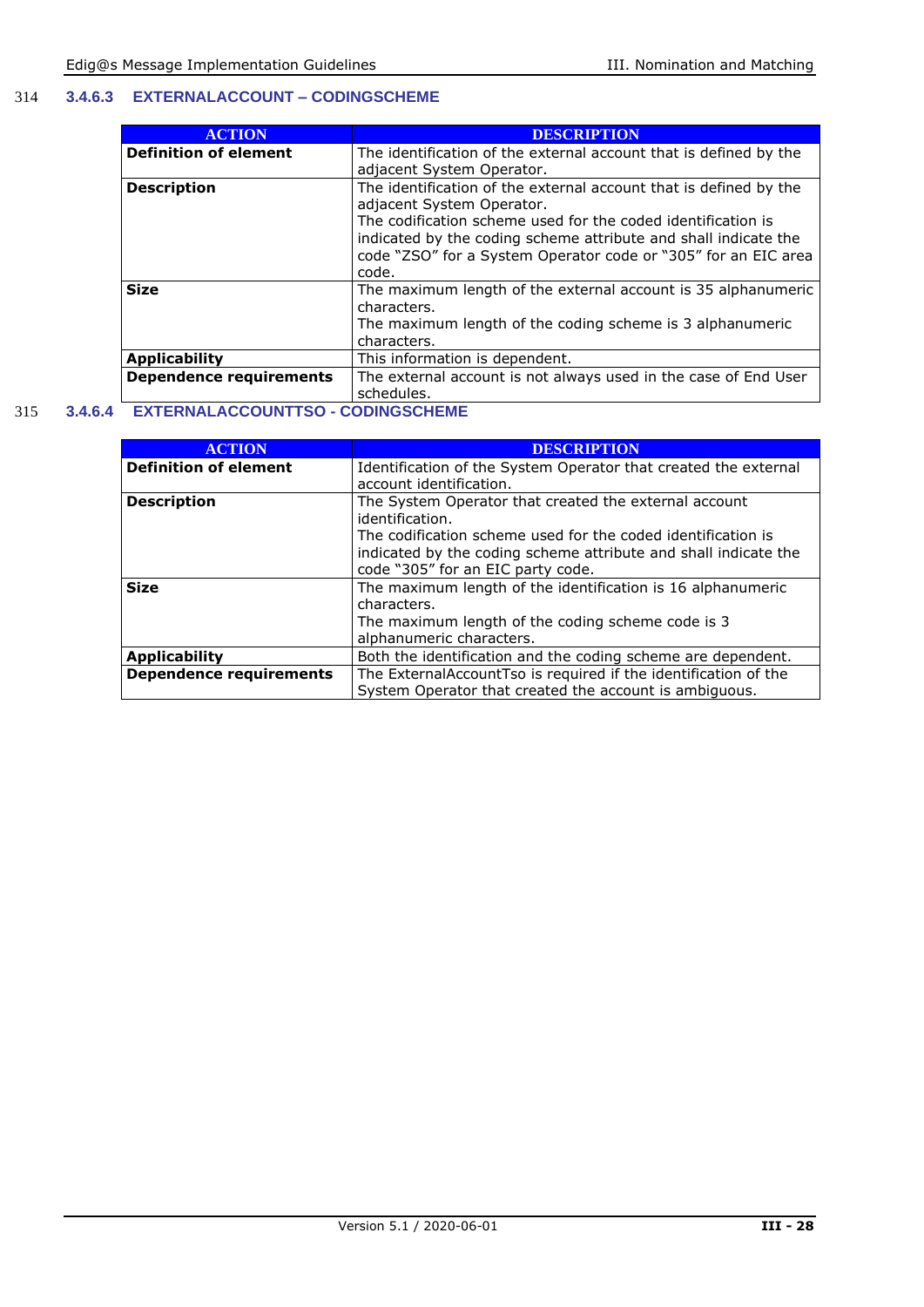#### 314 **3.4.6.3 EXTERNALACCOUNT – CODINGSCHEME**

| <b>ACTION</b>                  | <b>DESCRIPTION</b>                                                |
|--------------------------------|-------------------------------------------------------------------|
| <b>Definition of element</b>   | The identification of the external account that is defined by the |
|                                | adjacent System Operator.                                         |
| <b>Description</b>             | The identification of the external account that is defined by the |
|                                | adjacent System Operator.                                         |
|                                | The codification scheme used for the coded identification is      |
|                                | indicated by the coding scheme attribute and shall indicate the   |
|                                | code "ZSO" for a System Operator code or "305" for an EIC area    |
|                                | code.                                                             |
| <b>Size</b>                    | The maximum length of the external account is 35 alphanumeric     |
|                                | characters.                                                       |
|                                | The maximum length of the coding scheme is 3 alphanumeric         |
|                                | characters.                                                       |
| <b>Applicability</b>           | This information is dependent.                                    |
| <b>Dependence requirements</b> | The external account is not always used in the case of End User   |
|                                | schedules.                                                        |

#### 315 **3.4.6.4 EXTERNALACCOUNTTSO - CODINGSCHEME**

| <b>ACTION</b>                  | <b>DESCRIPTION</b>                                              |
|--------------------------------|-----------------------------------------------------------------|
| <b>Definition of element</b>   | Identification of the System Operator that created the external |
|                                | account identification.                                         |
| <b>Description</b>             | The System Operator that created the external account           |
|                                | identification.                                                 |
|                                | The codification scheme used for the coded identification is    |
|                                | indicated by the coding scheme attribute and shall indicate the |
|                                | code "305" for an EIC party code.                               |
| <b>Size</b>                    | The maximum length of the identification is 16 alphanumeric     |
|                                | characters.                                                     |
|                                | The maximum length of the coding scheme code is 3               |
|                                | alphanumeric characters.                                        |
| <b>Applicability</b>           | Both the identification and the coding scheme are dependent.    |
| <b>Dependence requirements</b> | The ExternalAccountTso is required if the identification of the |
|                                | System Operator that created the account is ambiguous.          |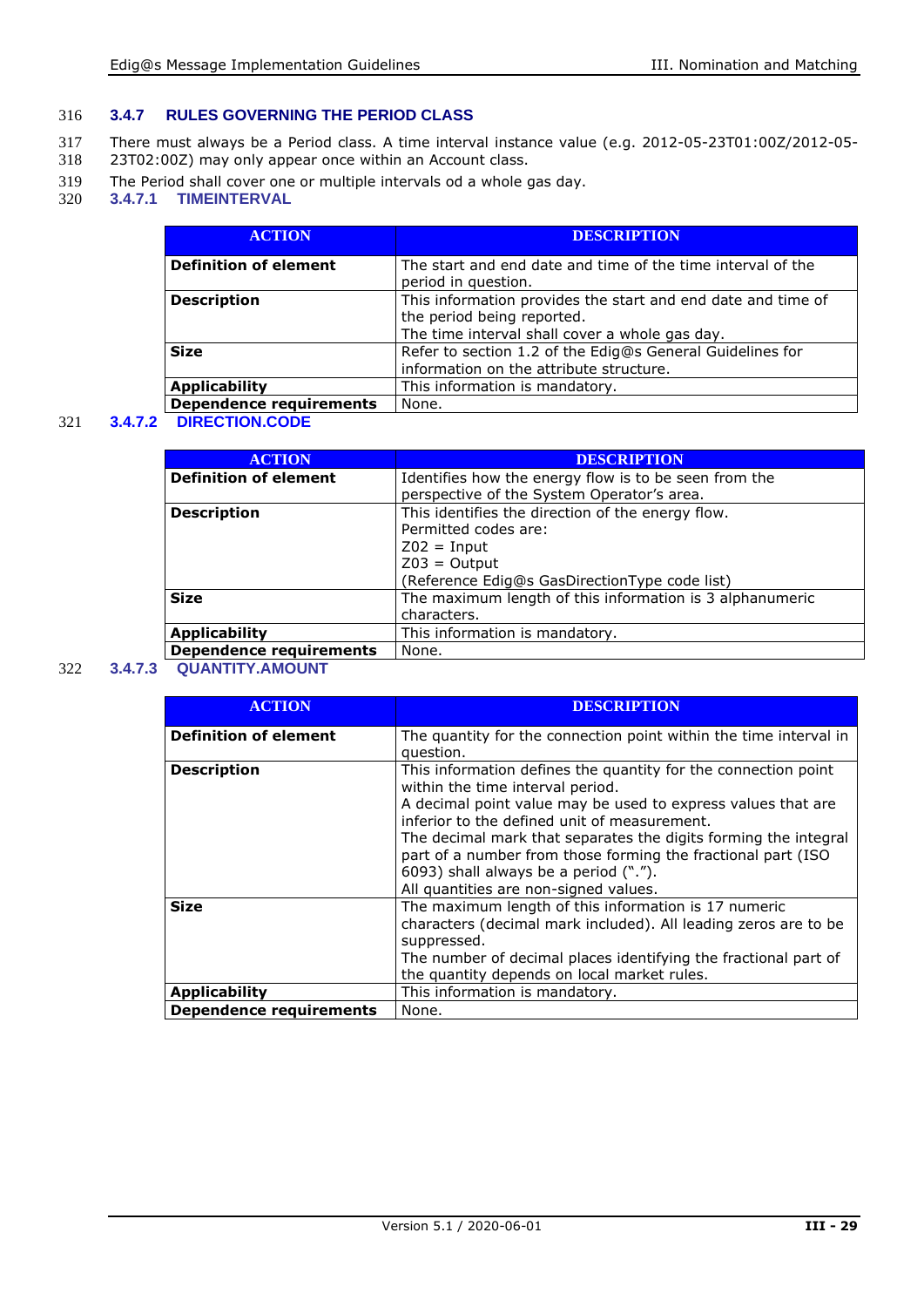#### 316 **3.4.7 RULES GOVERNING THE PERIOD CLASS**

- 317 There must always be a Period class. A time interval instance value (e.g. 2012-05-23T01:00Z/2012-05-<br>318 23T02:00Z) may only appear once within an Account class.
- 23T02:00Z) may only appear once within an Account class.
- 319 The Period shall cover one or multiple intervals od a whole gas day.<br>320 3.4.7.1 TIMEINTERVAL
- 320 **3.4.7.1 TIMEINTERVAL**

| <b>ACTION</b>                  | <b>DESCRIPTION</b>                                                                                                                           |
|--------------------------------|----------------------------------------------------------------------------------------------------------------------------------------------|
| <b>Definition of element</b>   | The start and end date and time of the time interval of the<br>period in question.                                                           |
| <b>Description</b>             | This information provides the start and end date and time of<br>the period being reported.<br>The time interval shall cover a whole gas day. |
| <b>Size</b>                    | Refer to section 1.2 of the Edig@s General Guidelines for<br>information on the attribute structure.                                         |
| <b>Applicability</b>           | This information is mandatory.                                                                                                               |
| <b>Dependence requirements</b> | None.                                                                                                                                        |

#### 321 **3.4.7.2 DIRECTION.CODE**

| <b>ACTION</b>                | <b>DESCRIPTION</b>                                       |
|------------------------------|----------------------------------------------------------|
| <b>Definition of element</b> | Identifies how the energy flow is to be seen from the    |
|                              | perspective of the System Operator's area.               |
| <b>Description</b>           | This identifies the direction of the energy flow.        |
|                              | Permitted codes are:                                     |
|                              | $Z02 = Input$                                            |
|                              | $Z03 =$ Output                                           |
|                              | (Reference Edig@s GasDirectionType code list)            |
| <b>Size</b>                  | The maximum length of this information is 3 alphanumeric |
|                              | characters.                                              |
| <b>Applicability</b>         | This information is mandatory.                           |
| Dependence requirements      | None.                                                    |

#### 322 **3.4.7.3 QUANTITY.AMOUNT**

| <b>ACTION</b>                  | <b>DESCRIPTION</b>                                                                                                                                                                                                                                                                                                                                                                                                                      |
|--------------------------------|-----------------------------------------------------------------------------------------------------------------------------------------------------------------------------------------------------------------------------------------------------------------------------------------------------------------------------------------------------------------------------------------------------------------------------------------|
| <b>Definition of element</b>   | The quantity for the connection point within the time interval in<br>question.                                                                                                                                                                                                                                                                                                                                                          |
| <b>Description</b>             | This information defines the quantity for the connection point<br>within the time interval period.<br>A decimal point value may be used to express values that are<br>inferior to the defined unit of measurement.<br>The decimal mark that separates the digits forming the integral<br>part of a number from those forming the fractional part (ISO<br>6093) shall always be a period (".").<br>All quantities are non-signed values. |
| <b>Size</b>                    | The maximum length of this information is 17 numeric<br>characters (decimal mark included). All leading zeros are to be<br>suppressed.<br>The number of decimal places identifying the fractional part of<br>the quantity depends on local market rules.                                                                                                                                                                                |
| Applicability                  | This information is mandatory.                                                                                                                                                                                                                                                                                                                                                                                                          |
| <b>Dependence requirements</b> | None.                                                                                                                                                                                                                                                                                                                                                                                                                                   |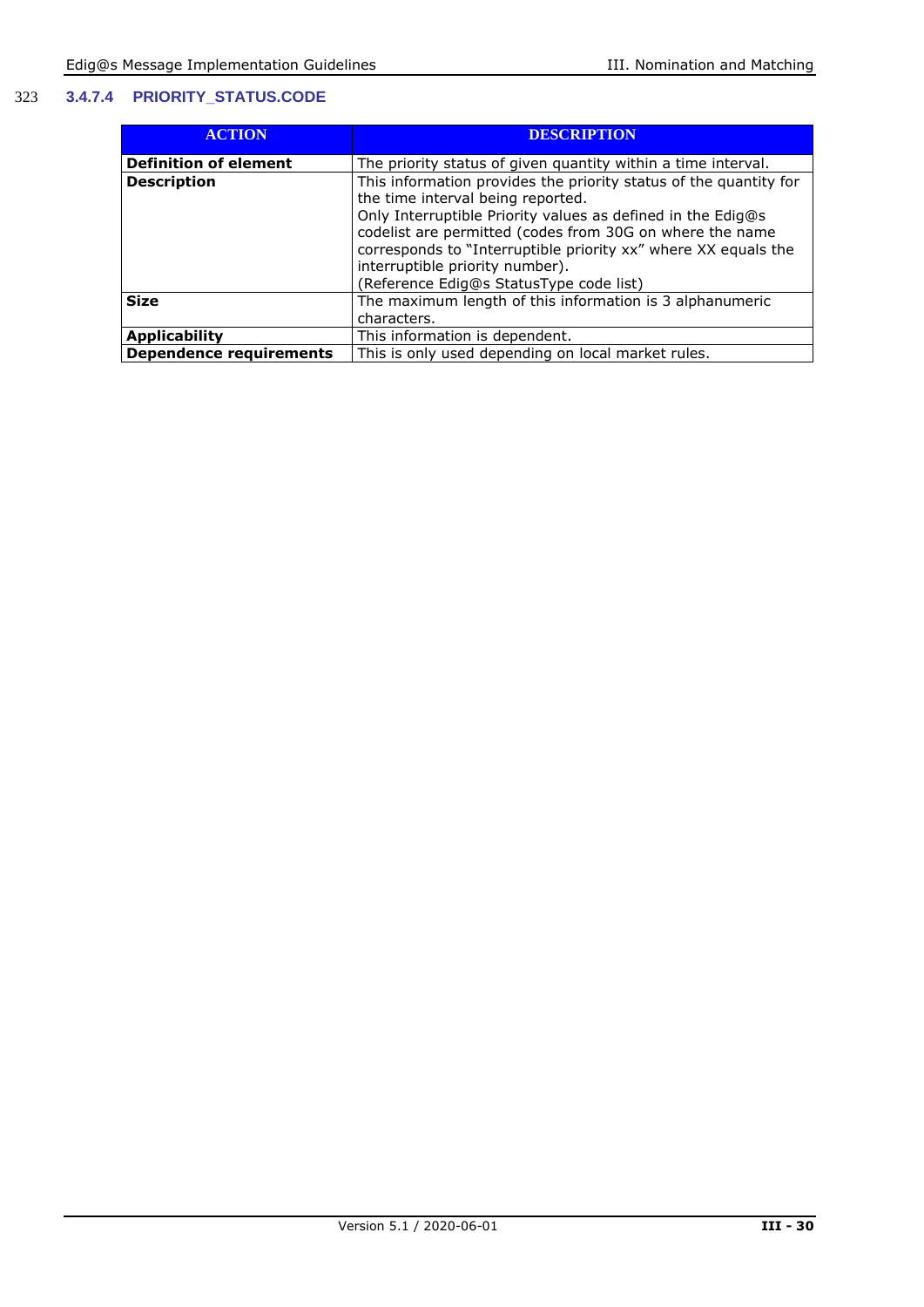#### 323 **3.4.7.4 PRIORITY\_STATUS.CODE**

| <b>ACTION</b>                  | <b>DESCRIPTION</b>                                                                                                                                                                                                                                                                                                                                                                |
|--------------------------------|-----------------------------------------------------------------------------------------------------------------------------------------------------------------------------------------------------------------------------------------------------------------------------------------------------------------------------------------------------------------------------------|
| <b>Definition of element</b>   | The priority status of given quantity within a time interval.                                                                                                                                                                                                                                                                                                                     |
| <b>Description</b>             | This information provides the priority status of the quantity for<br>the time interval being reported.<br>Only Interruptible Priority values as defined in the Edig@s<br>codelist are permitted (codes from 30G on where the name<br>corresponds to "Interruptible priority xx" where XX equals the<br>interruptible priority number).<br>(Reference Edig@s StatusType code list) |
| <b>Size</b>                    | The maximum length of this information is 3 alphanumeric<br>characters.                                                                                                                                                                                                                                                                                                           |
| <b>Applicability</b>           | This information is dependent.                                                                                                                                                                                                                                                                                                                                                    |
| <b>Dependence requirements</b> | This is only used depending on local market rules.                                                                                                                                                                                                                                                                                                                                |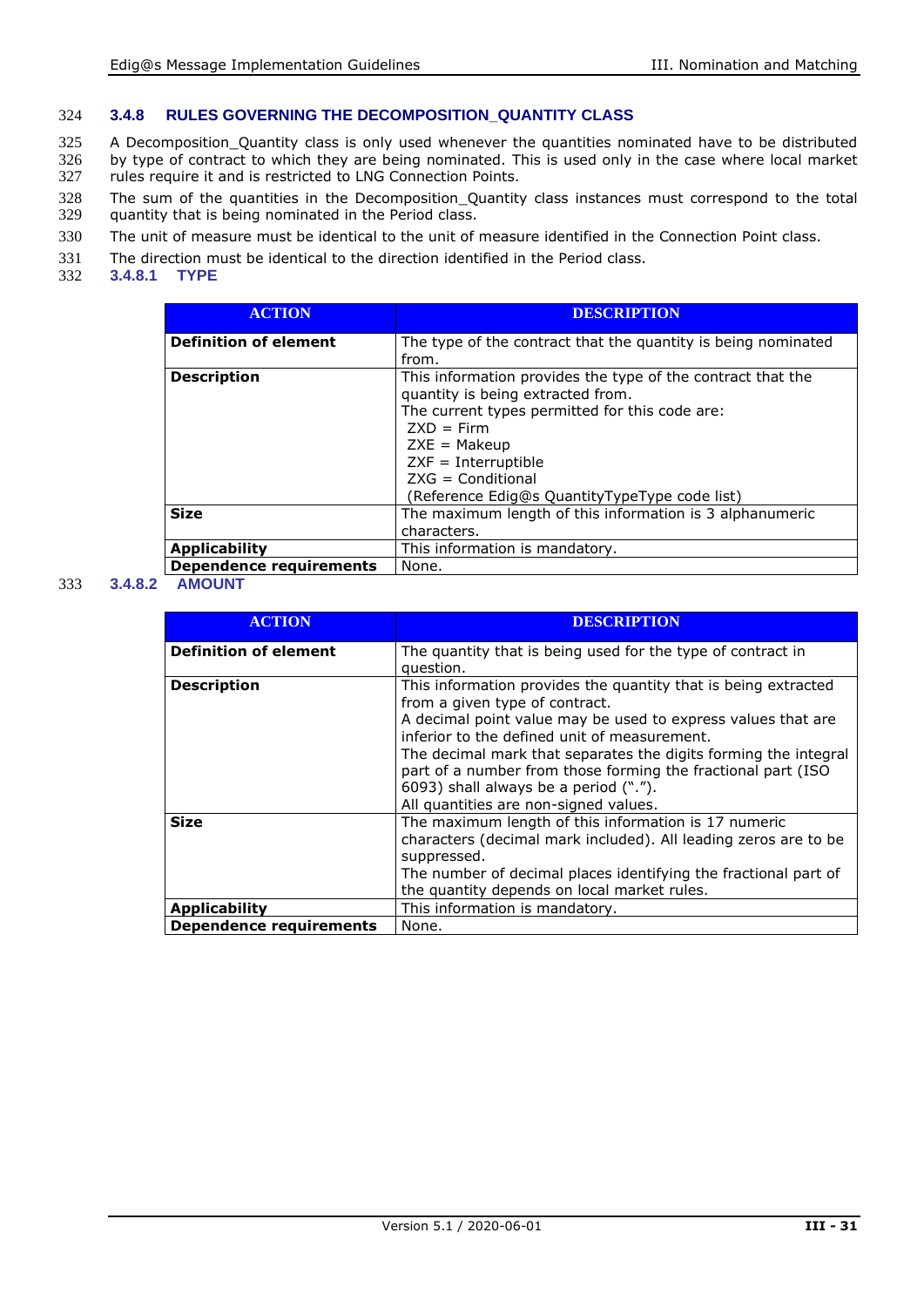#### 324 **3.4.8 RULES GOVERNING THE DECOMPOSITION\_QUANTITY CLASS**

325 A Decomposition\_Quantity class is only used whenever the quantities nominated have to be distributed 326 by type of contract to which they are being nominated. This is used only in the case where local market rules require it and is restricted to LNG Connection Points. rules require it and is restricted to LNG Connection Points.

- 328 The sum of the quantities in the Decomposition\_Quantity class instances must correspond to the total 329 quantity that is being nominated in the Period class. quantity that is being nominated in the Period class.
- 330 The unit of measure must be identical to the unit of measure identified in the Connection Point class.
- 331 The direction must be identical to the direction identified in the Period class.<br>332 3.4.8.1 TYPE
- **3.4.8.1**

| <b>ACTION</b>                  | <b>DESCRIPTION</b>                                                                                                                                                                                                                                                                    |
|--------------------------------|---------------------------------------------------------------------------------------------------------------------------------------------------------------------------------------------------------------------------------------------------------------------------------------|
| <b>Definition of element</b>   | The type of the contract that the quantity is being nominated<br>from.                                                                                                                                                                                                                |
| <b>Description</b>             | This information provides the type of the contract that the<br>quantity is being extracted from.<br>The current types permitted for this code are:<br>$ZXD = Firm$<br>$ZXE = Makeup$<br>$ZXF = Interruptible$<br>$ZXG = Conditional$<br>(Reference Edig@s QuantityTypeType code list) |
| <b>Size</b>                    | The maximum length of this information is 3 alphanumeric<br>characters.                                                                                                                                                                                                               |
| <b>Applicability</b>           | This information is mandatory.                                                                                                                                                                                                                                                        |
| <b>Dependence requirements</b> | None.                                                                                                                                                                                                                                                                                 |

#### 333 **3.4.8.2 AMOUNT**

| <b>ACTION</b>                  | <b>DESCRIPTION</b>                                                                                                                                                       |
|--------------------------------|--------------------------------------------------------------------------------------------------------------------------------------------------------------------------|
| <b>Definition of element</b>   | The quantity that is being used for the type of contract in                                                                                                              |
|                                | question.                                                                                                                                                                |
| <b>Description</b>             | This information provides the quantity that is being extracted<br>from a given type of contract.                                                                         |
|                                | A decimal point value may be used to express values that are<br>inferior to the defined unit of measurement.                                                             |
|                                | The decimal mark that separates the digits forming the integral<br>part of a number from those forming the fractional part (ISO<br>6093) shall always be a period ("."). |
|                                | All quantities are non-signed values.                                                                                                                                    |
| <b>Size</b>                    | The maximum length of this information is 17 numeric<br>characters (decimal mark included). All leading zeros are to be<br>suppressed.                                   |
|                                | The number of decimal places identifying the fractional part of                                                                                                          |
|                                | the quantity depends on local market rules.                                                                                                                              |
| <b>Applicability</b>           | This information is mandatory.                                                                                                                                           |
| <b>Dependence requirements</b> | None.                                                                                                                                                                    |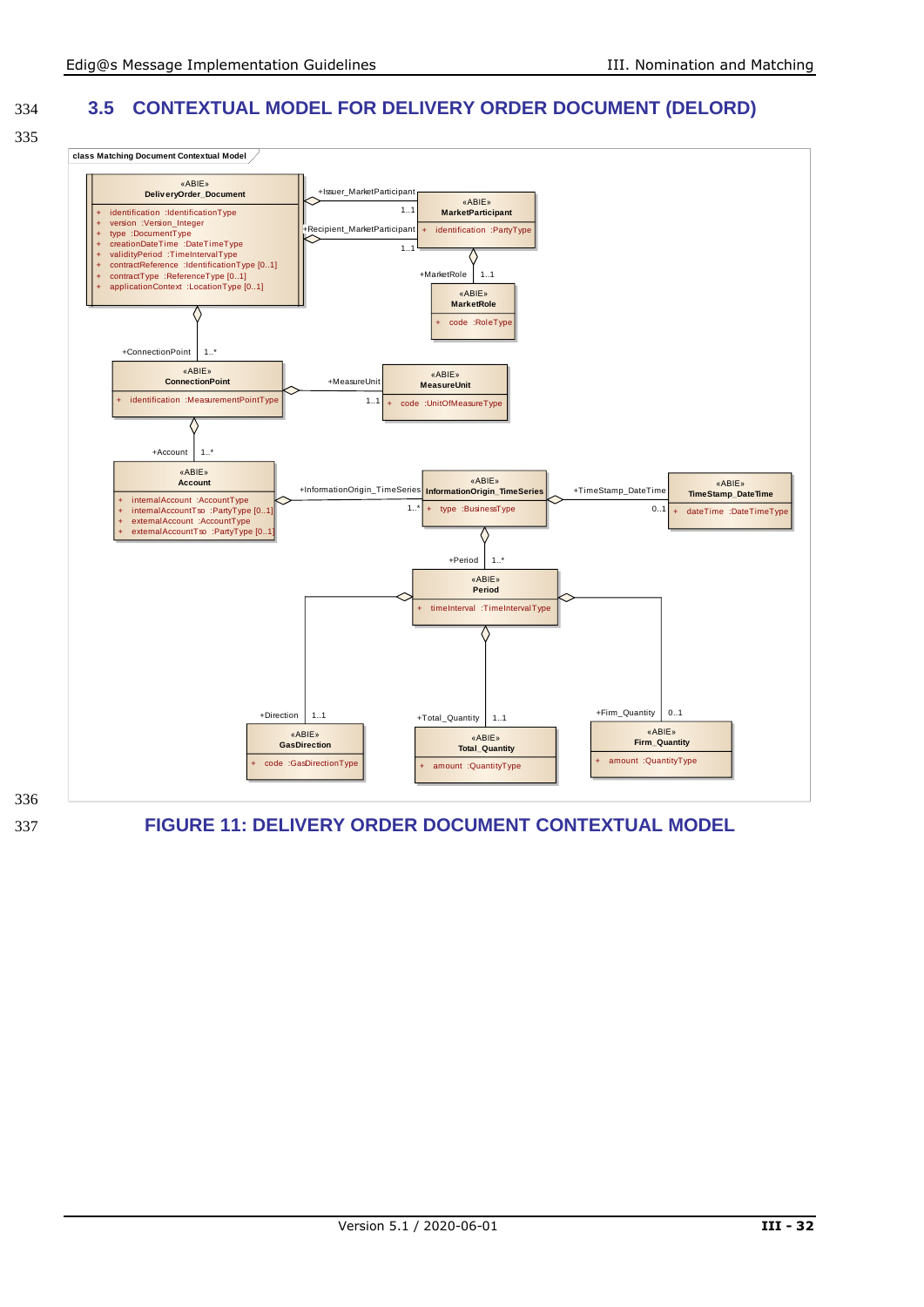334 **3.5 CONTEXTUAL MODEL FOR DELIVERY ORDER DOCUMENT (DELORD)**





<span id="page-31-0"></span>337 **FIGURE 11: DELIVERY ORDER DOCUMENT CONTEXTUAL MODEL**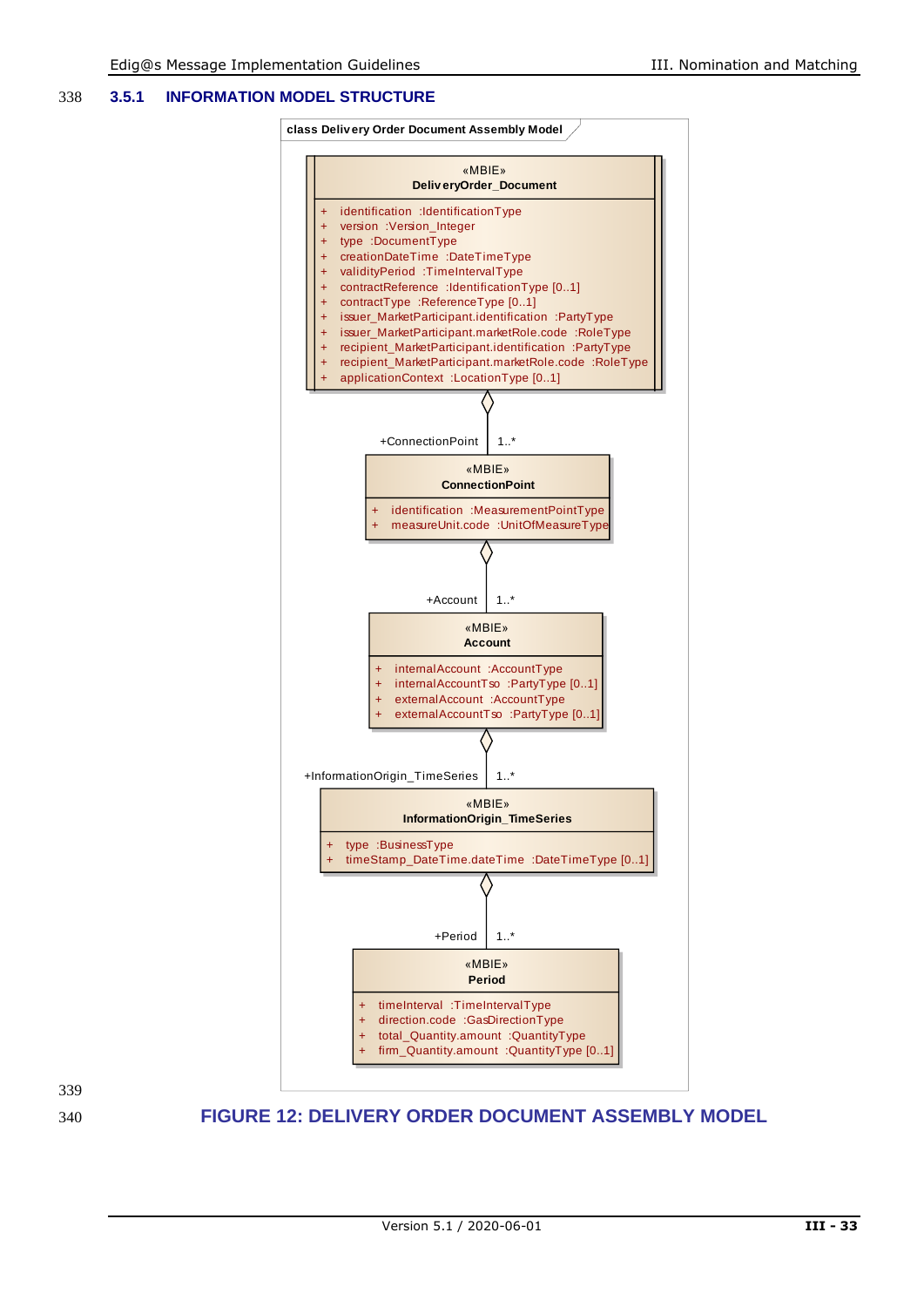#### 338 **3.5.1 INFORMATION MODEL STRUCTURE**



<span id="page-32-0"></span>339

#### 340 **FIGURE 12: DELIVERY ORDER DOCUMENT ASSEMBLY MODEL**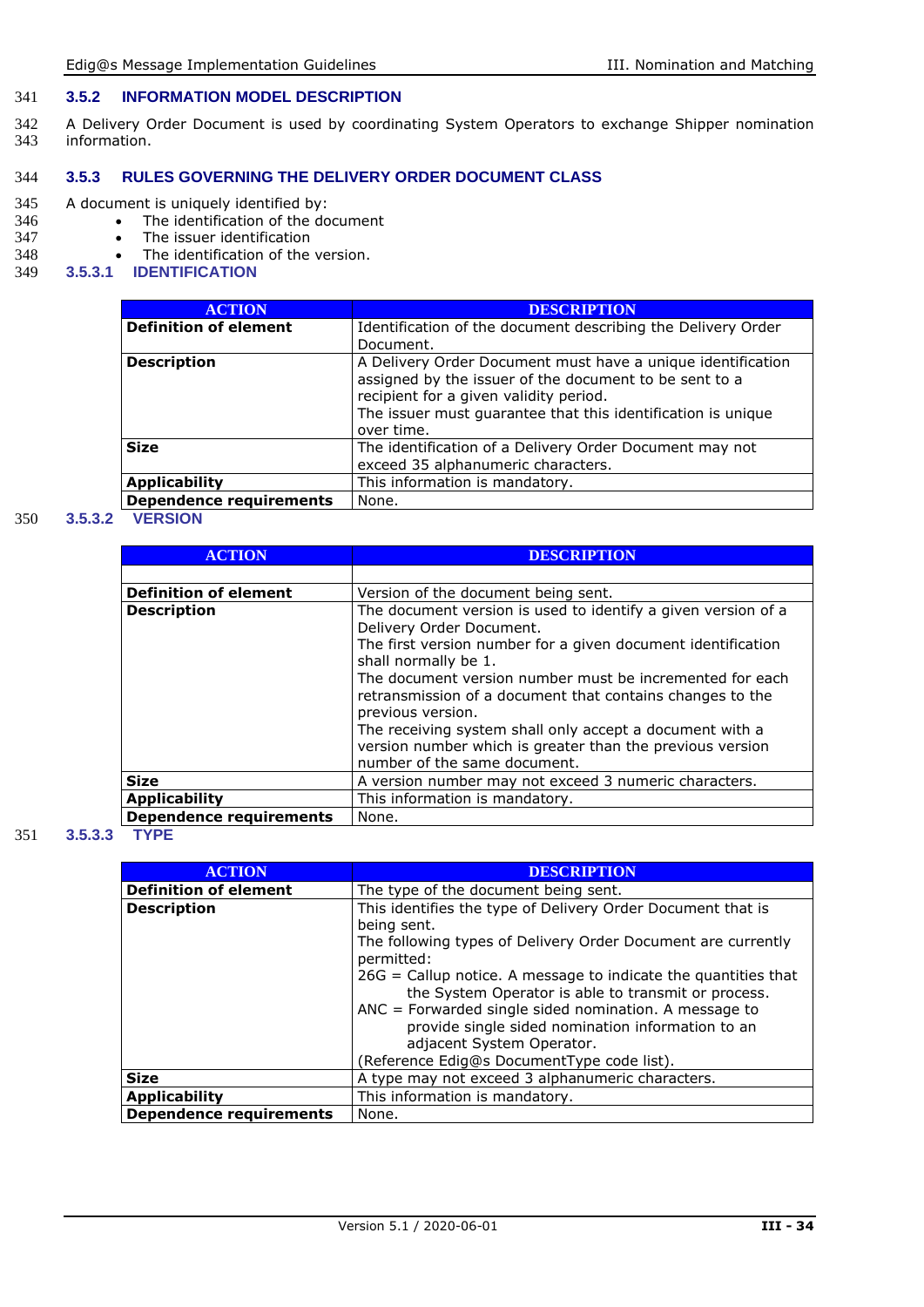#### 341 **3.5.2 INFORMATION MODEL DESCRIPTION**

342 A Delivery Order Document is used by coordinating System Operators to exchange Shipper nomination<br>343 information. information.

#### 344 **3.5.3 RULES GOVERNING THE DELIVERY ORDER DOCUMENT CLASS**

## 345 A document is uniquely identified by:<br>346 • The identification of the do

- 346 The identification of the document<br>347 The issuer identification
- 347 The issuer identification<br>348 The identification of the
- 348 The identification of the version.<br>349 3.5.3.1 IDENTIFICATION
- 349 **3.5.3.1 IDENTIFICATION**

| <b>ACTION</b>                  | <b>DESCRIPTION</b>                                                                                                                                                                                                                            |
|--------------------------------|-----------------------------------------------------------------------------------------------------------------------------------------------------------------------------------------------------------------------------------------------|
| <b>Definition of element</b>   | Identification of the document describing the Delivery Order<br>Document.                                                                                                                                                                     |
| <b>Description</b>             | A Delivery Order Document must have a unique identification<br>assigned by the issuer of the document to be sent to a<br>recipient for a given validity period.<br>The issuer must quarantee that this identification is unique<br>over time. |
| <b>Size</b>                    | The identification of a Delivery Order Document may not<br>exceed 35 alphanumeric characters.                                                                                                                                                 |
| <b>Applicability</b>           | This information is mandatory.                                                                                                                                                                                                                |
| <b>Dependence requirements</b> | None.                                                                                                                                                                                                                                         |

#### 350 **3.5.3.2 VERSION**

| <b>ACTION</b>                  | <b>DESCRIPTION</b>                                                                                                                         |
|--------------------------------|--------------------------------------------------------------------------------------------------------------------------------------------|
|                                |                                                                                                                                            |
| <b>Definition of element</b>   | Version of the document being sent.                                                                                                        |
| <b>Description</b>             | The document version is used to identify a given version of a<br>Delivery Order Document.                                                  |
|                                | The first version number for a given document identification<br>shall normally be 1.                                                       |
|                                | The document version number must be incremented for each<br>retransmission of a document that contains changes to the<br>previous version. |
|                                | The receiving system shall only accept a document with a<br>version number which is greater than the previous version                      |
|                                | number of the same document.                                                                                                               |
| <b>Size</b>                    | A version number may not exceed 3 numeric characters.                                                                                      |
| <b>Applicability</b>           | This information is mandatory.                                                                                                             |
| <b>Dependence requirements</b> | None.                                                                                                                                      |

#### 351 **3.5.3.3 TYPE**

| <b>ACTION</b>                  | <b>DESCRIPTION</b>                                                                                                      |
|--------------------------------|-------------------------------------------------------------------------------------------------------------------------|
| <b>Definition of element</b>   | The type of the document being sent.                                                                                    |
| <b>Description</b>             | This identifies the type of Delivery Order Document that is<br>being sent.                                              |
|                                | The following types of Delivery Order Document are currently<br>permitted:                                              |
|                                | $26G =$ Callup notice. A message to indicate the quantities that<br>the System Operator is able to transmit or process. |
|                                | $ANC = Forwarded single sided nonination. A message to$                                                                 |
|                                | provide single sided nomination information to an                                                                       |
|                                | adjacent System Operator.                                                                                               |
|                                | (Reference Edig@s DocumentType code list).                                                                              |
| <b>Size</b>                    | A type may not exceed 3 alphanumeric characters.                                                                        |
| <b>Applicability</b>           | This information is mandatory.                                                                                          |
| <b>Dependence requirements</b> | None.                                                                                                                   |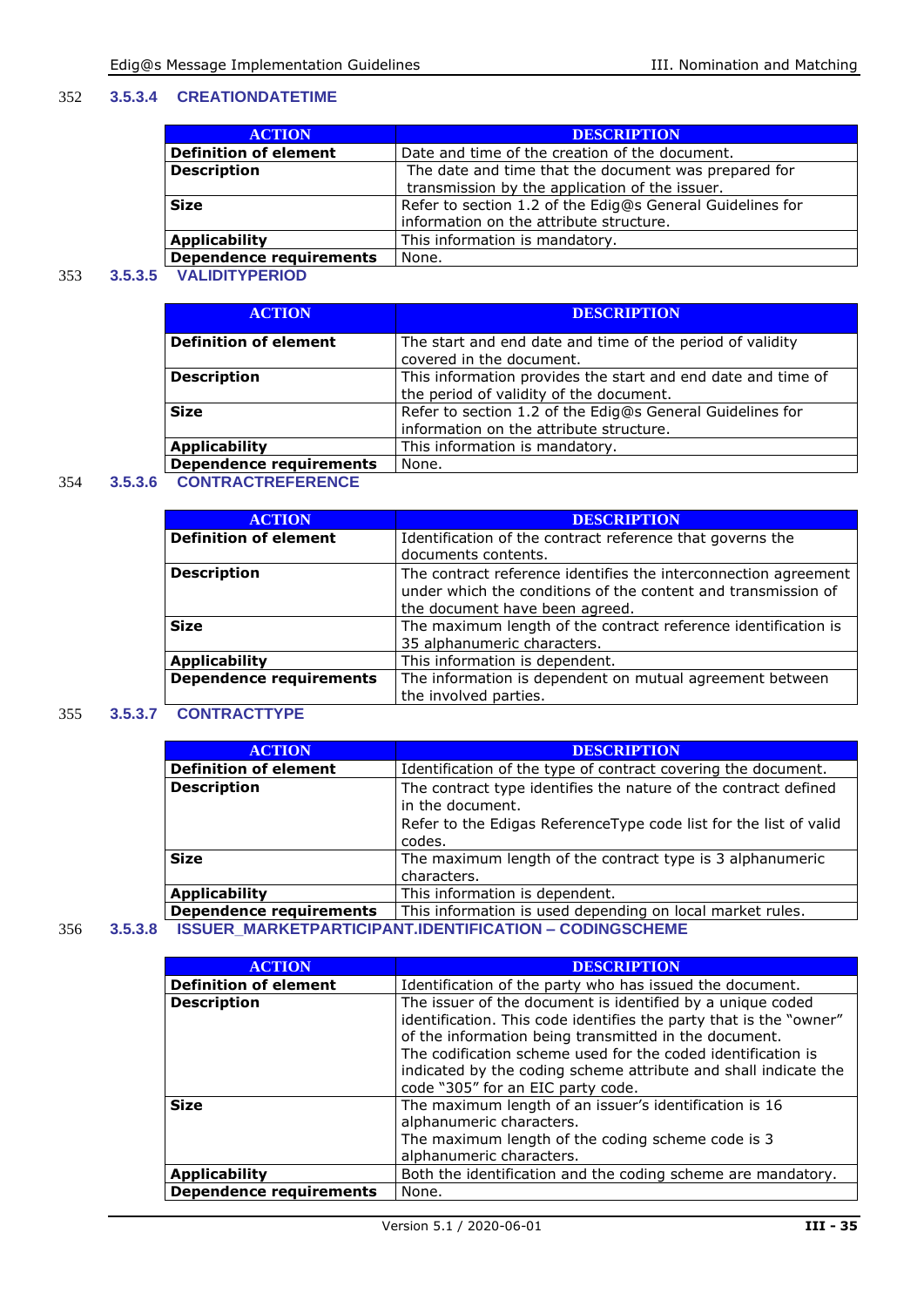#### 352 **3.5.3.4 CREATIONDATETIME**

| <b>ACTION</b>                  | <b>DESCRIPTION</b>                                        |
|--------------------------------|-----------------------------------------------------------|
| <b>Definition of element</b>   | Date and time of the creation of the document.            |
| <b>Description</b>             | The date and time that the document was prepared for      |
|                                | transmission by the application of the issuer.            |
| <b>Size</b>                    | Refer to section 1.2 of the Edig@s General Guidelines for |
|                                | information on the attribute structure.                   |
| <b>Applicability</b>           | This information is mandatory.                            |
| <b>Dependence requirements</b> | None.                                                     |

#### 353 **3.5.3.5 VALIDITYPERIOD**

| <b>ACTION</b>                  | <b>DESCRIPTION</b>                                           |
|--------------------------------|--------------------------------------------------------------|
| <b>Definition of element</b>   | The start and end date and time of the period of validity    |
|                                | covered in the document.                                     |
| <b>Description</b>             | This information provides the start and end date and time of |
|                                | the period of validity of the document.                      |
| <b>Size</b>                    | Refer to section 1.2 of the Edig@s General Guidelines for    |
|                                | information on the attribute structure.                      |
| <b>Applicability</b>           | This information is mandatory.                               |
| <b>Dependence requirements</b> | None.                                                        |

#### 354 **3.5.3.6 CONTRACTREFERENCE**

| <b>DESCRIPTION</b>                                                                                                                                                 |
|--------------------------------------------------------------------------------------------------------------------------------------------------------------------|
| Identification of the contract reference that governs the                                                                                                          |
| documents contents.                                                                                                                                                |
| The contract reference identifies the interconnection agreement<br>under which the conditions of the content and transmission of<br>the document have been agreed. |
| The maximum length of the contract reference identification is<br>35 alphanumeric characters.                                                                      |
| This information is dependent.                                                                                                                                     |
| The information is dependent on mutual agreement between<br>the involved parties.                                                                                  |
|                                                                                                                                                                    |

#### 355 **3.5.3.7 CONTRACTTYPE**

| <b>ACTION</b>                | <b>DESCRIPTION</b>                                                                  |
|------------------------------|-------------------------------------------------------------------------------------|
| <b>Definition of element</b> | Identification of the type of contract covering the document.                       |
| <b>Description</b>           | The contract type identifies the nature of the contract defined<br>in the document. |
|                              | Refer to the Edigas Reference Type code list for the list of valid                  |
|                              | codes.                                                                              |
| <b>Size</b>                  | The maximum length of the contract type is 3 alphanumeric                           |
|                              | characters.                                                                         |
| <b>Applicability</b>         | This information is dependent.                                                      |
| Dependence requirements      | This information is used depending on local market rules.                           |
|                              | ICCHED MADKETDADTICIDANT INENTIEICATION _ CONINGCCUEME                              |

#### 356 **3.5.3.8 ISSUER\_MARKETPARTICIPANT.IDENTIFICATION – CODINGSCHEME**

| <b>ACTION</b>                  | <b>DESCRIPTION</b>                                                                                                                                                                                                                                                                                                                                                |
|--------------------------------|-------------------------------------------------------------------------------------------------------------------------------------------------------------------------------------------------------------------------------------------------------------------------------------------------------------------------------------------------------------------|
| <b>Definition of element</b>   | Identification of the party who has issued the document.                                                                                                                                                                                                                                                                                                          |
| <b>Description</b>             | The issuer of the document is identified by a unique coded<br>identification. This code identifies the party that is the "owner"<br>of the information being transmitted in the document.<br>The codification scheme used for the coded identification is<br>indicated by the coding scheme attribute and shall indicate the<br>code "305" for an EIC party code. |
| <b>Size</b>                    | The maximum length of an issuer's identification is 16<br>alphanumeric characters.<br>The maximum length of the coding scheme code is 3<br>alphanumeric characters.                                                                                                                                                                                               |
| <b>Applicability</b>           | Both the identification and the coding scheme are mandatory.                                                                                                                                                                                                                                                                                                      |
| <b>Dependence requirements</b> | None.                                                                                                                                                                                                                                                                                                                                                             |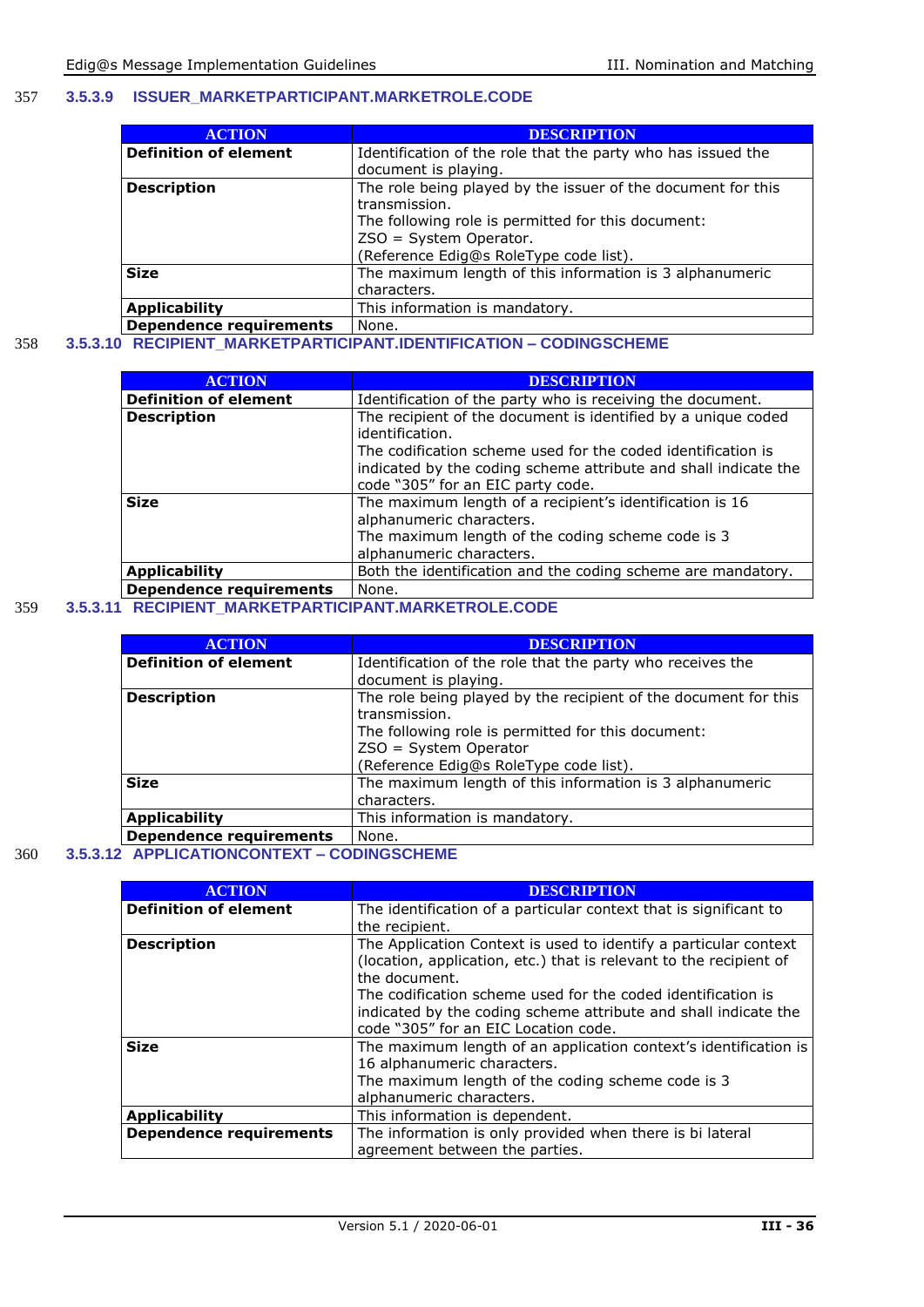#### 357 **3.5.3.9 ISSUER\_MARKETPARTICIPANT.MARKETROLE.CODE**

| <b>ACTION</b>                | <b>DESCRIPTION</b>                                           |
|------------------------------|--------------------------------------------------------------|
| <b>Definition of element</b> | Identification of the role that the party who has issued the |
|                              | document is playing.                                         |
| <b>Description</b>           | The role being played by the issuer of the document for this |
|                              | transmission.                                                |
|                              | The following role is permitted for this document:           |
|                              | $ZSO = System Operator.$                                     |
|                              | (Reference Edig@s RoleType code list).                       |
| <b>Size</b>                  | The maximum length of this information is 3 alphanumeric     |
|                              | characters.                                                  |
| <b>Applicability</b>         | This information is mandatory.                               |
| Dependence requirements      | None.                                                        |

#### 358 **3.5.3.10 RECIPIENT\_MARKETPARTICIPANT.IDENTIFICATION – CODINGSCHEME**

| <b>ACTION</b>                  | <b>DESCRIPTION</b>                                                                                                                                                                                                  |
|--------------------------------|---------------------------------------------------------------------------------------------------------------------------------------------------------------------------------------------------------------------|
| <b>Definition of element</b>   | Identification of the party who is receiving the document.                                                                                                                                                          |
| <b>Description</b>             | The recipient of the document is identified by a unique coded<br>identification.<br>The codification scheme used for the coded identification is<br>indicated by the coding scheme attribute and shall indicate the |
|                                | code "305" for an EIC party code.                                                                                                                                                                                   |
| <b>Size</b>                    | The maximum length of a recipient's identification is 16<br>alphanumeric characters.<br>The maximum length of the coding scheme code is 3<br>alphanumeric characters.                                               |
| <b>Applicability</b>           | Both the identification and the coding scheme are mandatory.                                                                                                                                                        |
| <b>Dependence requirements</b> | None.                                                                                                                                                                                                               |

#### 359 **3.5.3.11 RECIPIENT\_MARKETPARTICIPANT.MARKETROLE.CODE**

| <b>ACTION</b>                  | <b>DESCRIPTION</b>                                              |
|--------------------------------|-----------------------------------------------------------------|
| <b>Definition of element</b>   | Identification of the role that the party who receives the      |
|                                | document is playing.                                            |
| <b>Description</b>             | The role being played by the recipient of the document for this |
|                                | transmission.                                                   |
|                                | The following role is permitted for this document:              |
|                                | ZSO = System Operator                                           |
|                                | (Reference Edig@s RoleType code list).                          |
| <b>Size</b>                    | The maximum length of this information is 3 alphanumeric        |
|                                | characters.                                                     |
| <b>Applicability</b>           | This information is mandatory.                                  |
| <b>Dependence requirements</b> | None.                                                           |

#### 360 **3.5.3.12 APPLICATIONCONTEXT – CODINGSCHEME**

| <b>ACTION</b>                  | <b>DESCRIPTION</b>                                                                                                                                                               |
|--------------------------------|----------------------------------------------------------------------------------------------------------------------------------------------------------------------------------|
| <b>Definition of element</b>   | The identification of a particular context that is significant to                                                                                                                |
|                                | the recipient.                                                                                                                                                                   |
| <b>Description</b>             | The Application Context is used to identify a particular context<br>(location, application, etc.) that is relevant to the recipient of<br>the document.                          |
|                                | The codification scheme used for the coded identification is<br>indicated by the coding scheme attribute and shall indicate the<br>code "305" for an EIC Location code.          |
| <b>Size</b>                    | The maximum length of an application context's identification is<br>16 alphanumeric characters.<br>The maximum length of the coding scheme code is 3<br>alphanumeric characters. |
| <b>Applicability</b>           | This information is dependent.                                                                                                                                                   |
| <b>Dependence requirements</b> | The information is only provided when there is bi lateral<br>agreement between the parties.                                                                                      |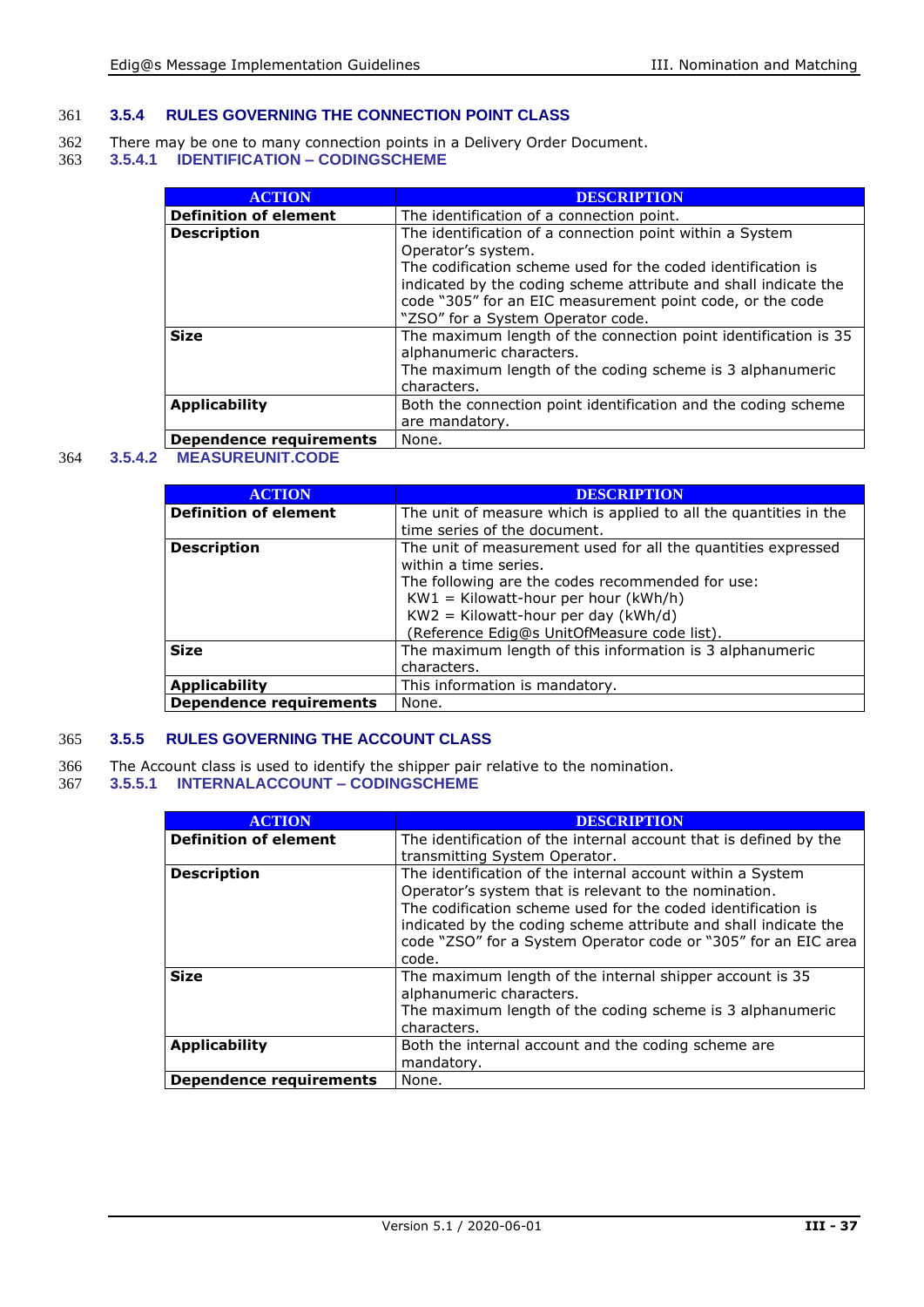#### 361 **3.5.4 RULES GOVERNING THE CONNECTION POINT CLASS**

- 362 There may be one to many connection points in a Delivery Order Document.
- 363 **3.5.4.1 IDENTIFICATION – CODINGSCHEME**

| <b>ACTION</b>                | <b>DESCRIPTION</b>                                                                                                                                                                                                                |
|------------------------------|-----------------------------------------------------------------------------------------------------------------------------------------------------------------------------------------------------------------------------------|
| <b>Definition of element</b> | The identification of a connection point.                                                                                                                                                                                         |
| <b>Description</b>           | The identification of a connection point within a System<br>Operator's system.                                                                                                                                                    |
|                              | The codification scheme used for the coded identification is<br>indicated by the coding scheme attribute and shall indicate the<br>code "305" for an EIC measurement point code, or the code<br>"ZSO" for a System Operator code. |
| <b>Size</b>                  | The maximum length of the connection point identification is 35<br>alphanumeric characters.<br>The maximum length of the coding scheme is 3 alphanumeric<br>characters.                                                           |
| <b>Applicability</b>         | Both the connection point identification and the coding scheme<br>are mandatory.                                                                                                                                                  |
| Dependence requirements      | None.                                                                                                                                                                                                                             |

#### 364 **3.5.4.2 MEASUREUNIT.CODE**

| <b>ACTION</b>                  | <b>DESCRIPTION</b>                                                |
|--------------------------------|-------------------------------------------------------------------|
|                                |                                                                   |
| <b>Definition of element</b>   | The unit of measure which is applied to all the quantities in the |
|                                | time series of the document.                                      |
| <b>Description</b>             | The unit of measurement used for all the quantities expressed     |
|                                | within a time series.                                             |
|                                | The following are the codes recommended for use:                  |
|                                | $KW1 = Kilowatt-hour per hour (kWh/h)$                            |
|                                | $KW2 = Kilowatt-hour per day (kWh/d)$                             |
|                                | (Reference Edig@s UnitOfMeasure code list).                       |
| <b>Size</b>                    | The maximum length of this information is 3 alphanumeric          |
|                                | characters.                                                       |
| <b>Applicability</b>           | This information is mandatory.                                    |
| <b>Dependence requirements</b> | None.                                                             |

#### 365 **3.5.5 RULES GOVERNING THE ACCOUNT CLASS**

- 366 The Account class is used to identify the shipper pair relative to the nomination.
- 367 **3.5.5.1 INTERNALACCOUNT – CODINGSCHEME**

| <b>ACTION</b>                | <b>DESCRIPTION</b>                                                                                                                                                                                                                                                                                                                |
|------------------------------|-----------------------------------------------------------------------------------------------------------------------------------------------------------------------------------------------------------------------------------------------------------------------------------------------------------------------------------|
| <b>Definition of element</b> | The identification of the internal account that is defined by the<br>transmitting System Operator.                                                                                                                                                                                                                                |
| <b>Description</b>           | The identification of the internal account within a System<br>Operator's system that is relevant to the nomination.<br>The codification scheme used for the coded identification is<br>indicated by the coding scheme attribute and shall indicate the<br>code "ZSO" for a System Operator code or "305" for an EIC area<br>code. |
| <b>Size</b>                  | The maximum length of the internal shipper account is 35<br>alphanumeric characters.<br>The maximum length of the coding scheme is 3 alphanumeric<br>characters.                                                                                                                                                                  |
| <b>Applicability</b>         | Both the internal account and the coding scheme are<br>mandatory.                                                                                                                                                                                                                                                                 |
| Dependence requirements      | None.                                                                                                                                                                                                                                                                                                                             |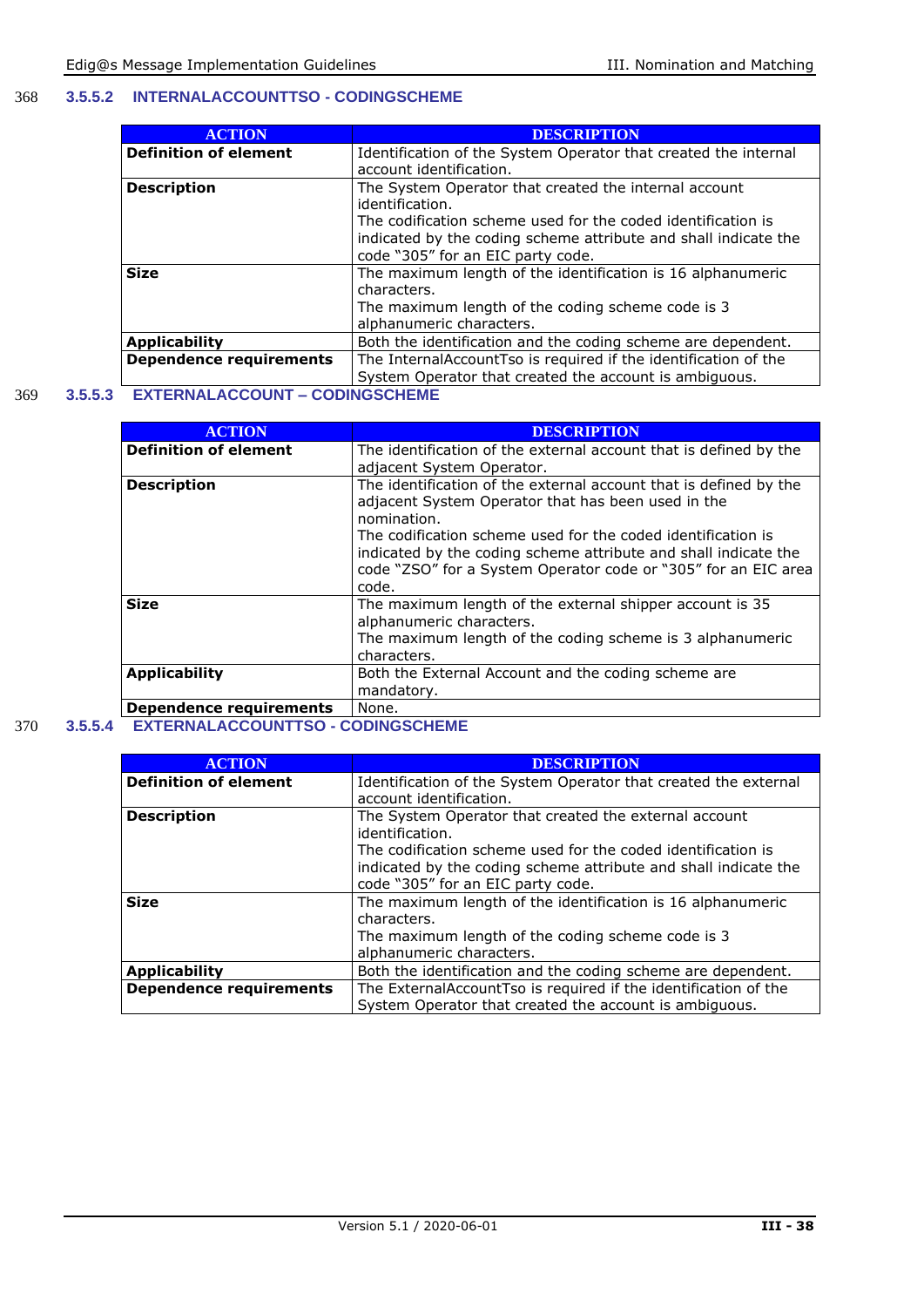#### 368 **3.5.5.2 INTERNALACCOUNTTSO - CODINGSCHEME**

| <b>ACTION</b>                  | <b>DESCRIPTION</b>                                              |
|--------------------------------|-----------------------------------------------------------------|
| <b>Definition of element</b>   | Identification of the System Operator that created the internal |
|                                | account identification.                                         |
| <b>Description</b>             | The System Operator that created the internal account           |
|                                | identification.                                                 |
|                                | The codification scheme used for the coded identification is    |
|                                | indicated by the coding scheme attribute and shall indicate the |
|                                | code "305" for an EIC party code.                               |
| <b>Size</b>                    | The maximum length of the identification is 16 alphanumeric     |
|                                | characters.                                                     |
|                                | The maximum length of the coding scheme code is 3               |
|                                | alphanumeric characters.                                        |
| <b>Applicability</b>           | Both the identification and the coding scheme are dependent.    |
| <b>Dependence requirements</b> | The InternalAccountTso is required if the identification of the |
|                                | System Operator that created the account is ambiguous.          |

#### 369 **3.5.5.3 EXTERNALACCOUNT – CODINGSCHEME**

| <b>ACTION</b>                  | <b>DESCRIPTION</b>                                                                                                                                                                                         |
|--------------------------------|------------------------------------------------------------------------------------------------------------------------------------------------------------------------------------------------------------|
| <b>Definition of element</b>   | The identification of the external account that is defined by the                                                                                                                                          |
|                                | adjacent System Operator.                                                                                                                                                                                  |
| <b>Description</b>             | The identification of the external account that is defined by the<br>adjacent System Operator that has been used in the<br>nomination.                                                                     |
|                                | The codification scheme used for the coded identification is<br>indicated by the coding scheme attribute and shall indicate the<br>code "ZSO" for a System Operator code or "305" for an EIC area<br>code. |
| <b>Size</b>                    | The maximum length of the external shipper account is 35<br>alphanumeric characters.<br>The maximum length of the coding scheme is 3 alphanumeric                                                          |
|                                | characters.                                                                                                                                                                                                |
| <b>Applicability</b>           | Both the External Account and the coding scheme are                                                                                                                                                        |
|                                | mandatory.                                                                                                                                                                                                 |
| <b>Dependence requirements</b> | None.                                                                                                                                                                                                      |

#### 370 **3.5.5.4 EXTERNALACCOUNTTSO - CODINGSCHEME**

| <b>ACTION</b>                  | <b>DESCRIPTION</b>                                                       |
|--------------------------------|--------------------------------------------------------------------------|
| <b>Definition of element</b>   | Identification of the System Operator that created the external          |
|                                | account identification.                                                  |
| <b>Description</b>             | The System Operator that created the external account<br>identification. |
|                                |                                                                          |
|                                | The codification scheme used for the coded identification is             |
|                                | indicated by the coding scheme attribute and shall indicate the          |
|                                | code "305" for an EIC party code.                                        |
| <b>Size</b>                    | The maximum length of the identification is 16 alphanumeric              |
|                                | characters.                                                              |
|                                | The maximum length of the coding scheme code is 3                        |
|                                | alphanumeric characters.                                                 |
| <b>Applicability</b>           | Both the identification and the coding scheme are dependent.             |
| <b>Dependence requirements</b> | The ExternalAccountTso is required if the identification of the          |
|                                | System Operator that created the account is ambiguous.                   |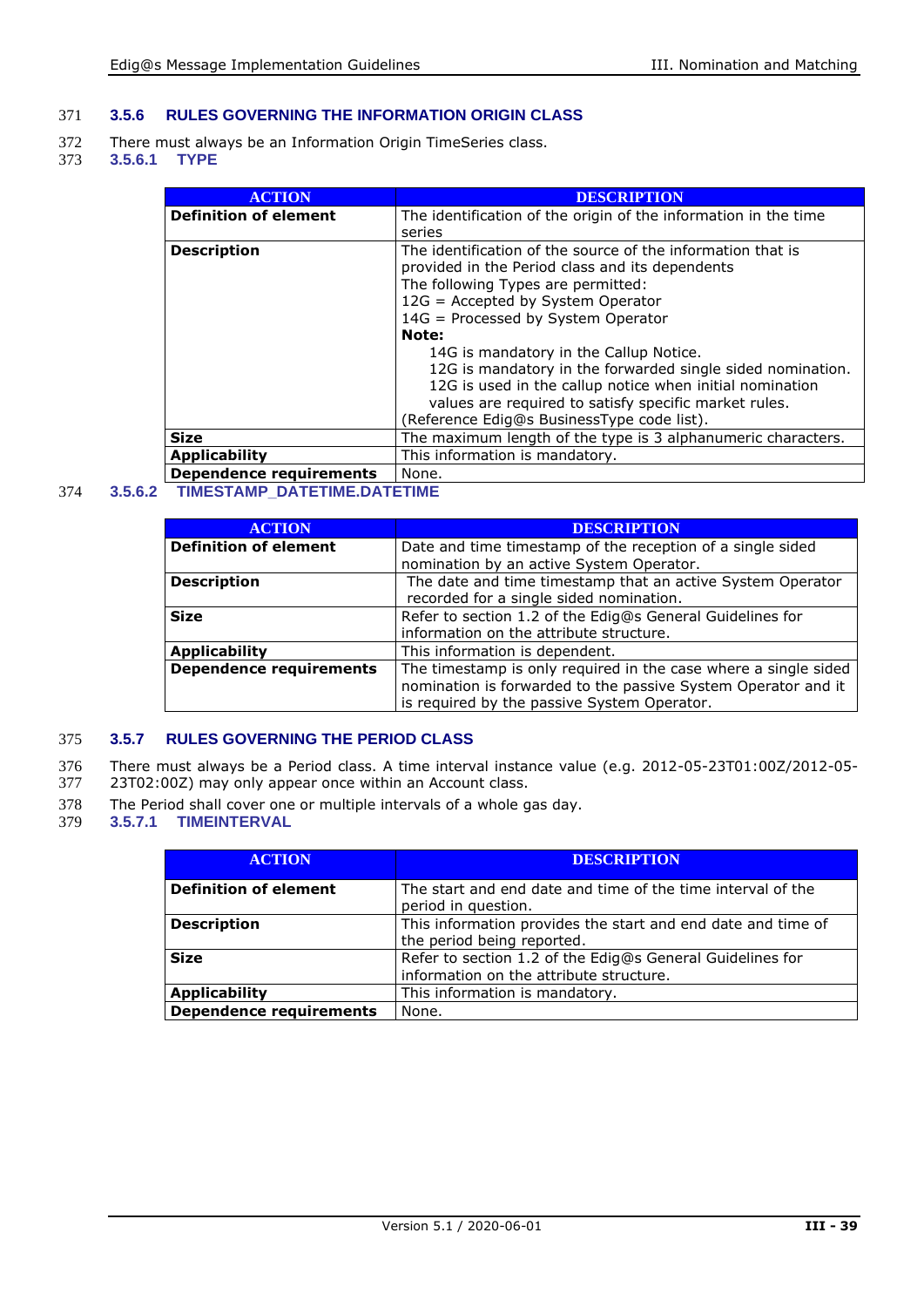#### 371 **3.5.6 RULES GOVERNING THE INFORMATION ORIGIN CLASS**

- 372 There must always be an Information Origin TimeSeries class.<br>373 3.5.6.1 TYPE
- 373 **3.5.6.1 TYPE**

| <b>ACTION</b>                | <b>DESCRIPTION</b>                                              |
|------------------------------|-----------------------------------------------------------------|
| <b>Definition of element</b> | The identification of the origin of the information in the time |
|                              | series                                                          |
| <b>Description</b>           | The identification of the source of the information that is     |
|                              | provided in the Period class and its dependents                 |
|                              | The following Types are permitted:                              |
|                              | 12G = Accepted by System Operator                               |
|                              | 14G = Processed by System Operator                              |
|                              | Note:                                                           |
|                              | 14G is mandatory in the Callup Notice.                          |
|                              | 12G is mandatory in the forwarded single sided nomination.      |
|                              | 12G is used in the callup notice when initial nomination        |
|                              | values are required to satisfy specific market rules.           |
|                              | (Reference Edig@s BusinessType code list).                      |
| <b>Size</b>                  | The maximum length of the type is 3 alphanumeric characters.    |
| <b>Applicability</b>         | This information is mandatory.                                  |
| Dependence requirements      | None.                                                           |

#### 374 **3.5.6.2 TIMESTAMP\_DATETIME.DATETIME**

| <b>ACTION</b>                  | <b>DESCRIPTION</b>                                              |
|--------------------------------|-----------------------------------------------------------------|
| <b>Definition of element</b>   | Date and time timestamp of the reception of a single sided      |
|                                | nomination by an active System Operator.                        |
| <b>Description</b>             | The date and time timestamp that an active System Operator      |
|                                | recorded for a single sided nomination.                         |
| <b>Size</b>                    | Refer to section 1.2 of the Edig@s General Guidelines for       |
|                                | information on the attribute structure.                         |
| <b>Applicability</b>           | This information is dependent.                                  |
| <b>Dependence requirements</b> | The timestamp is only required in the case where a single sided |
|                                | nomination is forwarded to the passive System Operator and it   |
|                                | is required by the passive System Operator.                     |

#### 375 **3.5.7 RULES GOVERNING THE PERIOD CLASS**

- 376 There must always be a Period class. A time interval instance value (e.g. 2012-05-23T01:00Z/2012-05-
- 377 23T02:00Z) may only appear once within an Account class.
- 378 The Period shall cover one or multiple intervals of a whole gas day.<br>379 3.5.7.1 TIMEINTERVAL
- **3.5.7.1 TIMEINTERVAL**

| <b>ACTION</b>                | <b>DESCRIPTION</b>                                                                                   |
|------------------------------|------------------------------------------------------------------------------------------------------|
| <b>Definition of element</b> | The start and end date and time of the time interval of the<br>period in question.                   |
| <b>Description</b>           | This information provides the start and end date and time of<br>the period being reported.           |
| <b>Size</b>                  | Refer to section 1.2 of the Edig@s General Guidelines for<br>information on the attribute structure. |
| <b>Applicability</b>         | This information is mandatory.                                                                       |
| Dependence requirements      | None.                                                                                                |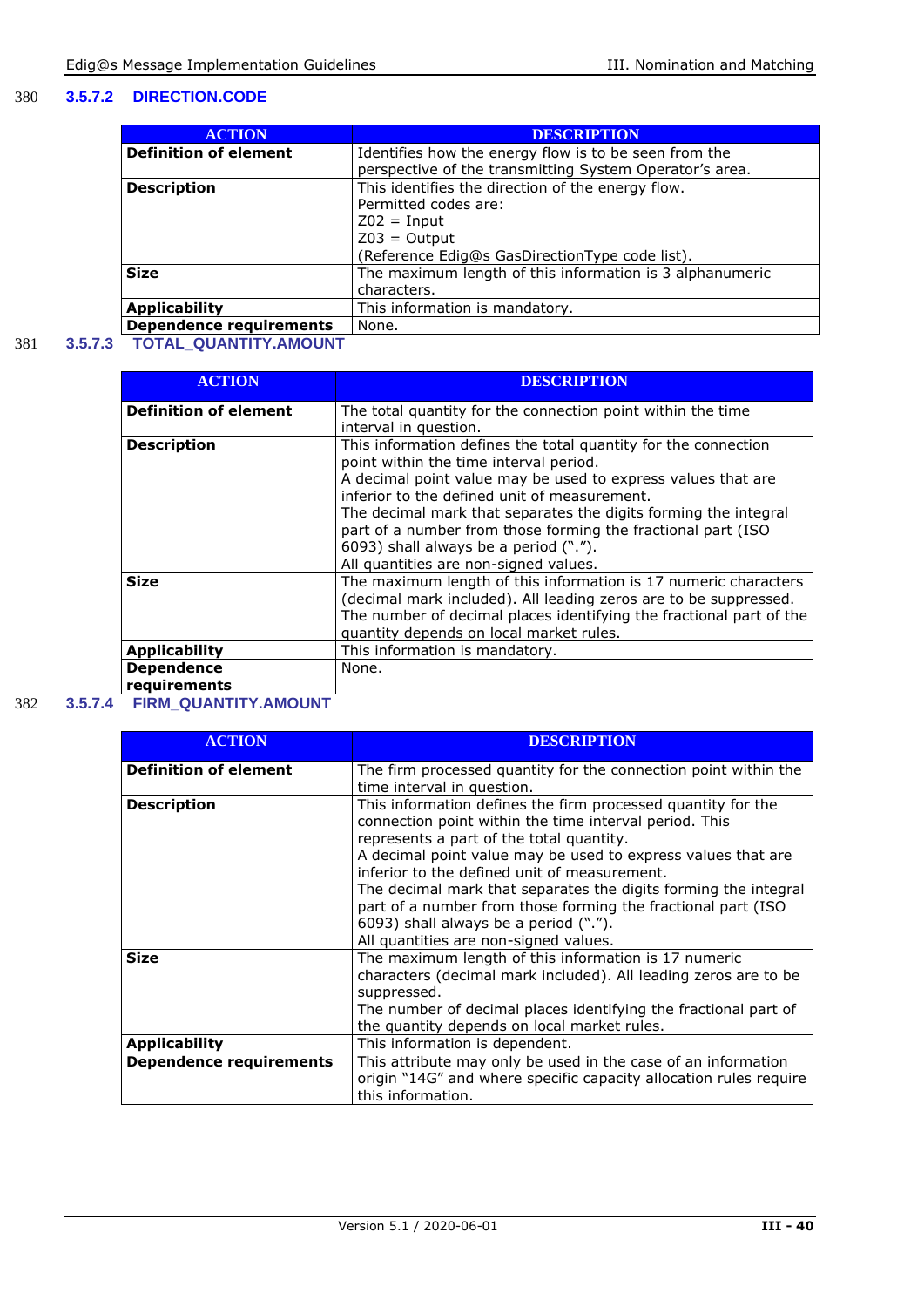#### 380 **3.5.7.2 DIRECTION.CODE**

| <b>ACTION</b>                  | <b>DESCRIPTION</b>                                       |
|--------------------------------|----------------------------------------------------------|
| <b>Definition of element</b>   | Identifies how the energy flow is to be seen from the    |
|                                | perspective of the transmitting System Operator's area.  |
| <b>Description</b>             | This identifies the direction of the energy flow.        |
|                                | Permitted codes are:                                     |
|                                | $Z02 = Input$                                            |
|                                | $Z03 = Output$                                           |
|                                | (Reference Edig@s GasDirectionType code list).           |
| <b>Size</b>                    | The maximum length of this information is 3 alphanumeric |
|                                | characters.                                              |
| <b>Applicability</b>           | This information is mandatory.                           |
| <b>Dependence requirements</b> | None.                                                    |

#### 381 **3.5.7.3 TOTAL\_QUANTITY.AMOUNT**

| <b>ACTION</b>                     | DESCRIPTION                                                                                                                                                                                                                                                                                                                                                                                                                                   |
|-----------------------------------|-----------------------------------------------------------------------------------------------------------------------------------------------------------------------------------------------------------------------------------------------------------------------------------------------------------------------------------------------------------------------------------------------------------------------------------------------|
| <b>Definition of element</b>      | The total quantity for the connection point within the time<br>interval in question.                                                                                                                                                                                                                                                                                                                                                          |
| <b>Description</b>                | This information defines the total quantity for the connection<br>point within the time interval period.<br>A decimal point value may be used to express values that are<br>inferior to the defined unit of measurement.<br>The decimal mark that separates the digits forming the integral<br>part of a number from those forming the fractional part (ISO<br>6093) shall always be a period (".").<br>All quantities are non-signed values. |
| <b>Size</b>                       | The maximum length of this information is 17 numeric characters<br>(decimal mark included). All leading zeros are to be suppressed.<br>The number of decimal places identifying the fractional part of the<br>quantity depends on local market rules.                                                                                                                                                                                         |
| <b>Applicability</b>              | This information is mandatory.                                                                                                                                                                                                                                                                                                                                                                                                                |
| <b>Dependence</b><br>requirements | None.                                                                                                                                                                                                                                                                                                                                                                                                                                         |

#### 382 **3.5.7.4 FIRM\_QUANTITY.AMOUNT**

| <b>ACTION</b>                  | <b>DESCRIPTION</b>                                                                                                                                                                                                                                                                                                                                                                                                                                                                                      |
|--------------------------------|---------------------------------------------------------------------------------------------------------------------------------------------------------------------------------------------------------------------------------------------------------------------------------------------------------------------------------------------------------------------------------------------------------------------------------------------------------------------------------------------------------|
| <b>Definition of element</b>   | The firm processed quantity for the connection point within the<br>time interval in question.                                                                                                                                                                                                                                                                                                                                                                                                           |
| <b>Description</b>             | This information defines the firm processed quantity for the<br>connection point within the time interval period. This<br>represents a part of the total quantity.<br>A decimal point value may be used to express values that are<br>inferior to the defined unit of measurement.<br>The decimal mark that separates the digits forming the integral<br>part of a number from those forming the fractional part (ISO<br>6093) shall always be a period (".").<br>All quantities are non-signed values. |
| <b>Size</b>                    | The maximum length of this information is 17 numeric<br>characters (decimal mark included). All leading zeros are to be<br>suppressed.<br>The number of decimal places identifying the fractional part of<br>the quantity depends on local market rules.                                                                                                                                                                                                                                                |
| <b>Applicability</b>           | This information is dependent.                                                                                                                                                                                                                                                                                                                                                                                                                                                                          |
| <b>Dependence requirements</b> | This attribute may only be used in the case of an information<br>origin "14G" and where specific capacity allocation rules require<br>this information.                                                                                                                                                                                                                                                                                                                                                 |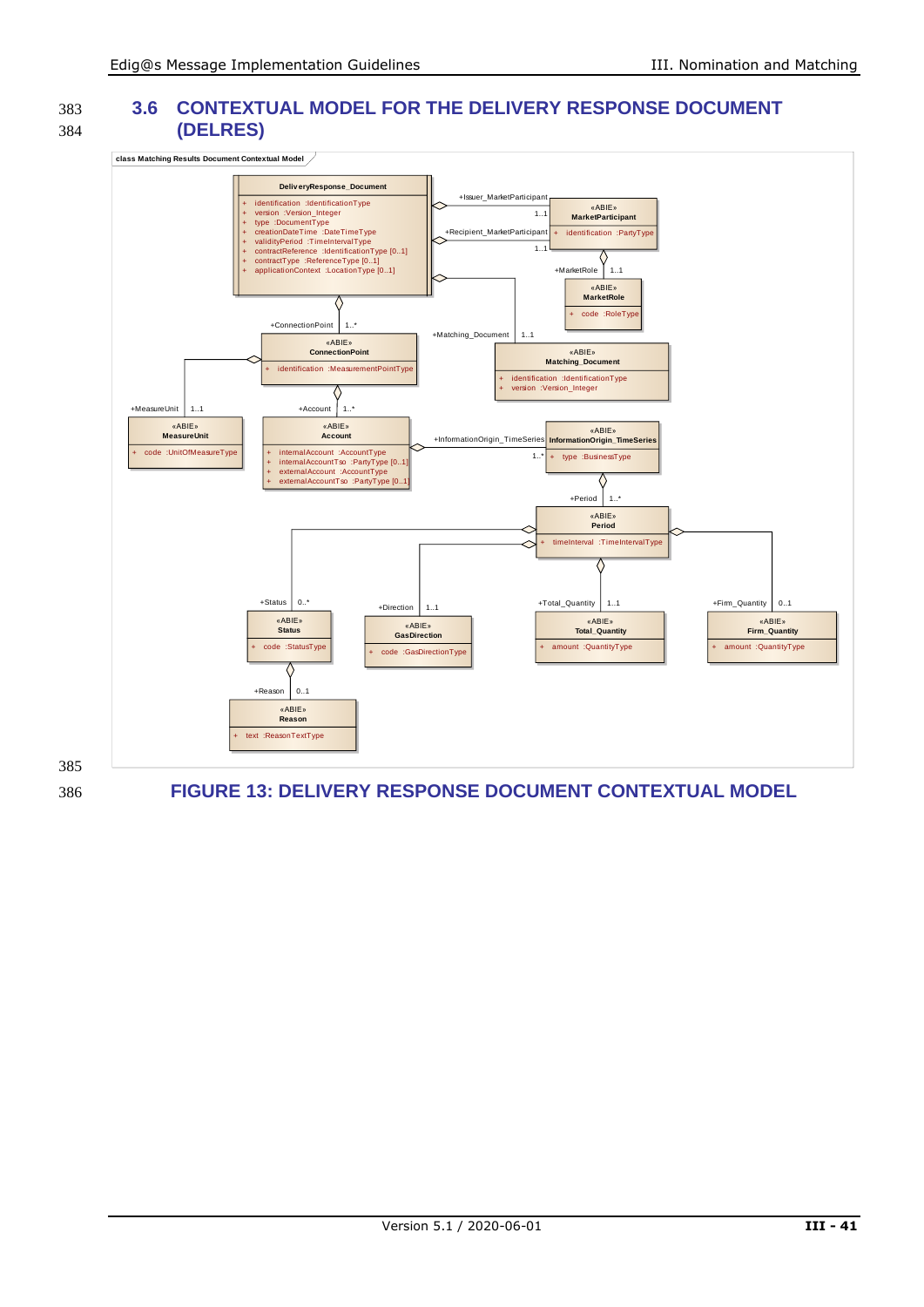<span id="page-40-0"></span>385

#### 383 **3.6 CONTEXTUAL MODEL FOR THE DELIVERY RESPONSE DOCUMENT**  384 **(DELRES)**

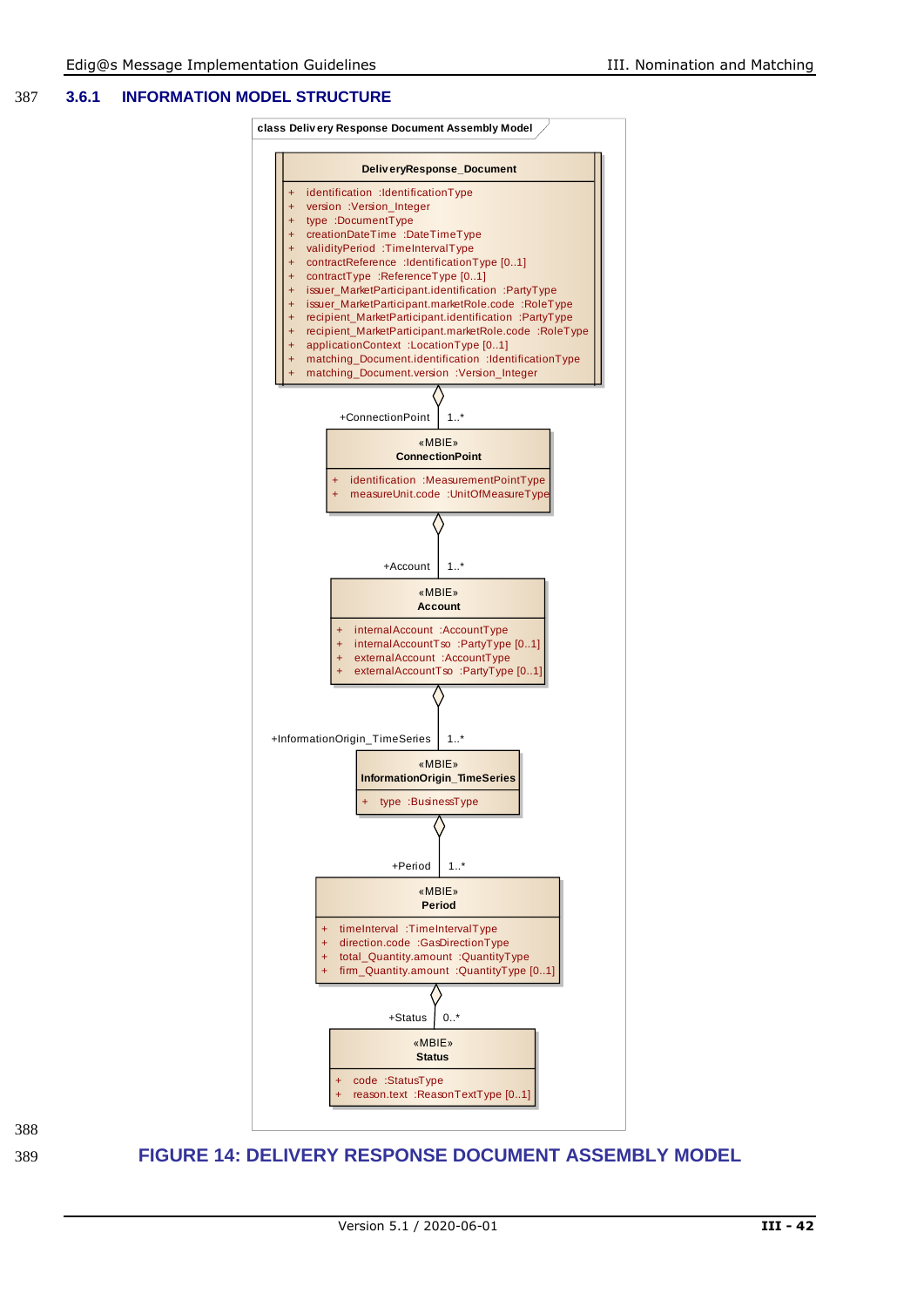#### 387 **3.6.1 INFORMATION MODEL STRUCTURE**





<span id="page-41-0"></span>389 **FIGURE 14: DELIVERY RESPONSE DOCUMENT ASSEMBLY MODEL**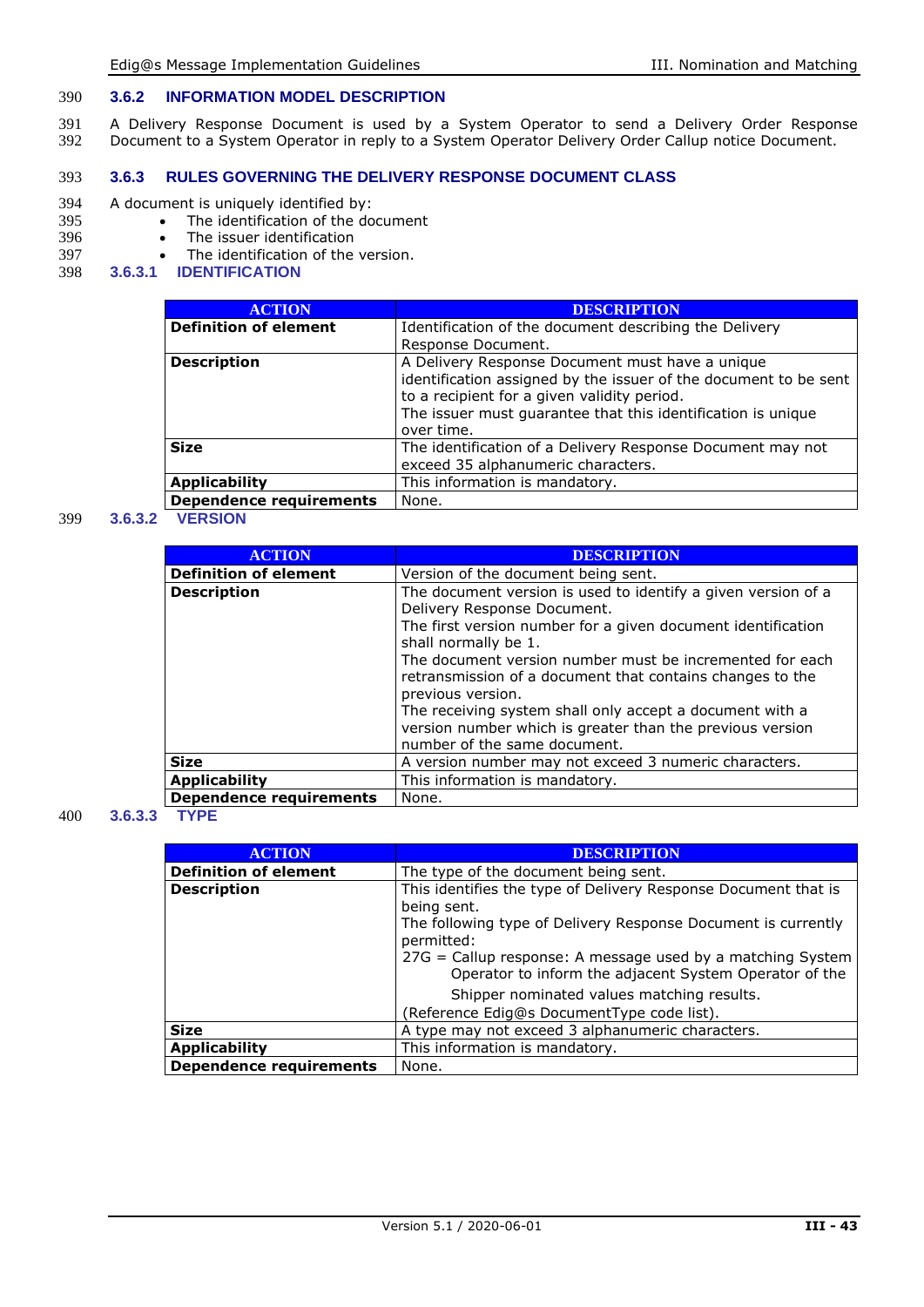#### 390 **3.6.2 INFORMATION MODEL DESCRIPTION**

391 A Delivery Response Document is used by a System Operator to send a Delivery Order Response 392 Document to a System Operator in reply to a System Operator Delivery Order Callup notice Document.

#### 393 **3.6.3 RULES GOVERNING THE DELIVERY RESPONSE DOCUMENT CLASS**

- 394 A document is uniquely identified by:<br>395 The identification of the do
- 395 The identification of the document<br>396 The issuer identification
- 396 The issuer identification<br>397 The identification of the
- 397 The identification of the version.<br>398 3.6.3.1 **IDENTIFICATION**
- 398 **3.6.3.1 IDENTIFICATION**

| <b>ACTION</b>                  | <b>DESCRIPTION</b>                                               |
|--------------------------------|------------------------------------------------------------------|
| <b>Definition of element</b>   | Identification of the document describing the Delivery           |
|                                | Response Document.                                               |
| <b>Description</b>             | A Delivery Response Document must have a unique                  |
|                                | identification assigned by the issuer of the document to be sent |
|                                | to a recipient for a given validity period.                      |
|                                | The issuer must quarantee that this identification is unique     |
|                                | over time.                                                       |
| <b>Size</b>                    | The identification of a Delivery Response Document may not       |
|                                | exceed 35 alphanumeric characters.                               |
| <b>Applicability</b>           | This information is mandatory.                                   |
| <b>Dependence requirements</b> | None.                                                            |

#### 399 **3.6.3.2 VERSION**

| <b>ACTION</b>                  | <b>DESCRIPTION</b>                                                                                                                                                                                                                                                                                                                 |
|--------------------------------|------------------------------------------------------------------------------------------------------------------------------------------------------------------------------------------------------------------------------------------------------------------------------------------------------------------------------------|
| <b>Definition of element</b>   | Version of the document being sent.                                                                                                                                                                                                                                                                                                |
| <b>Description</b>             | The document version is used to identify a given version of a<br>Delivery Response Document.<br>The first version number for a given document identification<br>shall normally be 1.<br>The document version number must be incremented for each<br>retransmission of a document that contains changes to the<br>previous version. |
|                                | The receiving system shall only accept a document with a<br>version number which is greater than the previous version<br>number of the same document.                                                                                                                                                                              |
| <b>Size</b>                    | A version number may not exceed 3 numeric characters.                                                                                                                                                                                                                                                                              |
| <b>Applicability</b>           | This information is mandatory.                                                                                                                                                                                                                                                                                                     |
| <b>Dependence requirements</b> | None.                                                                                                                                                                                                                                                                                                                              |

#### 400 **3.6.3.3 TYPE**

| <b>ACTION</b>                  | <b>DESCRIPTION</b>                                                                                                   |
|--------------------------------|----------------------------------------------------------------------------------------------------------------------|
| <b>Definition of element</b>   | The type of the document being sent.                                                                                 |
| <b>Description</b>             | This identifies the type of Delivery Response Document that is<br>being sent.                                        |
|                                | The following type of Delivery Response Document is currently<br>permitted:                                          |
|                                | 27G = Callup response: A message used by a matching System<br>Operator to inform the adjacent System Operator of the |
|                                | Shipper nominated values matching results.                                                                           |
|                                | (Reference Edig@s DocumentType code list).                                                                           |
| <b>Size</b>                    | A type may not exceed 3 alphanumeric characters.                                                                     |
| <b>Applicability</b>           | This information is mandatory.                                                                                       |
| <b>Dependence requirements</b> | None.                                                                                                                |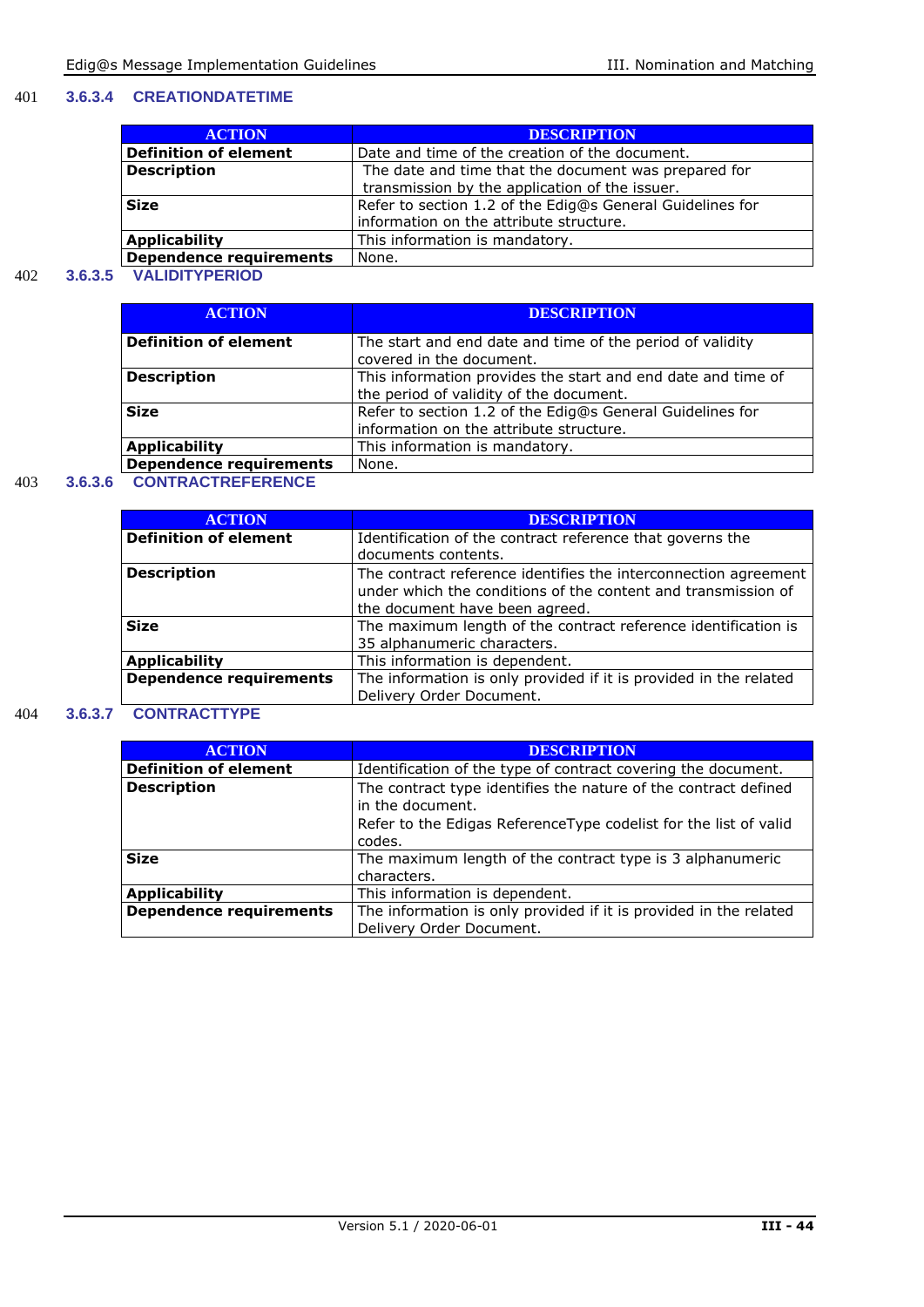#### 401 **3.6.3.4 CREATIONDATETIME**

| <b>ACTION</b>                  | <b>DESCRIPTION</b>                                                                                     |
|--------------------------------|--------------------------------------------------------------------------------------------------------|
| <b>Definition of element</b>   | Date and time of the creation of the document.                                                         |
| <b>Description</b>             | The date and time that the document was prepared for<br>transmission by the application of the issuer. |
| <b>Size</b>                    | Refer to section 1.2 of the Edig@s General Guidelines for<br>information on the attribute structure.   |
| <b>Applicability</b>           | This information is mandatory.                                                                         |
| <b>Dependence requirements</b> | None.                                                                                                  |

#### 402 **3.6.3.5 VALIDITYPERIOD**

| <b>ACTION</b>                  | <b>DESCRIPTION</b>                                           |
|--------------------------------|--------------------------------------------------------------|
| <b>Definition of element</b>   | The start and end date and time of the period of validity    |
|                                | covered in the document.                                     |
| <b>Description</b>             | This information provides the start and end date and time of |
|                                | the period of validity of the document.                      |
| <b>Size</b>                    | Refer to section 1.2 of the Edig@s General Guidelines for    |
|                                | information on the attribute structure.                      |
| <b>Applicability</b>           | This information is mandatory.                               |
| <b>Dependence requirements</b> | None.                                                        |

#### 403 **3.6.3.6 CONTRACTREFERENCE**

| <b>ACTION</b>                  | <b>DESCRIPTION</b>                                                                                                                                                 |
|--------------------------------|--------------------------------------------------------------------------------------------------------------------------------------------------------------------|
| <b>Definition of element</b>   | Identification of the contract reference that governs the                                                                                                          |
|                                | documents contents.                                                                                                                                                |
| <b>Description</b>             | The contract reference identifies the interconnection agreement<br>under which the conditions of the content and transmission of<br>the document have been agreed. |
| <b>Size</b>                    | The maximum length of the contract reference identification is<br>35 alphanumeric characters.                                                                      |
| <b>Applicability</b>           | This information is dependent.                                                                                                                                     |
| <b>Dependence requirements</b> | The information is only provided if it is provided in the related<br>Delivery Order Document.                                                                      |

#### 404 **3.6.3.7 CONTRACTTYPE**

| <b>DESCRIPTION</b>                                                                            |
|-----------------------------------------------------------------------------------------------|
| Identification of the type of contract covering the document.                                 |
| The contract type identifies the nature of the contract defined<br>in the document.           |
| Refer to the Edigas ReferenceType codelist for the list of valid<br>codes.                    |
| The maximum length of the contract type is 3 alphanumeric<br>characters.                      |
| This information is dependent.                                                                |
| The information is only provided if it is provided in the related<br>Delivery Order Document. |
|                                                                                               |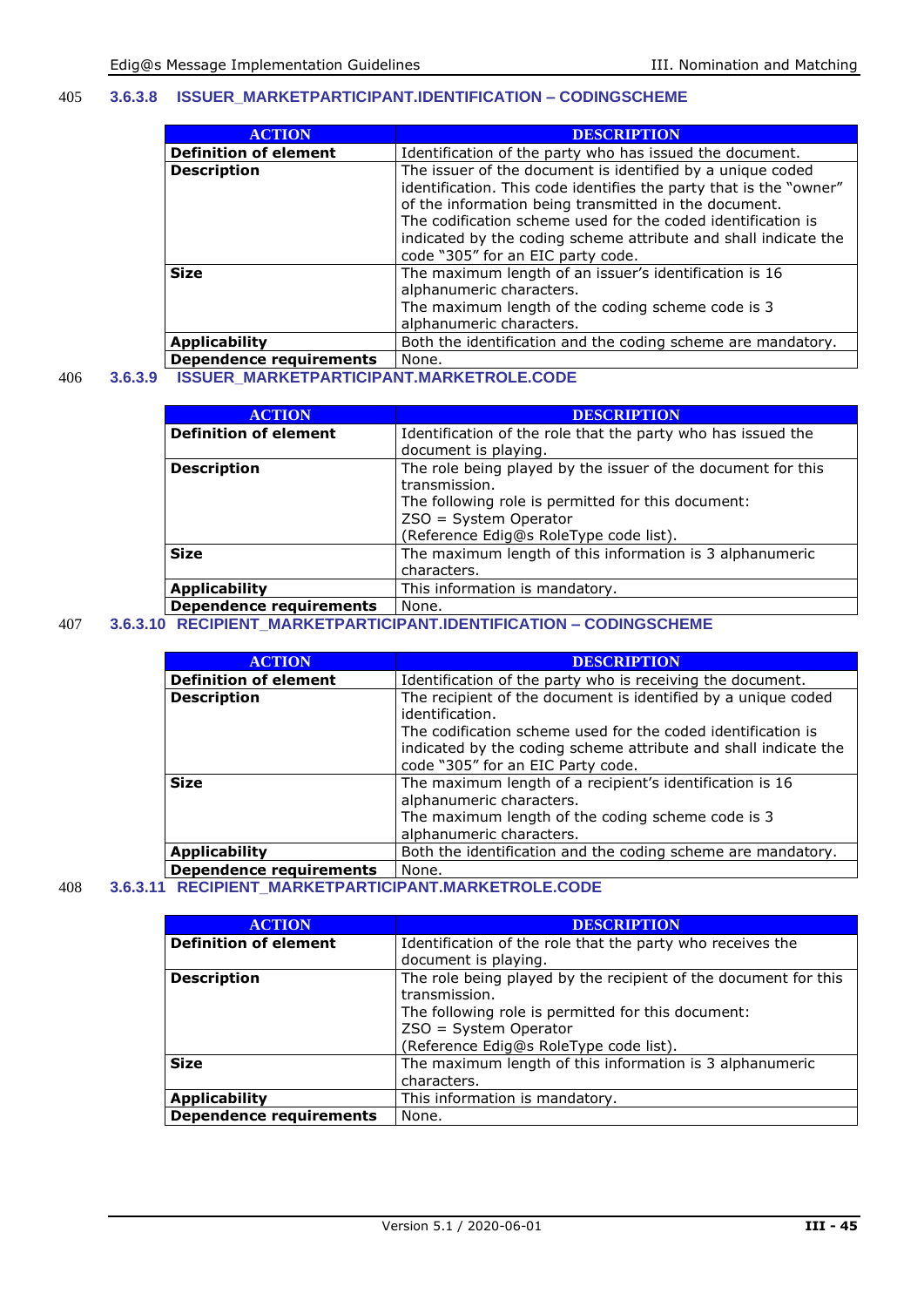#### 405 **3.6.3.8 ISSUER\_MARKETPARTICIPANT.IDENTIFICATION – CODINGSCHEME**

| <b>ACTION</b>                | <b>DESCRIPTION</b>                                                                                                                                                                                                                                                                                                                                                |
|------------------------------|-------------------------------------------------------------------------------------------------------------------------------------------------------------------------------------------------------------------------------------------------------------------------------------------------------------------------------------------------------------------|
| <b>Definition of element</b> | Identification of the party who has issued the document.                                                                                                                                                                                                                                                                                                          |
| <b>Description</b>           | The issuer of the document is identified by a unique coded<br>identification. This code identifies the party that is the "owner"<br>of the information being transmitted in the document.<br>The codification scheme used for the coded identification is<br>indicated by the coding scheme attribute and shall indicate the<br>code "305" for an EIC party code. |
| <b>Size</b>                  | The maximum length of an issuer's identification is 16<br>alphanumeric characters.<br>The maximum length of the coding scheme code is 3<br>alphanumeric characters.                                                                                                                                                                                               |
| <b>Applicability</b>         | Both the identification and the coding scheme are mandatory.                                                                                                                                                                                                                                                                                                      |
| Bonandonos usantusmos        | N <sub>an</sub>                                                                                                                                                                                                                                                                                                                                                   |

#### **Dependence requirements** None. 406 **3.6.3.9 ISSUER\_MARKETPARTICIPANT.MARKETROLE.CODE**

| <b>ACTION</b>                  | <b>DESCRIPTION</b>                                           |
|--------------------------------|--------------------------------------------------------------|
| <b>Definition of element</b>   | Identification of the role that the party who has issued the |
|                                | document is playing.                                         |
| <b>Description</b>             | The role being played by the issuer of the document for this |
|                                | transmission.                                                |
|                                | The following role is permitted for this document:           |
|                                | $ZSO = System Operator$                                      |
|                                | (Reference Edig@s RoleType code list).                       |
| <b>Size</b>                    | The maximum length of this information is 3 alphanumeric     |
|                                | characters.                                                  |
| <b>Applicability</b>           | This information is mandatory.                               |
| <b>Dependence requirements</b> | None.                                                        |
|                                |                                                              |

#### 407 **3.6.3.10 RECIPIENT\_MARKETPARTICIPANT.IDENTIFICATION – CODINGSCHEME**

| <b>ACTION</b>                  | <b>DESCRIPTION</b>                                                                                                                                                                                                                                       |
|--------------------------------|----------------------------------------------------------------------------------------------------------------------------------------------------------------------------------------------------------------------------------------------------------|
| <b>Definition of element</b>   | Identification of the party who is receiving the document.                                                                                                                                                                                               |
| <b>Description</b>             | The recipient of the document is identified by a unique coded<br>identification.<br>The codification scheme used for the coded identification is<br>indicated by the coding scheme attribute and shall indicate the<br>code "305" for an EIC Party code. |
| <b>Size</b>                    | The maximum length of a recipient's identification is 16<br>alphanumeric characters.<br>The maximum length of the coding scheme code is 3<br>alphanumeric characters.                                                                                    |
| <b>Applicability</b>           | Both the identification and the coding scheme are mandatory.                                                                                                                                                                                             |
| <b>Dependence requirements</b> | None.                                                                                                                                                                                                                                                    |

#### 408 **3.6.3.11 RECIPIENT\_MARKETPARTICIPANT.MARKETROLE.CODE**

| <b>ACTION</b>                | <b>DESCRIPTION</b>                                                                                                                                                                                        |
|------------------------------|-----------------------------------------------------------------------------------------------------------------------------------------------------------------------------------------------------------|
| <b>Definition of element</b> | Identification of the role that the party who receives the<br>document is playing.                                                                                                                        |
| <b>Description</b>           | The role being played by the recipient of the document for this<br>transmission.<br>The following role is permitted for this document:<br>ZSO = System Operator<br>(Reference Edig@s RoleType code list). |
| <b>Size</b>                  | The maximum length of this information is 3 alphanumeric<br>characters.                                                                                                                                   |
| <b>Applicability</b>         | This information is mandatory.                                                                                                                                                                            |
| Dependence requirements      | None.                                                                                                                                                                                                     |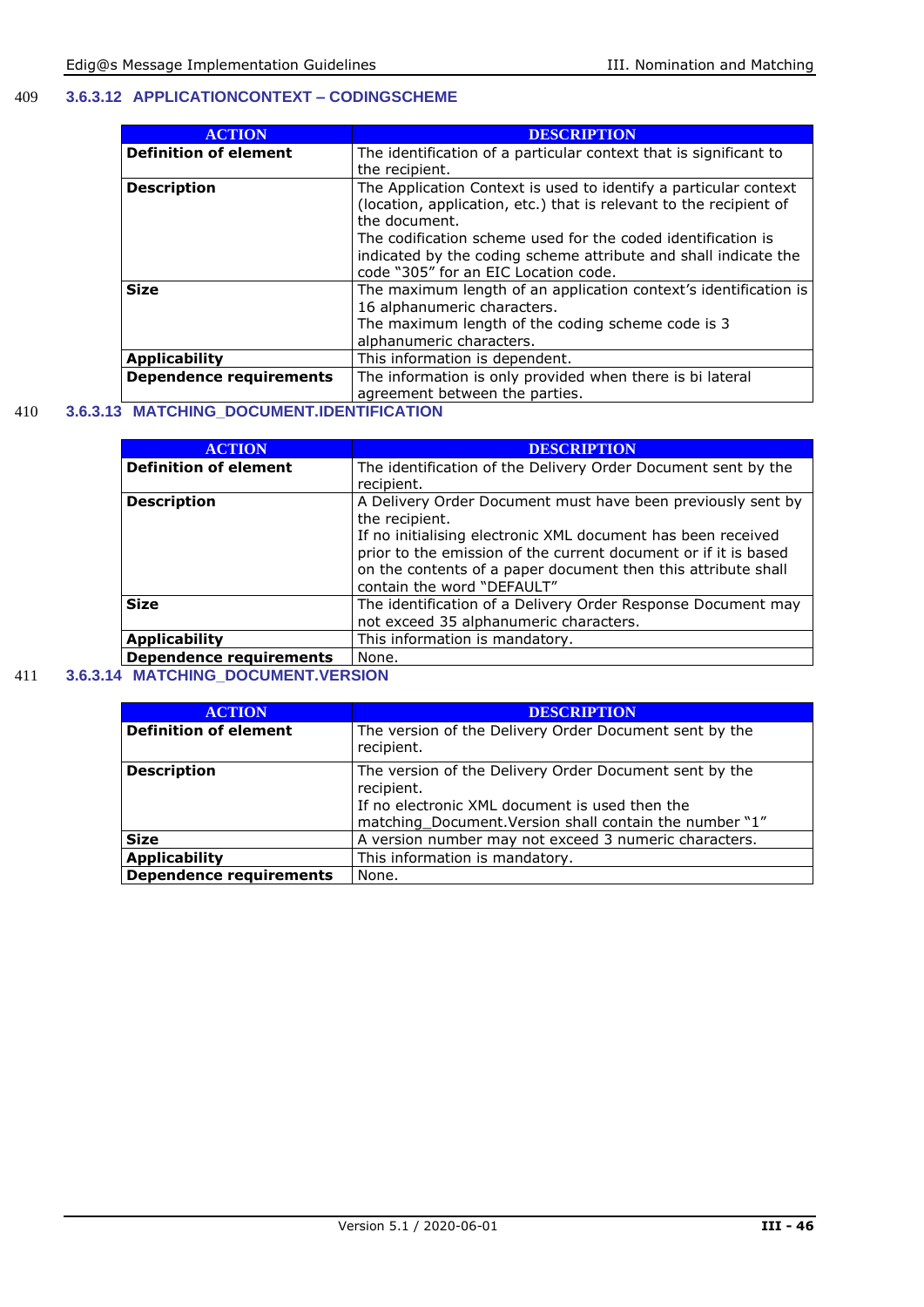#### 409 **3.6.3.12 APPLICATIONCONTEXT – CODINGSCHEME**

| <b>ACTION</b>                  | <b>DESCRIPTION</b>                                                 |
|--------------------------------|--------------------------------------------------------------------|
| <b>Definition of element</b>   | The identification of a particular context that is significant to  |
|                                | the recipient.                                                     |
| <b>Description</b>             | The Application Context is used to identify a particular context   |
|                                | (location, application, etc.) that is relevant to the recipient of |
|                                | the document.                                                      |
|                                | The codification scheme used for the coded identification is       |
|                                | indicated by the coding scheme attribute and shall indicate the    |
|                                | code "305" for an EIC Location code.                               |
| <b>Size</b>                    | The maximum length of an application context's identification is   |
|                                | 16 alphanumeric characters.                                        |
|                                | The maximum length of the coding scheme code is 3                  |
|                                | alphanumeric characters.                                           |
| <b>Applicability</b>           | This information is dependent.                                     |
| <b>Dependence requirements</b> | The information is only provided when there is bi lateral          |
|                                | agreement between the parties.                                     |

#### 410 **3.6.3.13 MATCHING\_DOCUMENT.IDENTIFICATION**

| <b>ACTION</b>                  | <b>DESCRIPTION</b>                                              |
|--------------------------------|-----------------------------------------------------------------|
| <b>Definition of element</b>   | The identification of the Delivery Order Document sent by the   |
|                                | recipient.                                                      |
| <b>Description</b>             | A Delivery Order Document must have been previously sent by     |
|                                | the recipient.                                                  |
|                                | If no initialising electronic XML document has been received    |
|                                | prior to the emission of the current document or if it is based |
|                                | on the contents of a paper document then this attribute shall   |
|                                | contain the word "DEFAULT"                                      |
| <b>Size</b>                    | The identification of a Delivery Order Response Document may    |
|                                | not exceed 35 alphanumeric characters.                          |
| <b>Applicability</b>           | This information is mandatory.                                  |
| <b>Dependence requirements</b> | None.                                                           |

#### 411 **3.6.3.14 MATCHING\_DOCUMENT.VERSION**

| <b>ACTION</b>                  | <b>DESCRIPTION</b>                                                                                                                                                                |
|--------------------------------|-----------------------------------------------------------------------------------------------------------------------------------------------------------------------------------|
| <b>Definition of element</b>   | The version of the Delivery Order Document sent by the<br>recipient.                                                                                                              |
| <b>Description</b>             | The version of the Delivery Order Document sent by the<br>recipient.<br>If no electronic XML document is used then the<br>matching_Document. Version shall contain the number "1" |
| <b>Size</b>                    | A version number may not exceed 3 numeric characters.                                                                                                                             |
| <b>Applicability</b>           | This information is mandatory.                                                                                                                                                    |
| <b>Dependence requirements</b> | None.                                                                                                                                                                             |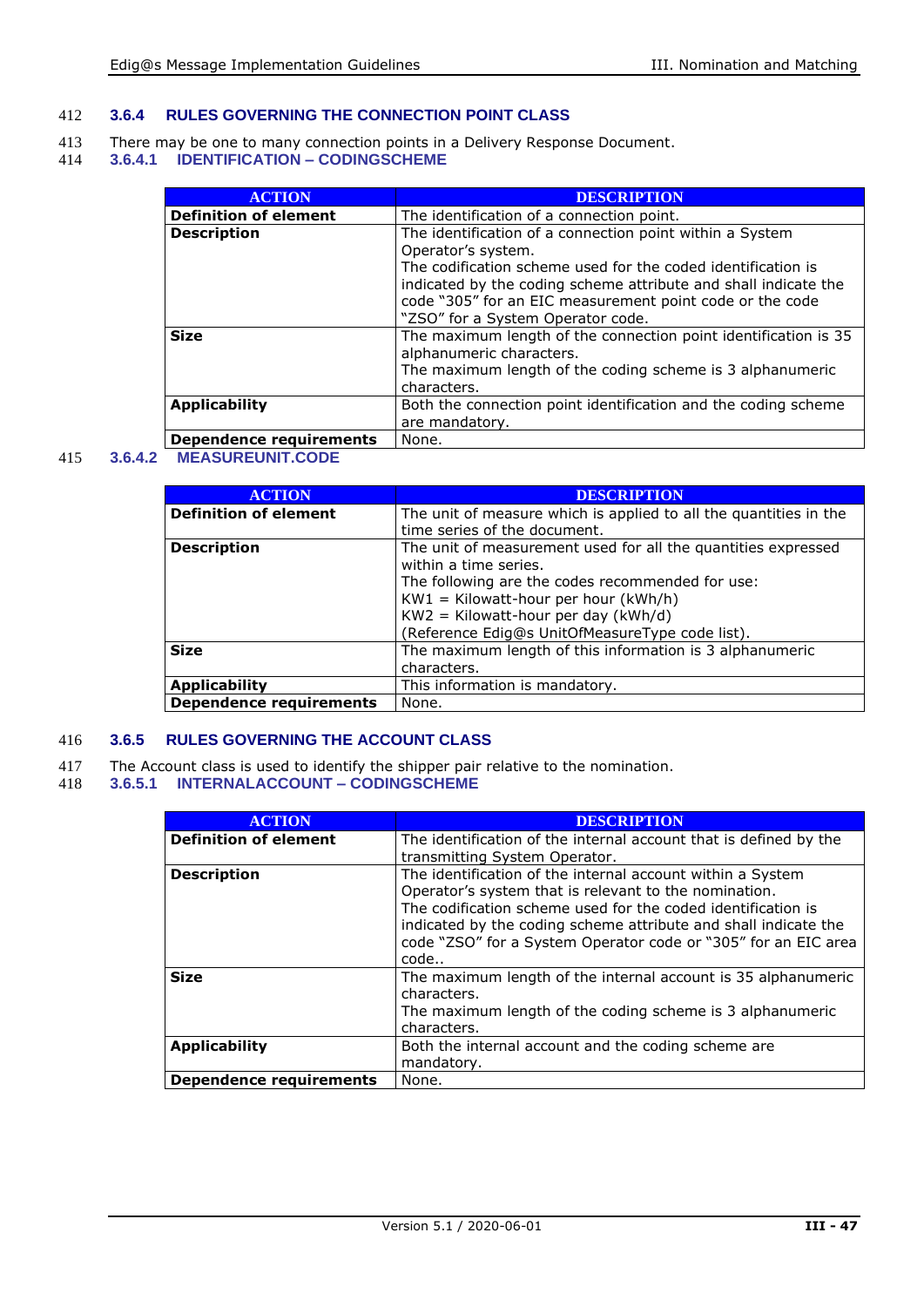#### 412 **3.6.4 RULES GOVERNING THE CONNECTION POINT CLASS**

- 413 There may be one to many connection points in a Delivery Response Document.
- 414 **3.6.4.1 IDENTIFICATION – CODINGSCHEME**

| <b>ACTION</b>                | <b>DESCRIPTION</b>                                              |
|------------------------------|-----------------------------------------------------------------|
| <b>Definition of element</b> | The identification of a connection point.                       |
| <b>Description</b>           | The identification of a connection point within a System        |
|                              | Operator's system.                                              |
|                              | The codification scheme used for the coded identification is    |
|                              | indicated by the coding scheme attribute and shall indicate the |
|                              | code "305" for an EIC measurement point code or the code        |
|                              | "ZSO" for a System Operator code.                               |
| <b>Size</b>                  | The maximum length of the connection point identification is 35 |
|                              | alphanumeric characters.                                        |
|                              | The maximum length of the coding scheme is 3 alphanumeric       |
|                              | characters.                                                     |
| <b>Applicability</b>         | Both the connection point identification and the coding scheme  |
|                              | are mandatory.                                                  |
| Dependence requirements      | None.                                                           |

#### 415 **3.6.4.2 MEASUREUNIT.CODE**

| <b>ACTION</b>                  | <b>DESCRIPTION</b>                                                |
|--------------------------------|-------------------------------------------------------------------|
| <b>Definition of element</b>   | The unit of measure which is applied to all the quantities in the |
|                                | time series of the document.                                      |
| <b>Description</b>             | The unit of measurement used for all the quantities expressed     |
|                                | within a time series.                                             |
|                                | The following are the codes recommended for use:                  |
|                                | $KW1 = Kilowatt-hour per hour (kWh/h)$                            |
|                                | $KW2 = Kilowatt-hour per day (kWh/d)$                             |
|                                | (Reference Edig@s UnitOfMeasureType code list).                   |
| <b>Size</b>                    | The maximum length of this information is 3 alphanumeric          |
|                                | characters.                                                       |
| <b>Applicability</b>           | This information is mandatory.                                    |
| <b>Dependence requirements</b> | None.                                                             |

#### 416 **3.6.5 RULES GOVERNING THE ACCOUNT CLASS**

- 417 The Account class is used to identify the shipper pair relative to the nomination.
- 418 **3.6.5.1 INTERNALACCOUNT – CODINGSCHEME**

| <b>ACTION</b>                  | <b>DESCRIPTION</b>                                                |
|--------------------------------|-------------------------------------------------------------------|
| <b>Definition of element</b>   | The identification of the internal account that is defined by the |
|                                | transmitting System Operator.                                     |
| <b>Description</b>             | The identification of the internal account within a System        |
|                                | Operator's system that is relevant to the nomination.             |
|                                | The codification scheme used for the coded identification is      |
|                                | indicated by the coding scheme attribute and shall indicate the   |
|                                | code "ZSO" for a System Operator code or "305" for an EIC area    |
|                                | code                                                              |
| <b>Size</b>                    | The maximum length of the internal account is 35 alphanumeric     |
|                                | characters.                                                       |
|                                | The maximum length of the coding scheme is 3 alphanumeric         |
|                                | characters.                                                       |
| <b>Applicability</b>           | Both the internal account and the coding scheme are               |
|                                | mandatory.                                                        |
|                                |                                                                   |
| <b>Dependence requirements</b> | None.                                                             |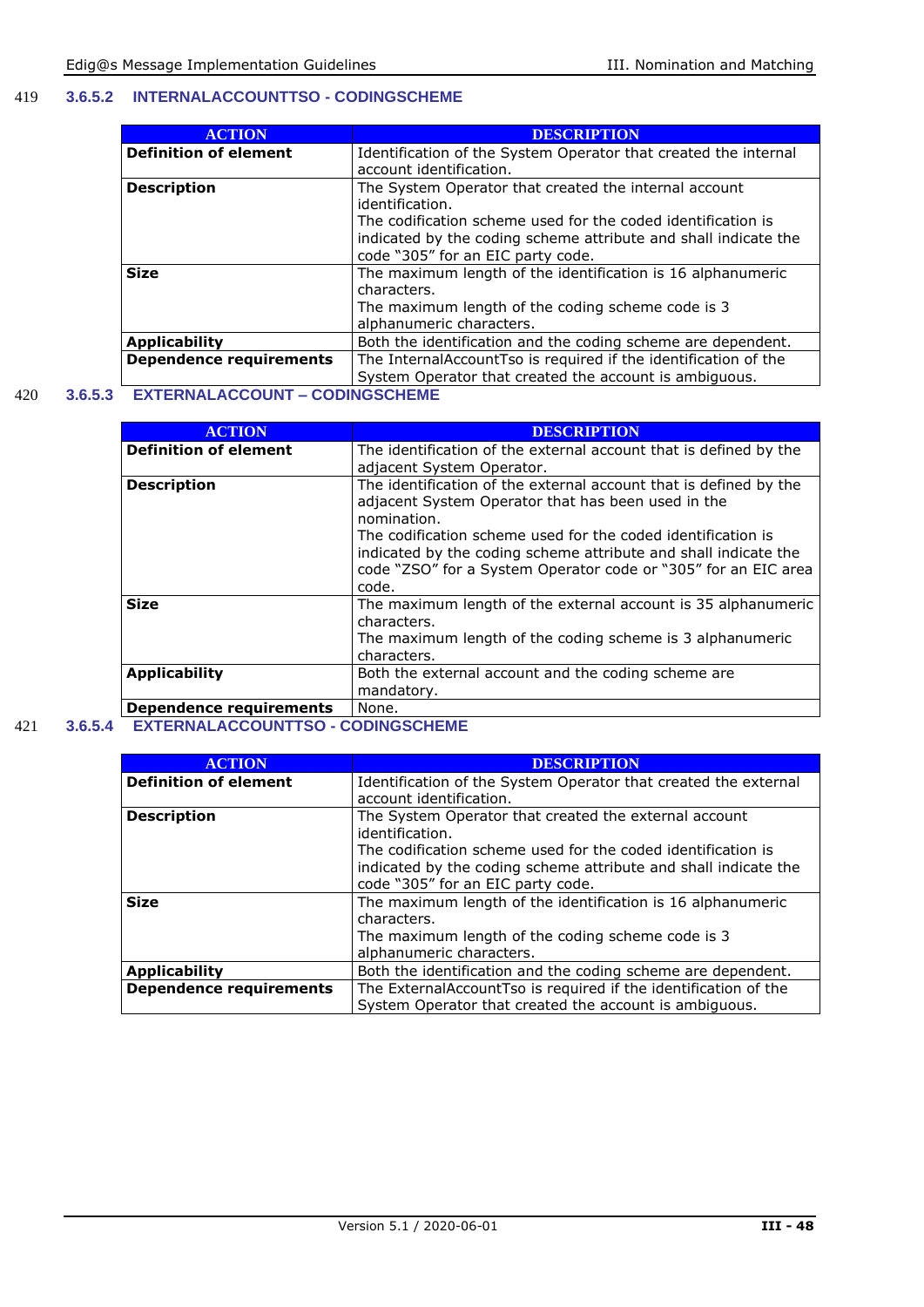#### 419 **3.6.5.2 INTERNALACCOUNTTSO - CODINGSCHEME**

| <b>ACTION</b>                  | <b>DESCRIPTION</b>                                              |
|--------------------------------|-----------------------------------------------------------------|
| <b>Definition of element</b>   | Identification of the System Operator that created the internal |
|                                | account identification.                                         |
| <b>Description</b>             | The System Operator that created the internal account           |
|                                | identification.                                                 |
|                                | The codification scheme used for the coded identification is    |
|                                | indicated by the coding scheme attribute and shall indicate the |
|                                | code "305" for an EIC party code.                               |
| <b>Size</b>                    | The maximum length of the identification is 16 alphanumeric     |
|                                | characters.                                                     |
|                                | The maximum length of the coding scheme code is 3               |
|                                | alphanumeric characters.                                        |
| <b>Applicability</b>           | Both the identification and the coding scheme are dependent.    |
| <b>Dependence requirements</b> | The InternalAccountTso is required if the identification of the |
|                                | System Operator that created the account is ambiguous.          |

#### 420 **3.6.5.3 EXTERNALACCOUNT – CODINGSCHEME**

| <b>ACTION</b>                  | <b>DESCRIPTION</b>                                                |
|--------------------------------|-------------------------------------------------------------------|
| <b>Definition of element</b>   | The identification of the external account that is defined by the |
|                                | adjacent System Operator.                                         |
| <b>Description</b>             | The identification of the external account that is defined by the |
|                                | adjacent System Operator that has been used in the                |
|                                | nomination.                                                       |
|                                | The codification scheme used for the coded identification is      |
|                                | indicated by the coding scheme attribute and shall indicate the   |
|                                | code "ZSO" for a System Operator code or "305" for an EIC area    |
|                                | code.                                                             |
| <b>Size</b>                    | The maximum length of the external account is 35 alphanumeric     |
|                                | characters.                                                       |
|                                | The maximum length of the coding scheme is 3 alphanumeric         |
|                                | characters.                                                       |
| <b>Applicability</b>           | Both the external account and the coding scheme are               |
|                                | mandatory.                                                        |
| <b>Dependence requirements</b> | None.                                                             |

#### 421 **3.6.5.4 EXTERNALACCOUNTTSO - CODINGSCHEME**

| <b>ACTION</b>                  | <b>DESCRIPTION</b>                                                       |
|--------------------------------|--------------------------------------------------------------------------|
| <b>Definition of element</b>   | Identification of the System Operator that created the external          |
|                                | account identification.                                                  |
| <b>Description</b>             | The System Operator that created the external account<br>identification. |
|                                |                                                                          |
|                                | The codification scheme used for the coded identification is             |
|                                | indicated by the coding scheme attribute and shall indicate the          |
|                                | code "305" for an EIC party code.                                        |
| <b>Size</b>                    | The maximum length of the identification is 16 alphanumeric              |
|                                | characters.                                                              |
|                                | The maximum length of the coding scheme code is 3                        |
|                                | alphanumeric characters.                                                 |
| <b>Applicability</b>           | Both the identification and the coding scheme are dependent.             |
| <b>Dependence requirements</b> | The ExternalAccountTso is required if the identification of the          |
|                                | System Operator that created the account is ambiguous.                   |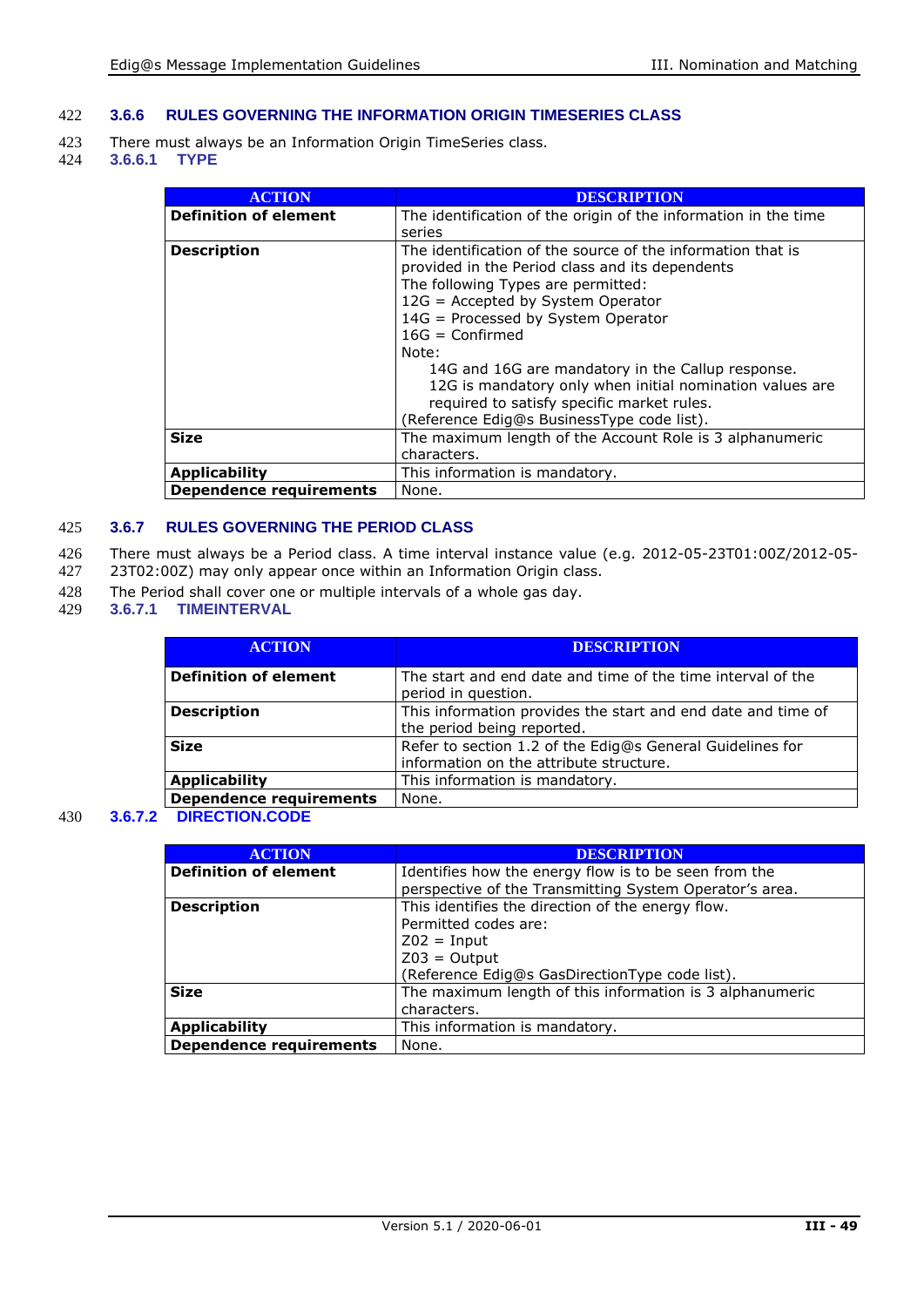#### 422 **3.6.6 RULES GOVERNING THE INFORMATION ORIGIN TIMESERIES CLASS**

- 423 There must always be an Information Origin TimeSeries class.<br>424 3.6.6.1 TYPE
- 424 **3.6.6.1 TYPE**

| <b>ACTION</b>                  | DESCRIPTION                                                                                                                                                                                                                                                                                                                                                                                                                                                                |
|--------------------------------|----------------------------------------------------------------------------------------------------------------------------------------------------------------------------------------------------------------------------------------------------------------------------------------------------------------------------------------------------------------------------------------------------------------------------------------------------------------------------|
| <b>Definition of element</b>   | The identification of the origin of the information in the time<br>series                                                                                                                                                                                                                                                                                                                                                                                                  |
| <b>Description</b>             | The identification of the source of the information that is<br>provided in the Period class and its dependents<br>The following Types are permitted:<br>12G = Accepted by System Operator<br>14G = Processed by System Operator<br>$16G =$ Confirmed<br>Note:<br>14G and 16G are mandatory in the Callup response.<br>12G is mandatory only when initial nomination values are<br>required to satisfy specific market rules.<br>(Reference Edig@s BusinessType code list). |
| <b>Size</b>                    | The maximum length of the Account Role is 3 alphanumeric<br>characters.                                                                                                                                                                                                                                                                                                                                                                                                    |
| <b>Applicability</b>           | This information is mandatory.                                                                                                                                                                                                                                                                                                                                                                                                                                             |
| <b>Dependence requirements</b> | None.                                                                                                                                                                                                                                                                                                                                                                                                                                                                      |

#### 425 **3.6.7 RULES GOVERNING THE PERIOD CLASS**

- 426 There must always be a Period class. A time interval instance value (e.g. 2012-05-23T01:00Z/2012-05-<br>427 23T02:00Z) may only appear once within an Information Origin class.
- 23T02:00Z) may only appear once within an Information Origin class.
- 428 The Period shall cover one or multiple intervals of a whole gas day.
- 429 **3.6.7.1 TIMEINTERVAL**

| <b>ACTION</b>                  | <b>DESCRIPTION</b>                                                                                   |
|--------------------------------|------------------------------------------------------------------------------------------------------|
| <b>Definition of element</b>   | The start and end date and time of the time interval of the<br>period in question.                   |
| <b>Description</b>             | This information provides the start and end date and time of<br>the period being reported.           |
| <b>Size</b>                    | Refer to section 1.2 of the Edig@s General Guidelines for<br>information on the attribute structure. |
| <b>Applicability</b>           | This information is mandatory.                                                                       |
| <b>Dependence requirements</b> | None.                                                                                                |

430 **3.6.7.2 DIRECTION.CODE**

| <b>ACTION</b>                  | <b>DESCRIPTION</b>                                       |
|--------------------------------|----------------------------------------------------------|
| <b>Definition of element</b>   | Identifies how the energy flow is to be seen from the    |
|                                | perspective of the Transmitting System Operator's area.  |
| <b>Description</b>             | This identifies the direction of the energy flow.        |
|                                | Permitted codes are:                                     |
|                                | $Z02 = Input$                                            |
|                                | $Z03 =$ Output                                           |
|                                | (Reference Edig@s GasDirectionType code list).           |
| <b>Size</b>                    | The maximum length of this information is 3 alphanumeric |
|                                | characters.                                              |
| <b>Applicability</b>           | This information is mandatory.                           |
| <b>Dependence requirements</b> | None.                                                    |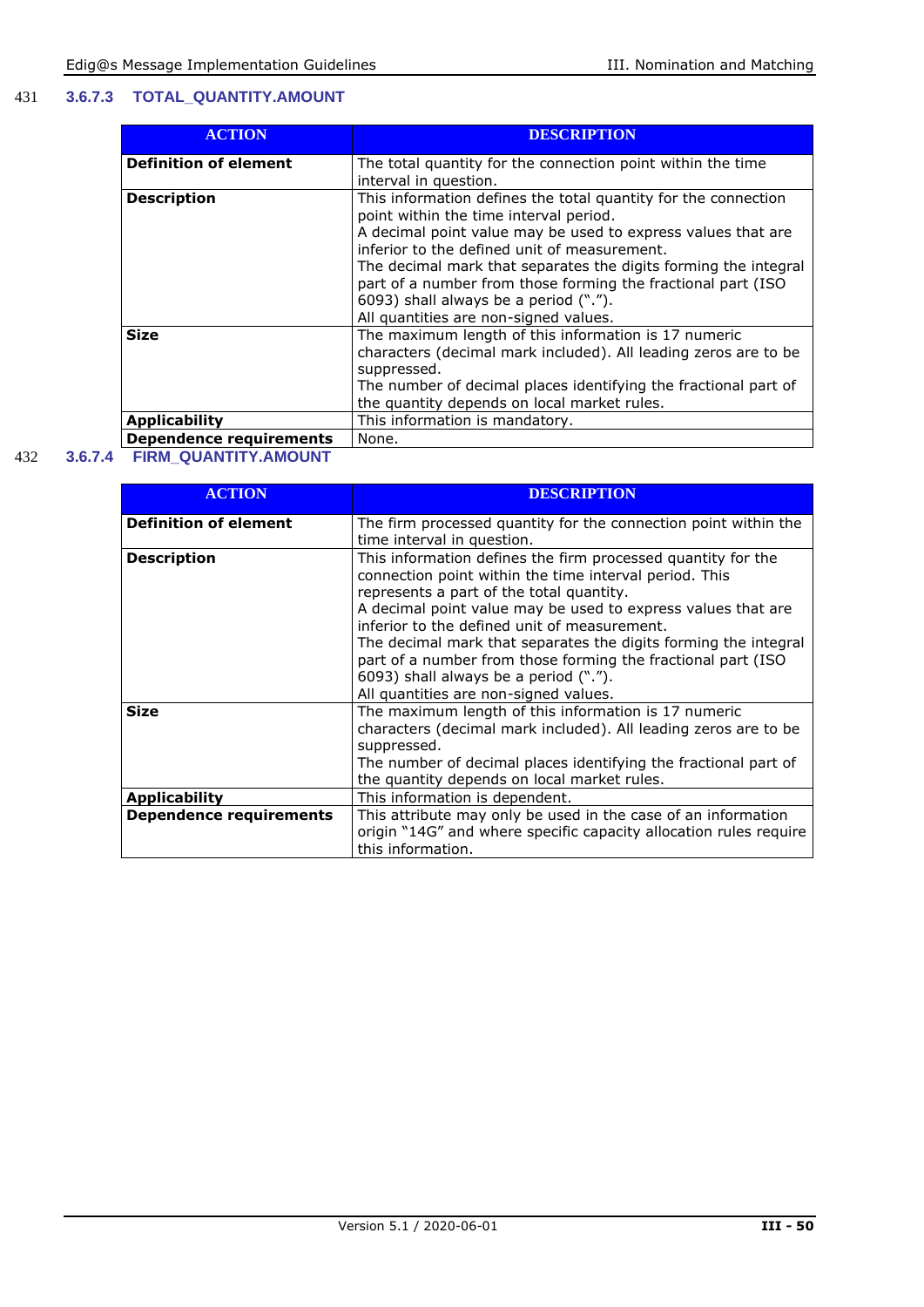#### 431 **3.6.7.3 TOTAL\_QUANTITY.AMOUNT**

| <b>ACTION</b>                  | <b>DESCRIPTION</b>                                                                                                                                                                                                                                                                                                                                                                                                                            |
|--------------------------------|-----------------------------------------------------------------------------------------------------------------------------------------------------------------------------------------------------------------------------------------------------------------------------------------------------------------------------------------------------------------------------------------------------------------------------------------------|
| <b>Definition of element</b>   | The total quantity for the connection point within the time<br>interval in question.                                                                                                                                                                                                                                                                                                                                                          |
| <b>Description</b>             | This information defines the total quantity for the connection<br>point within the time interval period.<br>A decimal point value may be used to express values that are<br>inferior to the defined unit of measurement.<br>The decimal mark that separates the digits forming the integral<br>part of a number from those forming the fractional part (ISO<br>6093) shall always be a period (".").<br>All quantities are non-signed values. |
| <b>Size</b>                    | The maximum length of this information is 17 numeric<br>characters (decimal mark included). All leading zeros are to be<br>suppressed.<br>The number of decimal places identifying the fractional part of<br>the quantity depends on local market rules.                                                                                                                                                                                      |
| <b>Applicability</b>           | This information is mandatory.                                                                                                                                                                                                                                                                                                                                                                                                                |
| <b>Dependence requirements</b> | None.                                                                                                                                                                                                                                                                                                                                                                                                                                         |

### 432 **3.6.7.4 FIRM\_QUANTITY.AMOUNT**

| <b>ACTION</b>                  | <b>DESCRIPTION</b>                                                                                                                                                                                                                                                                                                                                                                                                                                                                                      |
|--------------------------------|---------------------------------------------------------------------------------------------------------------------------------------------------------------------------------------------------------------------------------------------------------------------------------------------------------------------------------------------------------------------------------------------------------------------------------------------------------------------------------------------------------|
| <b>Definition of element</b>   | The firm processed quantity for the connection point within the<br>time interval in question.                                                                                                                                                                                                                                                                                                                                                                                                           |
| <b>Description</b>             | This information defines the firm processed quantity for the<br>connection point within the time interval period. This<br>represents a part of the total quantity.<br>A decimal point value may be used to express values that are<br>inferior to the defined unit of measurement.<br>The decimal mark that separates the digits forming the integral<br>part of a number from those forming the fractional part (ISO<br>6093) shall always be a period (".").<br>All quantities are non-signed values. |
| <b>Size</b>                    | The maximum length of this information is 17 numeric<br>characters (decimal mark included). All leading zeros are to be<br>suppressed.<br>The number of decimal places identifying the fractional part of<br>the quantity depends on local market rules.                                                                                                                                                                                                                                                |
| <b>Applicability</b>           | This information is dependent.                                                                                                                                                                                                                                                                                                                                                                                                                                                                          |
| <b>Dependence requirements</b> | This attribute may only be used in the case of an information<br>origin "14G" and where specific capacity allocation rules require<br>this information.                                                                                                                                                                                                                                                                                                                                                 |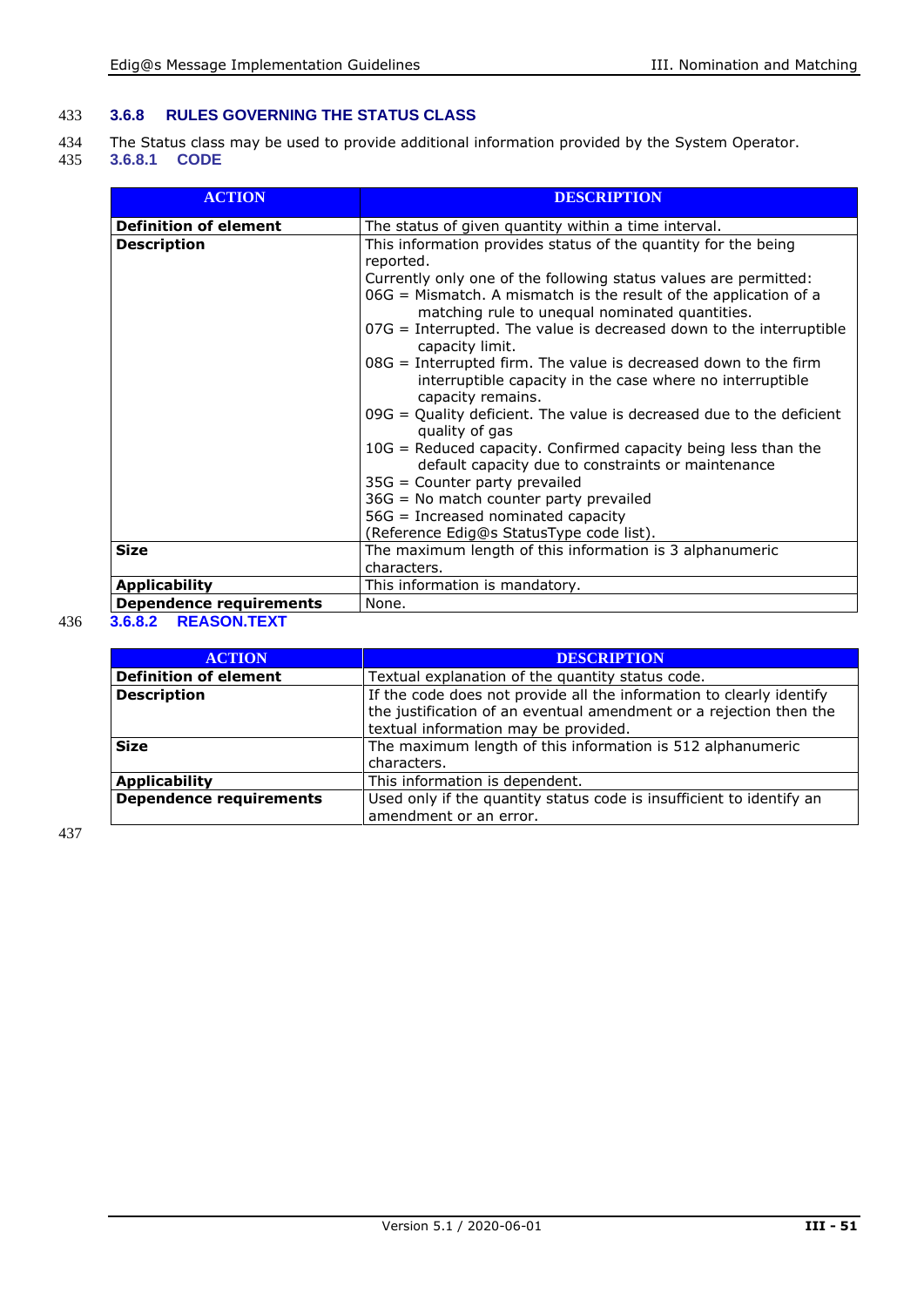#### 433 **3.6.8 RULES GOVERNING THE STATUS CLASS**

434 The Status class may be used to provide additional information provided by the System Operator.<br>435 3.6.8.1 CODE

#### 435 **3.6.8.1 CODE**

| <b>ACTION</b>                  | <b>DESCRIPTION</b>                                                                                                             |
|--------------------------------|--------------------------------------------------------------------------------------------------------------------------------|
| <b>Definition of element</b>   | The status of given quantity within a time interval.                                                                           |
| <b>Description</b>             | This information provides status of the quantity for the being                                                                 |
|                                | reported.                                                                                                                      |
|                                | Currently only one of the following status values are permitted:                                                               |
|                                | 06G = Mismatch. A mismatch is the result of the application of a<br>matching rule to unequal nominated quantities.             |
|                                | $07G$ = Interrupted. The value is decreased down to the interruptible<br>capacity limit.                                       |
|                                | $08G$ = Interrupted firm. The value is decreased down to the firm<br>interruptible capacity in the case where no interruptible |
|                                | capacity remains.<br>$09G =$ Quality deficient. The value is decreased due to the deficient<br>quality of gas                  |
|                                | 10G = Reduced capacity. Confirmed capacity being less than the<br>default capacity due to constraints or maintenance           |
|                                | $35G =$ Counter party prevailed                                                                                                |
|                                | 36G = No match counter party prevailed                                                                                         |
|                                | $56G$ = Increased nominated capacity                                                                                           |
|                                | (Reference Edig@s StatusType code list).                                                                                       |
| <b>Size</b>                    | The maximum length of this information is 3 alphanumeric                                                                       |
|                                | characters.                                                                                                                    |
| <b>Applicability</b>           | This information is mandatory.                                                                                                 |
| <b>Dependence requirements</b> | None.                                                                                                                          |

### 436 **3.6.8.2 REASON.TEXT**

| <b>ACTION</b>                  | <b>DESCRIPTION</b>                                                   |
|--------------------------------|----------------------------------------------------------------------|
| <b>Definition of element</b>   | Textual explanation of the quantity status code.                     |
| <b>Description</b>             | If the code does not provide all the information to clearly identify |
|                                | the justification of an eventual amendment or a rejection then the   |
|                                | textual information may be provided.                                 |
| <b>Size</b>                    | The maximum length of this information is 512 alphanumeric           |
|                                | characters.                                                          |
| <b>Applicability</b>           | This information is dependent.                                       |
| <b>Dependence requirements</b> | Used only if the quantity status code is insufficient to identify an |
|                                | amendment or an error.                                               |

437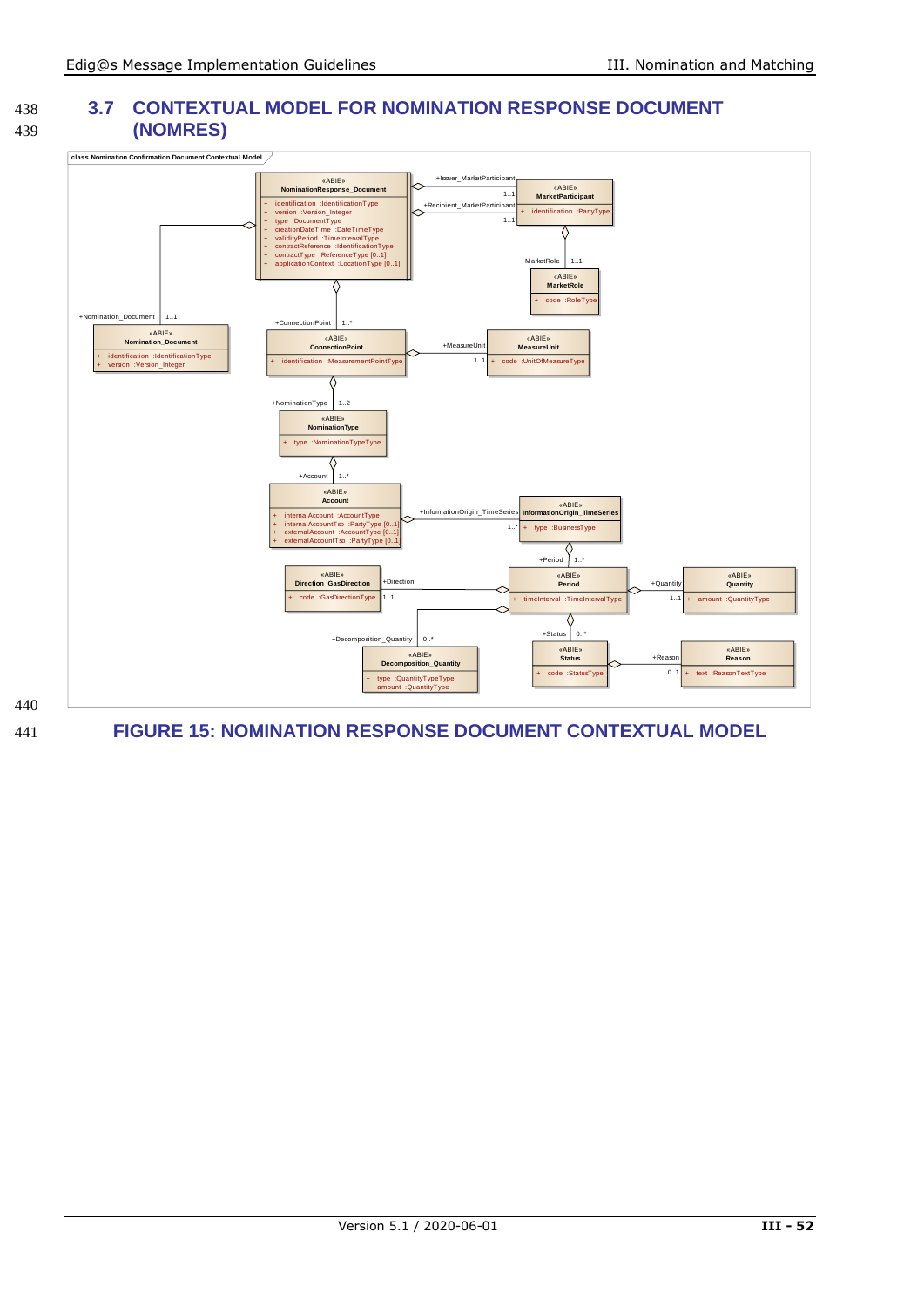#### 438 **3.7 CONTEXTUAL MODEL FOR NOMINATION RESPONSE DOCUMENT** 439 **(NOMRES)**



<span id="page-51-0"></span>440

441 **FIGURE 15: NOMINATION RESPONSE DOCUMENT CONTEXTUAL MODEL**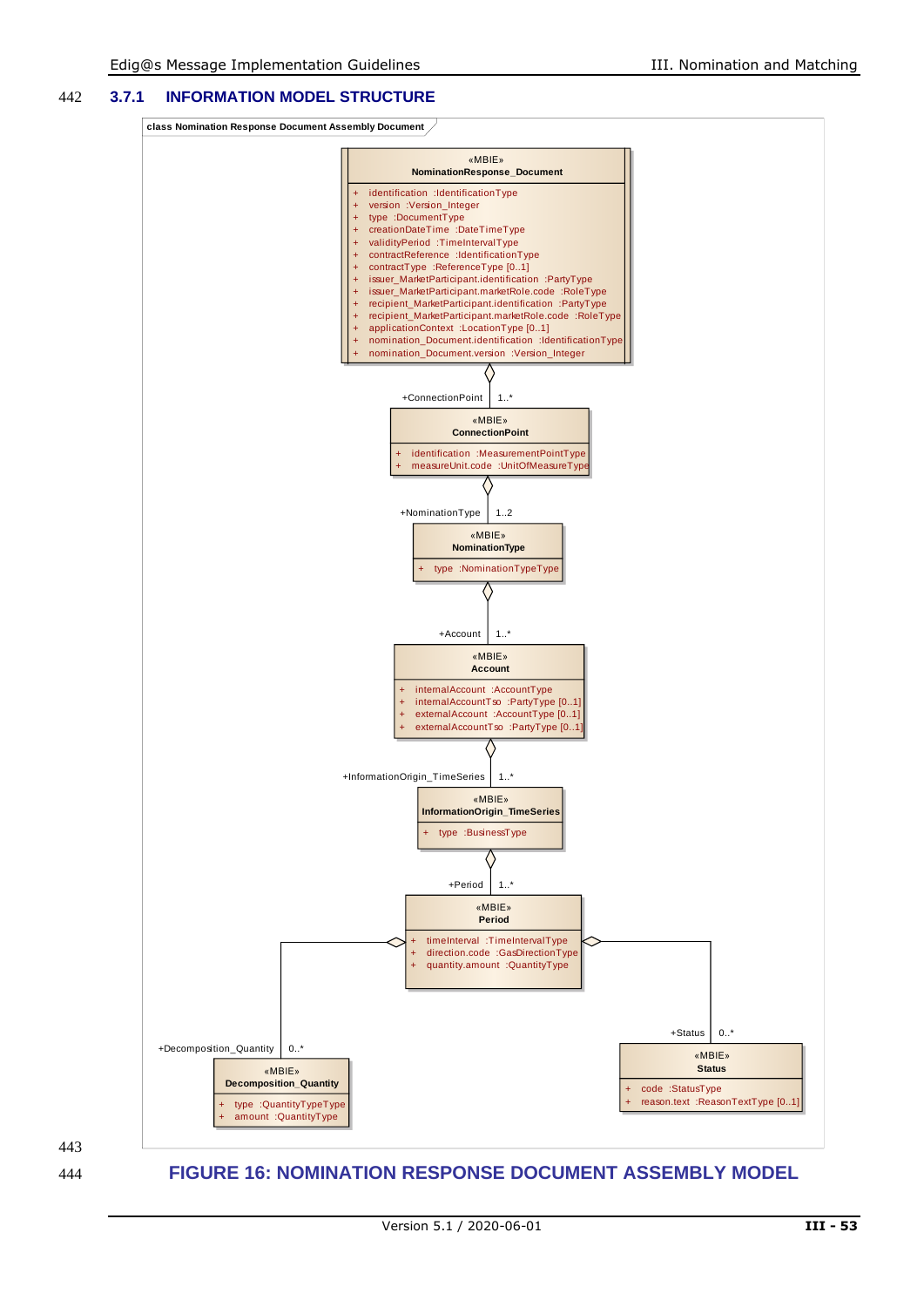#### 442 **3.7.1 INFORMATION MODEL STRUCTURE**

**class Nomination Response Document Assembly Document**



443

<span id="page-52-0"></span>444 **FIGURE 16: NOMINATION RESPONSE DOCUMENT ASSEMBLY MODEL**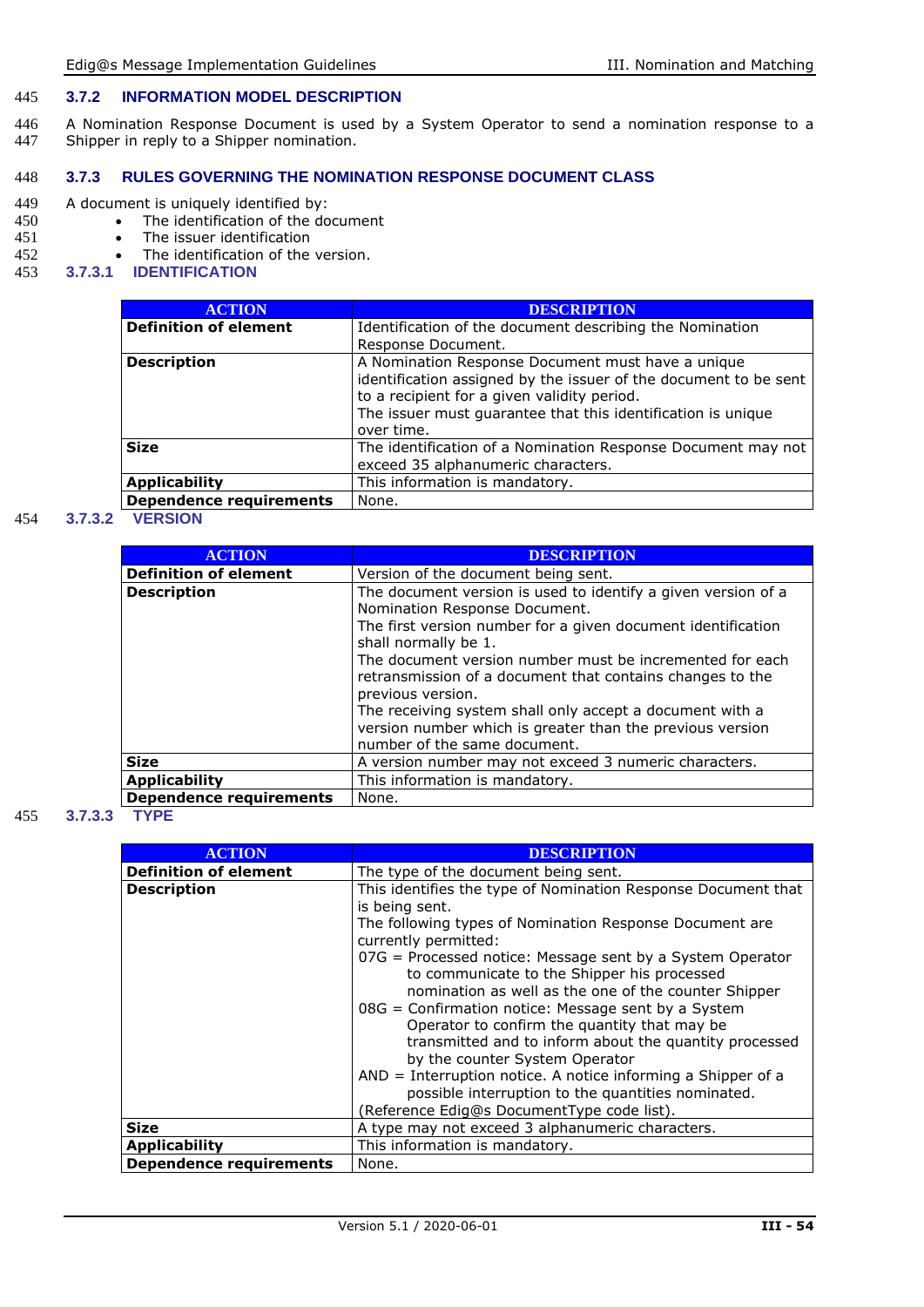#### 445 **3.7.2 INFORMATION MODEL DESCRIPTION**

446 A Nomination Response Document is used by a System Operator to send a nomination response to a<br>447 Shipper in reply to a Shipper nomination. Shipper in reply to a Shipper nomination.

#### 448 **3.7.3 RULES GOVERNING THE NOMINATION RESPONSE DOCUMENT CLASS**

## 449 A document is uniquely identified by:<br>450 • The identification of the do

- 450 The identification of the document<br>451 The issuer identification
- 451 The issuer identification<br>452 The identification of the
- 452 The identification of the version.<br>453 3.7.3.1 IDENTIFICATION
- 453 **3.7.3.1 IDENTIFICATION**

| <b>ACTION</b>                  | <b>DESCRIPTION</b>                                               |
|--------------------------------|------------------------------------------------------------------|
| <b>Definition of element</b>   | Identification of the document describing the Nomination         |
|                                | Response Document.                                               |
| <b>Description</b>             | A Nomination Response Document must have a unique                |
|                                | identification assigned by the issuer of the document to be sent |
|                                | to a recipient for a given validity period.                      |
|                                | The issuer must quarantee that this identification is unique     |
|                                | over time.                                                       |
| <b>Size</b>                    | The identification of a Nomination Response Document may not     |
|                                | exceed 35 alphanumeric characters.                               |
| <b>Applicability</b>           | This information is mandatory.                                   |
| <b>Dependence requirements</b> | None.                                                            |

#### 454 **3.7.3.2 VERSION**

| <b>ACTION</b>                  | <b>DESCRIPTION</b>                                                                                                                                                                                                                                                                                                                                                                                                                                                                            |
|--------------------------------|-----------------------------------------------------------------------------------------------------------------------------------------------------------------------------------------------------------------------------------------------------------------------------------------------------------------------------------------------------------------------------------------------------------------------------------------------------------------------------------------------|
| <b>Definition of element</b>   | Version of the document being sent.                                                                                                                                                                                                                                                                                                                                                                                                                                                           |
| <b>Description</b>             | The document version is used to identify a given version of a<br>Nomination Response Document.<br>The first version number for a given document identification<br>shall normally be 1.<br>The document version number must be incremented for each<br>retransmission of a document that contains changes to the<br>previous version.<br>The receiving system shall only accept a document with a<br>version number which is greater than the previous version<br>number of the same document. |
| <b>Size</b>                    | A version number may not exceed 3 numeric characters.                                                                                                                                                                                                                                                                                                                                                                                                                                         |
| <b>Applicability</b>           | This information is mandatory.                                                                                                                                                                                                                                                                                                                                                                                                                                                                |
| <b>Dependence requirements</b> | None.                                                                                                                                                                                                                                                                                                                                                                                                                                                                                         |

#### 455 **3.7.3.3 TYPE**

| <b>ACTION</b>                  | <b>DESCRIPTION</b>                                                                                                                                               |
|--------------------------------|------------------------------------------------------------------------------------------------------------------------------------------------------------------|
|                                |                                                                                                                                                                  |
| <b>Definition of element</b>   | The type of the document being sent.                                                                                                                             |
| <b>Description</b>             | This identifies the type of Nomination Response Document that                                                                                                    |
|                                | is being sent.                                                                                                                                                   |
|                                | The following types of Nomination Response Document are                                                                                                          |
|                                | currently permitted:                                                                                                                                             |
|                                | 07G = Processed notice: Message sent by a System Operator<br>to communicate to the Shipper his processed<br>nomination as well as the one of the counter Shipper |
|                                | 08G = Confirmation notice: Message sent by a System                                                                                                              |
|                                | Operator to confirm the quantity that may be                                                                                                                     |
|                                | transmitted and to inform about the quantity processed<br>by the counter System Operator                                                                         |
|                                | $AND = Interruption notice. A notice informing a Shipper of a$                                                                                                   |
|                                | possible interruption to the quantities nominated.                                                                                                               |
|                                | (Reference Edig@s DocumentType code list).                                                                                                                       |
| <b>Size</b>                    | A type may not exceed 3 alphanumeric characters.                                                                                                                 |
| <b>Applicability</b>           | This information is mandatory.                                                                                                                                   |
| <b>Dependence requirements</b> | None.                                                                                                                                                            |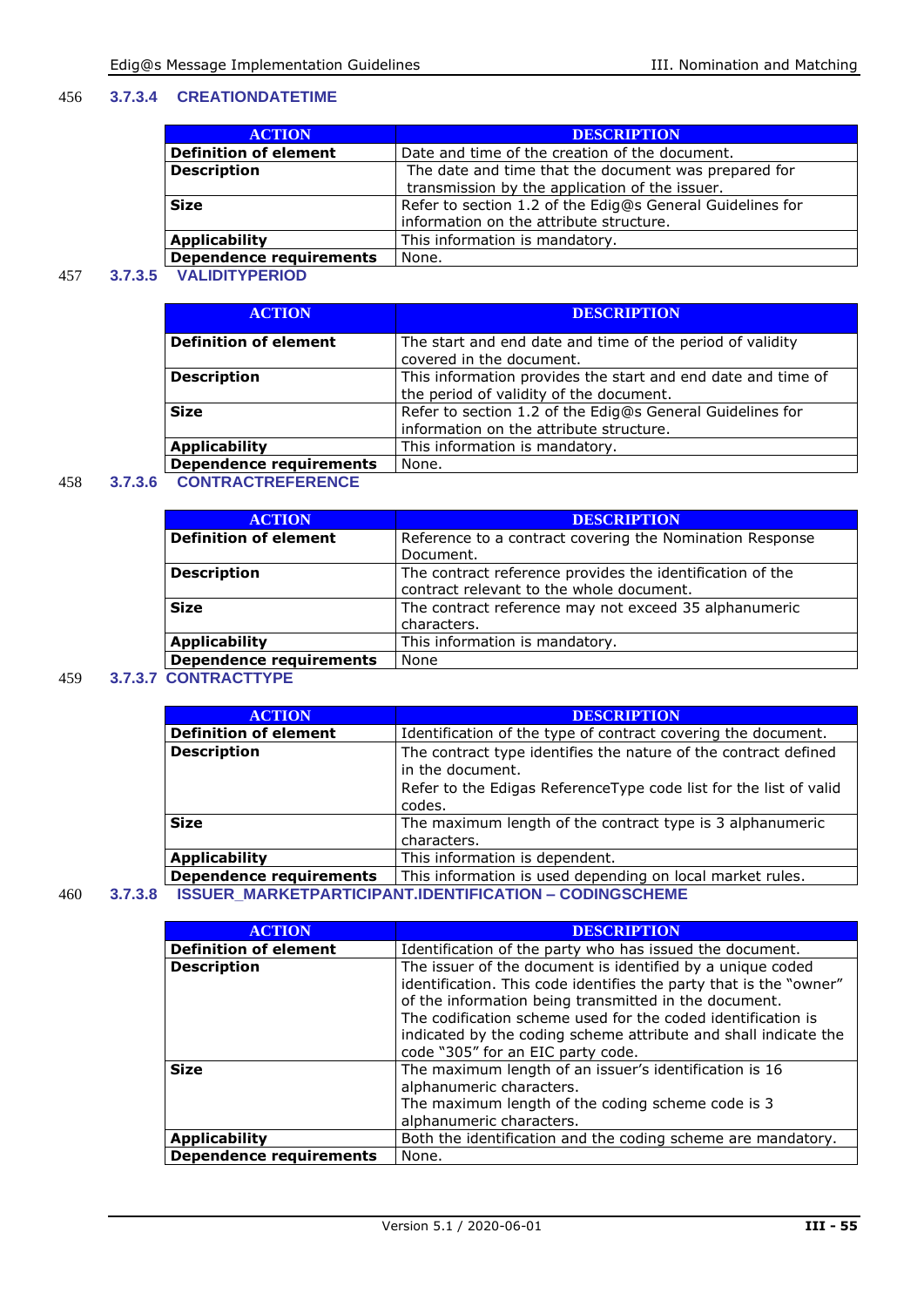#### 456 **3.7.3.4 CREATIONDATETIME**

| <b>ACTION</b>                  | <b>DESCRIPTION</b>                                        |
|--------------------------------|-----------------------------------------------------------|
| <b>Definition of element</b>   | Date and time of the creation of the document.            |
| <b>Description</b>             | The date and time that the document was prepared for      |
|                                | transmission by the application of the issuer.            |
| <b>Size</b>                    | Refer to section 1.2 of the Edig@s General Guidelines for |
|                                | information on the attribute structure.                   |
| <b>Applicability</b>           | This information is mandatory.                            |
| <b>Dependence requirements</b> | None.                                                     |

#### 457 **3.7.3.5 VALIDITYPERIOD**

| <b>ACTION</b>                  | <b>DESCRIPTION</b>                                           |
|--------------------------------|--------------------------------------------------------------|
| <b>Definition of element</b>   | The start and end date and time of the period of validity    |
|                                | covered in the document.                                     |
| <b>Description</b>             | This information provides the start and end date and time of |
|                                | the period of validity of the document.                      |
| <b>Size</b>                    | Refer to section 1.2 of the Edig@s General Guidelines for    |
|                                | information on the attribute structure.                      |
| <b>Applicability</b>           | This information is mandatory.                               |
| <b>Dependence requirements</b> | None.                                                        |

#### 458 **3.7.3.6 CONTRACTREFERENCE**

| <b>ACTION</b>                  | <b>DESCRIPTION</b>                                        |
|--------------------------------|-----------------------------------------------------------|
| <b>Definition of element</b>   | Reference to a contract covering the Nomination Response  |
|                                | Document.                                                 |
| <b>Description</b>             | The contract reference provides the identification of the |
|                                | contract relevant to the whole document.                  |
| <b>Size</b>                    | The contract reference may not exceed 35 alphanumeric     |
|                                | characters.                                               |
| <b>Applicability</b>           | This information is mandatory.                            |
| <b>Dependence requirements</b> | None                                                      |
|                                |                                                           |

#### 459 **3.7.3.7 CONTRACTTYPE**

| <b>ACTION</b>                  | <b>DESCRIPTION</b>                                                                                                                                                  |
|--------------------------------|---------------------------------------------------------------------------------------------------------------------------------------------------------------------|
| <b>Definition of element</b>   | Identification of the type of contract covering the document.                                                                                                       |
| <b>Description</b>             | The contract type identifies the nature of the contract defined<br>in the document.<br>Refer to the Edigas Reference Type code list for the list of valid<br>codes. |
| <b>Size</b>                    | The maximum length of the contract type is 3 alphanumeric<br>characters.                                                                                            |
| <b>Applicability</b>           | This information is dependent.                                                                                                                                      |
| <b>Dependence requirements</b> | This information is used depending on local market rules.                                                                                                           |
|                                |                                                                                                                                                                     |

#### 460 **3.7.3.8 ISSUER\_MARKETPARTICIPANT.IDENTIFICATION – CODINGSCHEME**

| <b>ACTION</b>                  | <b>DESCRIPTION</b>                                                                                                                                                                                                                                                                                                                                                |
|--------------------------------|-------------------------------------------------------------------------------------------------------------------------------------------------------------------------------------------------------------------------------------------------------------------------------------------------------------------------------------------------------------------|
| <b>Definition of element</b>   | Identification of the party who has issued the document.                                                                                                                                                                                                                                                                                                          |
| <b>Description</b>             | The issuer of the document is identified by a unique coded<br>identification. This code identifies the party that is the "owner"<br>of the information being transmitted in the document.<br>The codification scheme used for the coded identification is<br>indicated by the coding scheme attribute and shall indicate the<br>code "305" for an EIC party code. |
| <b>Size</b>                    | The maximum length of an issuer's identification is 16<br>alphanumeric characters.<br>The maximum length of the coding scheme code is 3<br>alphanumeric characters.                                                                                                                                                                                               |
| <b>Applicability</b>           | Both the identification and the coding scheme are mandatory.                                                                                                                                                                                                                                                                                                      |
| <b>Dependence requirements</b> | None.                                                                                                                                                                                                                                                                                                                                                             |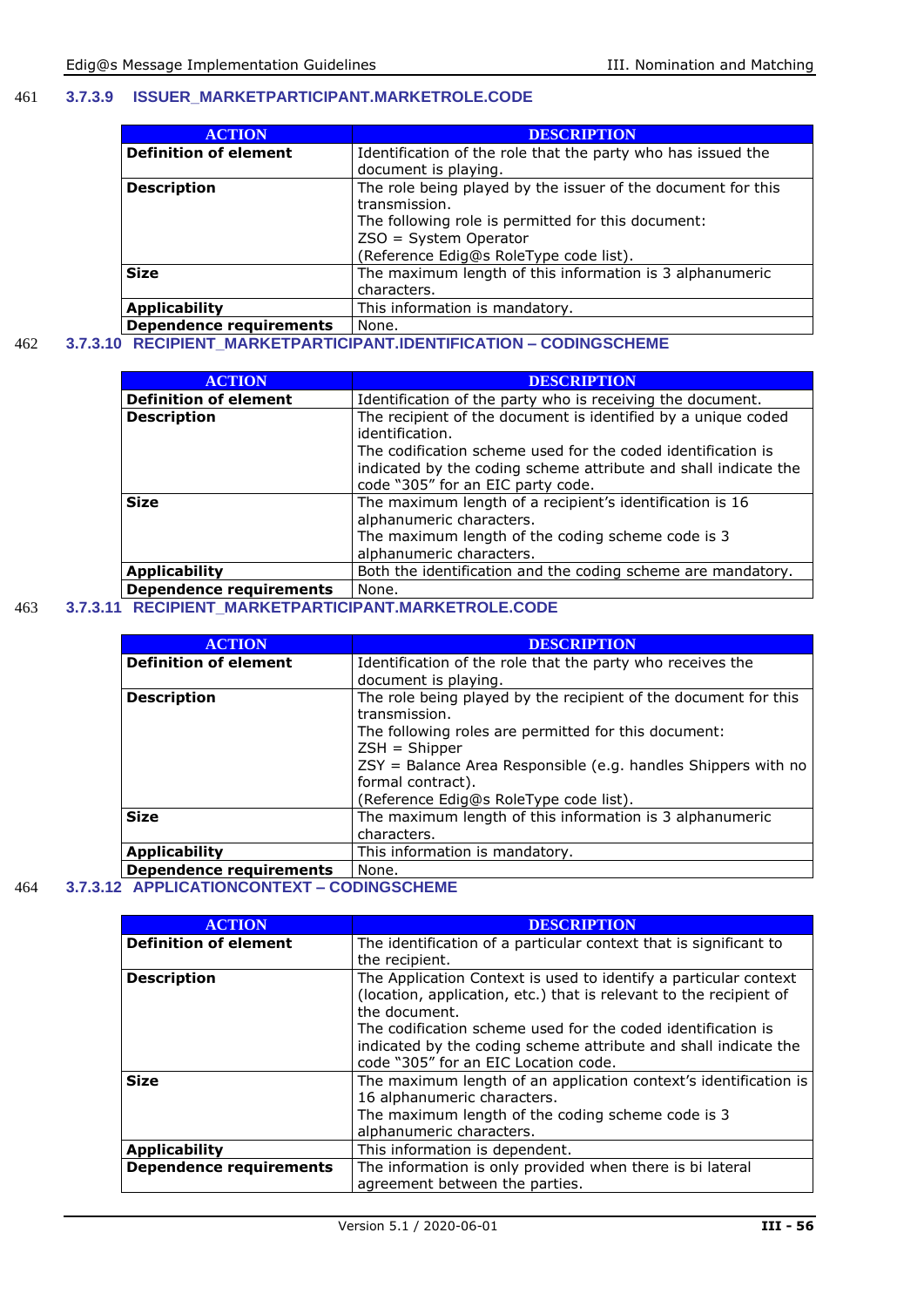#### 461 **3.7.3.9 ISSUER\_MARKETPARTICIPANT.MARKETROLE.CODE**

| <b>ACTION</b>                | <b>DESCRIPTION</b>                                           |
|------------------------------|--------------------------------------------------------------|
| <b>Definition of element</b> | Identification of the role that the party who has issued the |
|                              | document is playing.                                         |
| <b>Description</b>           | The role being played by the issuer of the document for this |
|                              | transmission.                                                |
|                              | The following role is permitted for this document:           |
|                              | $ZSO = System Operator$                                      |
|                              | (Reference Edig@s RoleType code list).                       |
| <b>Size</b>                  | The maximum length of this information is 3 alphanumeric     |
|                              | characters.                                                  |
| <b>Applicability</b>         | This information is mandatory.                               |
| Dependence requirements      | None.                                                        |

#### 462 **3.7.3.10 RECIPIENT\_MARKETPARTICIPANT.IDENTIFICATION – CODINGSCHEME**

| <b>ACTION</b>                  | <b>DESCRIPTION</b>                                                                                                                                                    |
|--------------------------------|-----------------------------------------------------------------------------------------------------------------------------------------------------------------------|
| <b>Definition of element</b>   | Identification of the party who is receiving the document.                                                                                                            |
| <b>Description</b>             | The recipient of the document is identified by a unique coded<br>identification.<br>The codification scheme used for the coded identification is                      |
|                                | indicated by the coding scheme attribute and shall indicate the<br>code "305" for an EIC party code.                                                                  |
| <b>Size</b>                    | The maximum length of a recipient's identification is 16<br>alphanumeric characters.<br>The maximum length of the coding scheme code is 3<br>alphanumeric characters. |
| <b>Applicability</b>           | Both the identification and the coding scheme are mandatory.                                                                                                          |
| <b>Dependence requirements</b> | None.                                                                                                                                                                 |

#### 463 **3.7.3.11 RECIPIENT\_MARKETPARTICIPANT.MARKETROLE.CODE**

| <b>ACTION</b>                | <b>DESCRIPTION</b>                                              |
|------------------------------|-----------------------------------------------------------------|
| <b>Definition of element</b> | Identification of the role that the party who receives the      |
|                              | document is playing.                                            |
| <b>Description</b>           | The role being played by the recipient of the document for this |
|                              | transmission.                                                   |
|                              | The following roles are permitted for this document:            |
|                              | $ZSH = Shipper$                                                 |
|                              | ZSY = Balance Area Responsible (e.g. handles Shippers with no   |
|                              | formal contract).                                               |
|                              | (Reference Edig@s RoleType code list).                          |
| <b>Size</b>                  | The maximum length of this information is 3 alphanumeric        |
|                              | characters.                                                     |
| <b>Applicability</b>         | This information is mandatory.                                  |
| Dependence requirements      | None.                                                           |

#### 464 **3.7.3.12 APPLICATIONCONTEXT – CODINGSCHEME**

| <b>ACTION</b>                  | <b>DESCRIPTION</b>                                                                                                                                                                                                                                                                                                                 |
|--------------------------------|------------------------------------------------------------------------------------------------------------------------------------------------------------------------------------------------------------------------------------------------------------------------------------------------------------------------------------|
| <b>Definition of element</b>   | The identification of a particular context that is significant to<br>the recipient.                                                                                                                                                                                                                                                |
| <b>Description</b>             | The Application Context is used to identify a particular context<br>(location, application, etc.) that is relevant to the recipient of<br>the document.<br>The codification scheme used for the coded identification is<br>indicated by the coding scheme attribute and shall indicate the<br>code "305" for an EIC Location code. |
| <b>Size</b>                    | The maximum length of an application context's identification is<br>16 alphanumeric characters.<br>The maximum length of the coding scheme code is 3<br>alphanumeric characters.                                                                                                                                                   |
| <b>Applicability</b>           | This information is dependent.                                                                                                                                                                                                                                                                                                     |
| <b>Dependence requirements</b> | The information is only provided when there is bi lateral<br>agreement between the parties.                                                                                                                                                                                                                                        |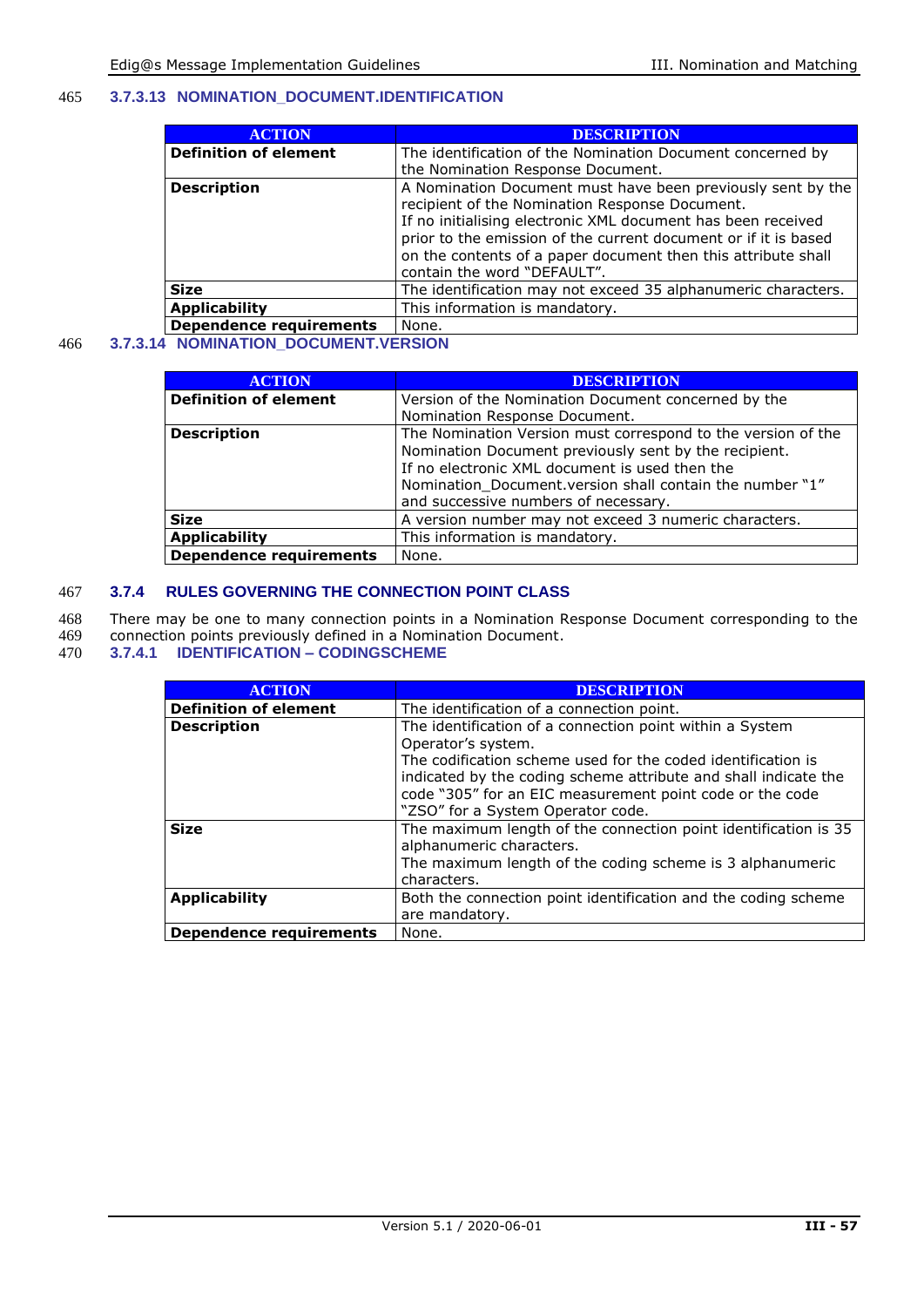#### 465 **3.7.3.13 NOMINATION\_DOCUMENT.IDENTIFICATION**

| <b>ACTION</b>                  | <b>DESCRIPTION</b>                                              |
|--------------------------------|-----------------------------------------------------------------|
| <b>Definition of element</b>   | The identification of the Nomination Document concerned by      |
|                                | the Nomination Response Document.                               |
| <b>Description</b>             | A Nomination Document must have been previously sent by the     |
|                                | recipient of the Nomination Response Document.                  |
|                                | If no initialising electronic XML document has been received    |
|                                | prior to the emission of the current document or if it is based |
|                                | on the contents of a paper document then this attribute shall   |
|                                | contain the word "DEFAULT".                                     |
| <b>Size</b>                    | The identification may not exceed 35 alphanumeric characters.   |
| <b>Applicability</b>           | This information is mandatory.                                  |
| <b>Dependence requirements</b> | None.                                                           |

#### 466 **3.7.3.14 NOMINATION\_DOCUMENT.VERSION**

| <b>ACTION</b>                  | <b>DESCRIPTION</b>                                                                                                                                                                                                                                                          |
|--------------------------------|-----------------------------------------------------------------------------------------------------------------------------------------------------------------------------------------------------------------------------------------------------------------------------|
| <b>Definition of element</b>   | Version of the Nomination Document concerned by the                                                                                                                                                                                                                         |
|                                | Nomination Response Document.                                                                                                                                                                                                                                               |
| <b>Description</b>             | The Nomination Version must correspond to the version of the<br>Nomination Document previously sent by the recipient.<br>If no electronic XML document is used then the<br>Nomination Document.version shall contain the number "1"<br>and successive numbers of necessary. |
| <b>Size</b>                    | A version number may not exceed 3 numeric characters.                                                                                                                                                                                                                       |
| <b>Applicability</b>           | This information is mandatory.                                                                                                                                                                                                                                              |
| <b>Dependence requirements</b> | None.                                                                                                                                                                                                                                                                       |

#### 467 **3.7.4 RULES GOVERNING THE CONNECTION POINT CLASS**

468 There may be one to many connection points in a Nomination Response Document corresponding to the 469 connection points previously defined in a Nomination Document.

- 469 connection points previously defined in a Nomination Document.
- 470 **3.7.4.1 IDENTIFICATION – CODINGSCHEME**

| <b>ACTION</b>                  | <b>DESCRIPTION</b>                                                                                                                                                                                                                                                                                                 |
|--------------------------------|--------------------------------------------------------------------------------------------------------------------------------------------------------------------------------------------------------------------------------------------------------------------------------------------------------------------|
| <b>Definition of element</b>   | The identification of a connection point.                                                                                                                                                                                                                                                                          |
| <b>Description</b>             | The identification of a connection point within a System<br>Operator's system.<br>The codification scheme used for the coded identification is<br>indicated by the coding scheme attribute and shall indicate the<br>code "305" for an EIC measurement point code or the code<br>"ZSO" for a System Operator code. |
| <b>Size</b>                    | The maximum length of the connection point identification is 35<br>alphanumeric characters.<br>The maximum length of the coding scheme is 3 alphanumeric<br>characters.                                                                                                                                            |
| <b>Applicability</b>           | Both the connection point identification and the coding scheme<br>are mandatory.                                                                                                                                                                                                                                   |
| <b>Dependence requirements</b> | None.                                                                                                                                                                                                                                                                                                              |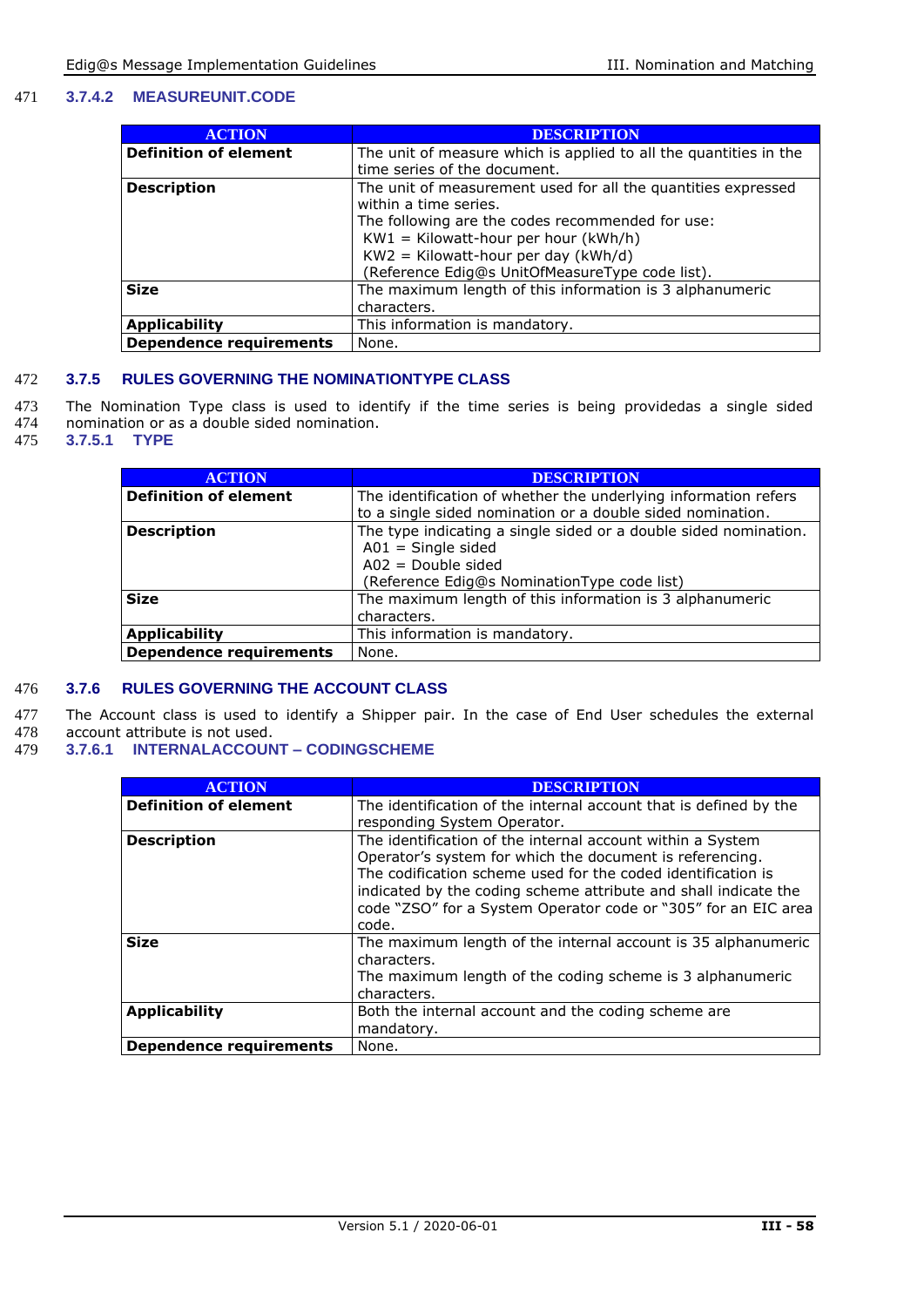#### 471 **3.7.4.2 MEASUREUNIT.CODE**

| <b>ACTION</b>                  | <b>DESCRIPTION</b>                                                |
|--------------------------------|-------------------------------------------------------------------|
| <b>Definition of element</b>   | The unit of measure which is applied to all the quantities in the |
|                                | time series of the document.                                      |
| <b>Description</b>             | The unit of measurement used for all the quantities expressed     |
|                                | within a time series.                                             |
|                                | The following are the codes recommended for use:                  |
|                                | $KW1 = Kilowatt-hour per hour (kWh/h)$                            |
|                                | $KW2 = Kilowatt-hour per day (kWh/d)$                             |
|                                | (Reference Edig@s UnitOfMeasureType code list).                   |
| <b>Size</b>                    | The maximum length of this information is 3 alphanumeric          |
|                                | characters.                                                       |
| <b>Applicability</b>           | This information is mandatory.                                    |
| <b>Dependence requirements</b> | None.                                                             |

#### 472 **3.7.5 RULES GOVERNING THE NOMINATIONTYPE CLASS**

- 473 The Nomination Type class is used to identify if the time series is being providedas a single sided 474 nomination or as a double sided nomination
- 474 nomination or as a double sided nomination.<br>475 3.7.5.1 TYPE
- $3.7.5.1$

| <b>ACTION</b>                  | <b>DESCRIPTION</b>                                                                                                                                                |
|--------------------------------|-------------------------------------------------------------------------------------------------------------------------------------------------------------------|
| <b>Definition of element</b>   | The identification of whether the underlying information refers<br>to a single sided nomination or a double sided nomination.                                     |
| <b>Description</b>             | The type indicating a single sided or a double sided nomination.<br>$A01 =$ Single sided<br>$A02 = Double \, side$<br>(Reference Edig@s NominationType code list) |
| <b>Size</b>                    | The maximum length of this information is 3 alphanumeric<br>characters.                                                                                           |
| <b>Applicability</b>           | This information is mandatory.                                                                                                                                    |
| <b>Dependence requirements</b> | None.                                                                                                                                                             |

#### 476 **3.7.6 RULES GOVERNING THE ACCOUNT CLASS**

477 The Account class is used to identify a Shipper pair. In the case of End User schedules the external 478 account attribute is not used. account attribute is not used.

479 **3.7.6.1 INTERNALACCOUNT – CODINGSCHEME**

| <b>ACTION</b>                  | <b>DESCRIPTION</b>                                                |
|--------------------------------|-------------------------------------------------------------------|
| <b>Definition of element</b>   | The identification of the internal account that is defined by the |
|                                | responding System Operator.                                       |
| <b>Description</b>             | The identification of the internal account within a System        |
|                                | Operator's system for which the document is referencing.          |
|                                | The codification scheme used for the coded identification is      |
|                                | indicated by the coding scheme attribute and shall indicate the   |
|                                | code "ZSO" for a System Operator code or "305" for an EIC area    |
|                                | code.                                                             |
| <b>Size</b>                    | The maximum length of the internal account is 35 alphanumeric     |
|                                | characters.                                                       |
|                                | The maximum length of the coding scheme is 3 alphanumeric         |
|                                | characters.                                                       |
| <b>Applicability</b>           | Both the internal account and the coding scheme are               |
|                                | mandatory.                                                        |
| <b>Dependence requirements</b> | None.                                                             |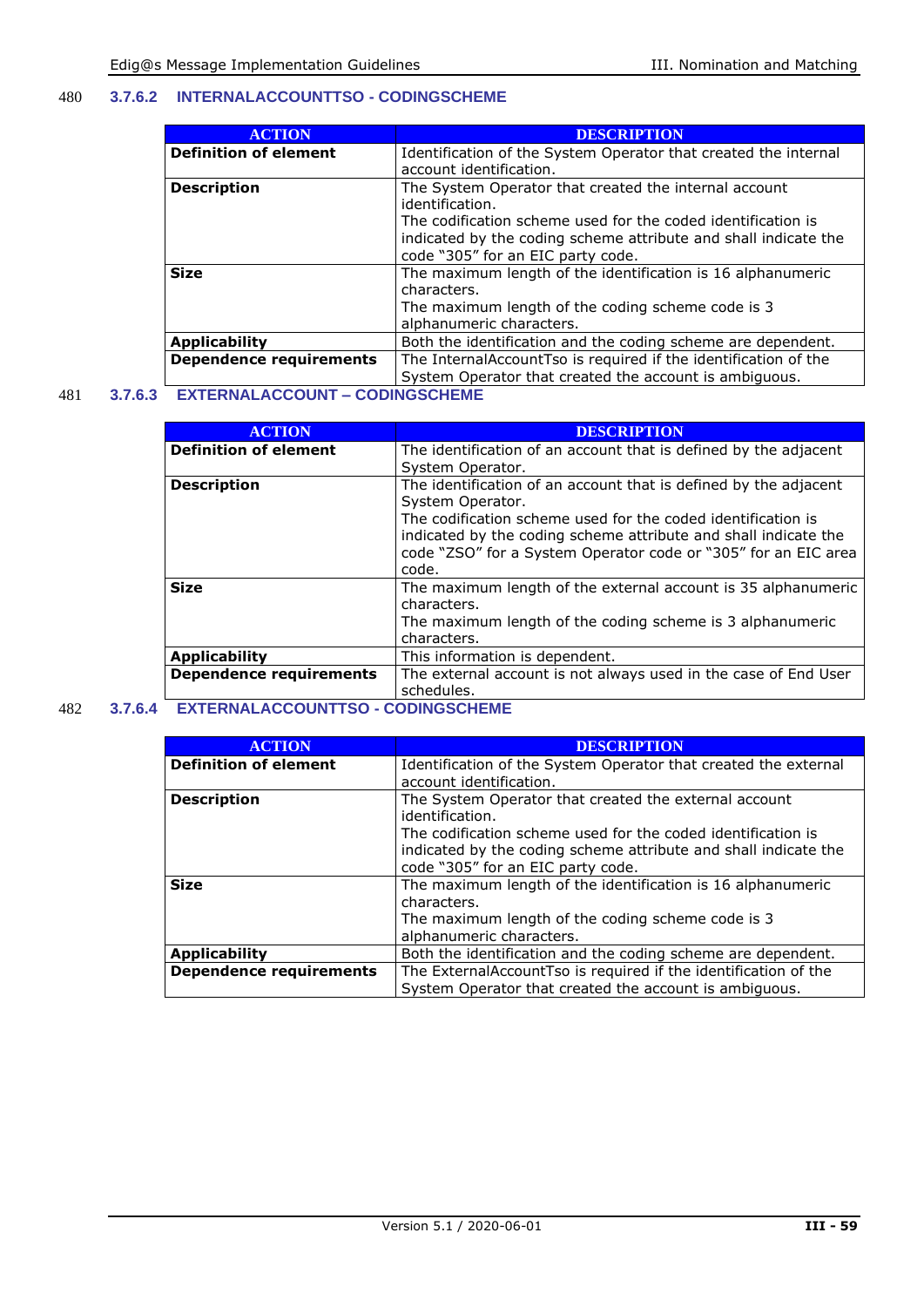#### 480 **3.7.6.2 INTERNALACCOUNTTSO - CODINGSCHEME**

| <b>ACTION</b>                  | <b>DESCRIPTION</b>                                              |
|--------------------------------|-----------------------------------------------------------------|
| <b>Definition of element</b>   | Identification of the System Operator that created the internal |
|                                | account identification.                                         |
| <b>Description</b>             | The System Operator that created the internal account           |
|                                | identification.                                                 |
|                                | The codification scheme used for the coded identification is    |
|                                | indicated by the coding scheme attribute and shall indicate the |
|                                | code "305" for an EIC party code.                               |
| <b>Size</b>                    | The maximum length of the identification is 16 alphanumeric     |
|                                | characters.                                                     |
|                                | The maximum length of the coding scheme code is 3               |
|                                | alphanumeric characters.                                        |
| <b>Applicability</b>           | Both the identification and the coding scheme are dependent.    |
| <b>Dependence requirements</b> | The InternalAccountTso is required if the identification of the |
|                                | System Operator that created the account is ambiguous.          |

481 **3.7.6.3 EXTERNALACCOUNT – CODINGSCHEME**

| <b>ACTION</b>                  | <b>DESCRIPTION</b>                                               |
|--------------------------------|------------------------------------------------------------------|
| <b>Definition of element</b>   | The identification of an account that is defined by the adjacent |
|                                | System Operator.                                                 |
| <b>Description</b>             | The identification of an account that is defined by the adjacent |
|                                | System Operator.                                                 |
|                                | The codification scheme used for the coded identification is     |
|                                | indicated by the coding scheme attribute and shall indicate the  |
|                                | code "ZSO" for a System Operator code or "305" for an EIC area   |
|                                | code.                                                            |
| <b>Size</b>                    | The maximum length of the external account is 35 alphanumeric    |
|                                | characters.                                                      |
|                                | The maximum length of the coding scheme is 3 alphanumeric        |
|                                | characters.                                                      |
| <b>Applicability</b>           | This information is dependent.                                   |
| <b>Dependence requirements</b> | The external account is not always used in the case of End User  |
|                                | schedules.                                                       |

#### 482 **3.7.6.4 EXTERNALACCOUNTTSO - CODINGSCHEME**

| <b>ACTION</b>                  | <b>DESCRIPTION</b>                                              |  |
|--------------------------------|-----------------------------------------------------------------|--|
| <b>Definition of element</b>   | Identification of the System Operator that created the external |  |
|                                | account identification.                                         |  |
| <b>Description</b>             | The System Operator that created the external account           |  |
|                                | identification.                                                 |  |
|                                | The codification scheme used for the coded identification is    |  |
|                                | indicated by the coding scheme attribute and shall indicate the |  |
|                                | code "305" for an EIC party code.                               |  |
| <b>Size</b>                    | The maximum length of the identification is 16 alphanumeric     |  |
|                                | characters.                                                     |  |
|                                | The maximum length of the coding scheme code is 3               |  |
|                                | alphanumeric characters.                                        |  |
| <b>Applicability</b>           | Both the identification and the coding scheme are dependent.    |  |
| <b>Dependence requirements</b> | The ExternalAccountTso is required if the identification of the |  |
|                                | System Operator that created the account is ambiguous.          |  |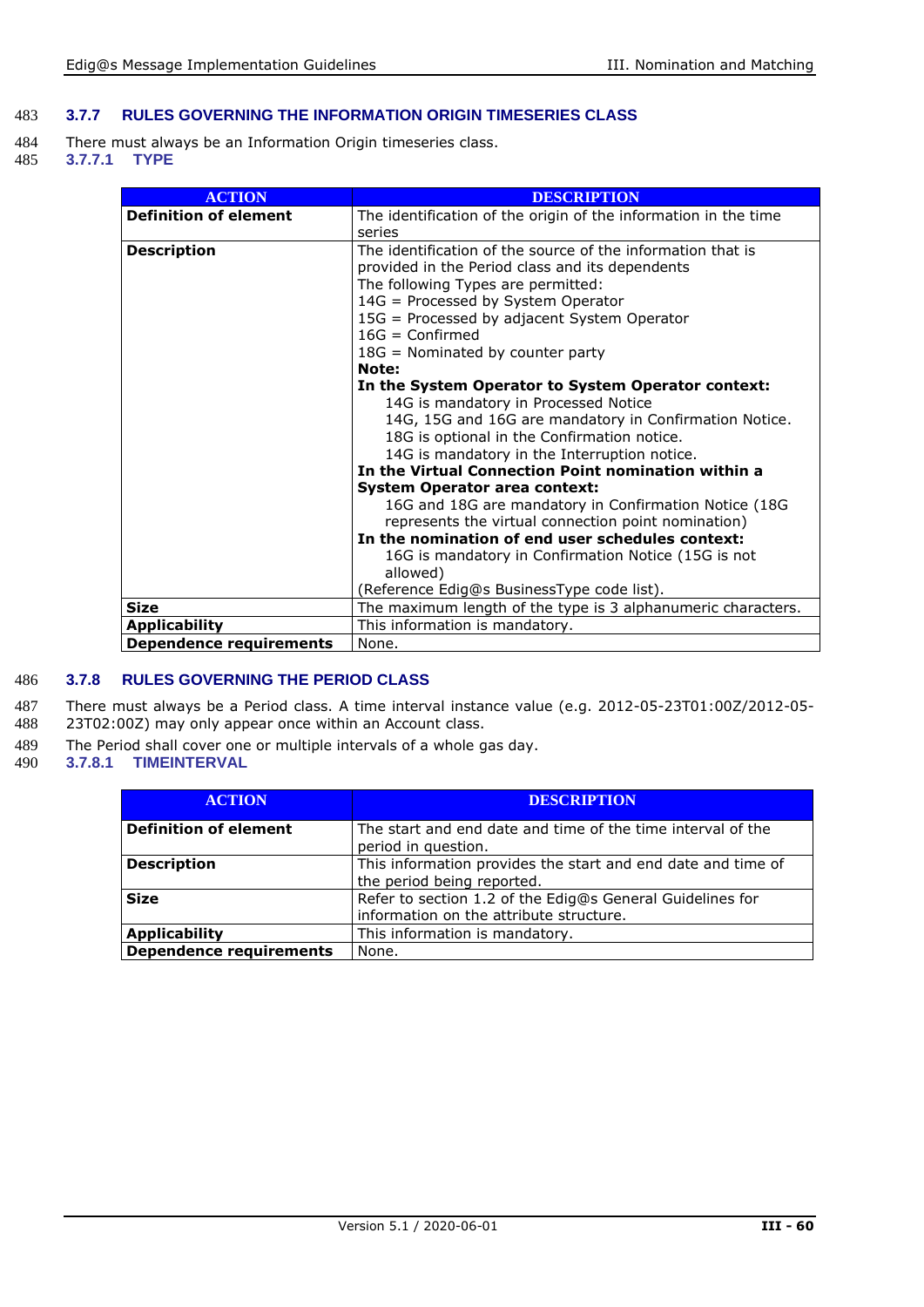#### 483 **3.7.7 RULES GOVERNING THE INFORMATION ORIGIN TIMESERIES CLASS**

- 484 There must always be an Information Origin timeseries class.<br>485 3.7.7.1 TYPE
- 485 **3.7.7.1 TYPE**

| <b>ACTION</b>                  | <b>DESCRIPTION</b>                                                                                                                                                                                                                                                                                                                                                                                                                                                                                                                                                                                                                                                                                                                                                                                                                                                                                                                                     |  |
|--------------------------------|--------------------------------------------------------------------------------------------------------------------------------------------------------------------------------------------------------------------------------------------------------------------------------------------------------------------------------------------------------------------------------------------------------------------------------------------------------------------------------------------------------------------------------------------------------------------------------------------------------------------------------------------------------------------------------------------------------------------------------------------------------------------------------------------------------------------------------------------------------------------------------------------------------------------------------------------------------|--|
| <b>Definition of element</b>   | The identification of the origin of the information in the time<br>series                                                                                                                                                                                                                                                                                                                                                                                                                                                                                                                                                                                                                                                                                                                                                                                                                                                                              |  |
| <b>Description</b>             | The identification of the source of the information that is<br>provided in the Period class and its dependents<br>The following Types are permitted:<br>14G = Processed by System Operator<br>15G = Processed by adjacent System Operator<br>$16G =$ Confirmed<br>18G = Nominated by counter party<br>Note:<br>In the System Operator to System Operator context:<br>14G is mandatory in Processed Notice<br>14G, 15G and 16G are mandatory in Confirmation Notice.<br>18G is optional in the Confirmation notice.<br>14G is mandatory in the Interruption notice.<br>In the Virtual Connection Point nomination within a<br><b>System Operator area context:</b><br>16G and 18G are mandatory in Confirmation Notice (18G<br>represents the virtual connection point nomination)<br>In the nomination of end user schedules context:<br>16G is mandatory in Confirmation Notice (15G is not<br>allowed)<br>(Reference Edig@s BusinessType code list). |  |
| <b>Size</b>                    | The maximum length of the type is 3 alphanumeric characters.                                                                                                                                                                                                                                                                                                                                                                                                                                                                                                                                                                                                                                                                                                                                                                                                                                                                                           |  |
| <b>Applicability</b>           | This information is mandatory.                                                                                                                                                                                                                                                                                                                                                                                                                                                                                                                                                                                                                                                                                                                                                                                                                                                                                                                         |  |
| <b>Dependence requirements</b> | None.                                                                                                                                                                                                                                                                                                                                                                                                                                                                                                                                                                                                                                                                                                                                                                                                                                                                                                                                                  |  |

#### 486 **3.7.8 RULES GOVERNING THE PERIOD CLASS**

487 There must always be a Period class. A time interval instance value (e.g. 2012-05-23T01:00Z/2012-05-488 23T02:00Z) may only appear once within an Account class. 23T02:00Z) may only appear once within an Account class.

- 489 The Period shall cover one or multiple intervals of a whole gas day.<br>490 3.7.8.1 TIMEINTERVAL
- 490 **3.7.8.1 TIMEINTERVAL**

| <b>ACTION</b>                  | <b>DESCRIPTION</b>                                                                                   |  |  |
|--------------------------------|------------------------------------------------------------------------------------------------------|--|--|
| <b>Definition of element</b>   | The start and end date and time of the time interval of the<br>period in question.                   |  |  |
| <b>Description</b>             | This information provides the start and end date and time of<br>the period being reported.           |  |  |
| <b>Size</b>                    | Refer to section 1.2 of the Edig@s General Guidelines for<br>information on the attribute structure. |  |  |
| <b>Applicability</b>           | This information is mandatory.                                                                       |  |  |
| <b>Dependence requirements</b> | None.                                                                                                |  |  |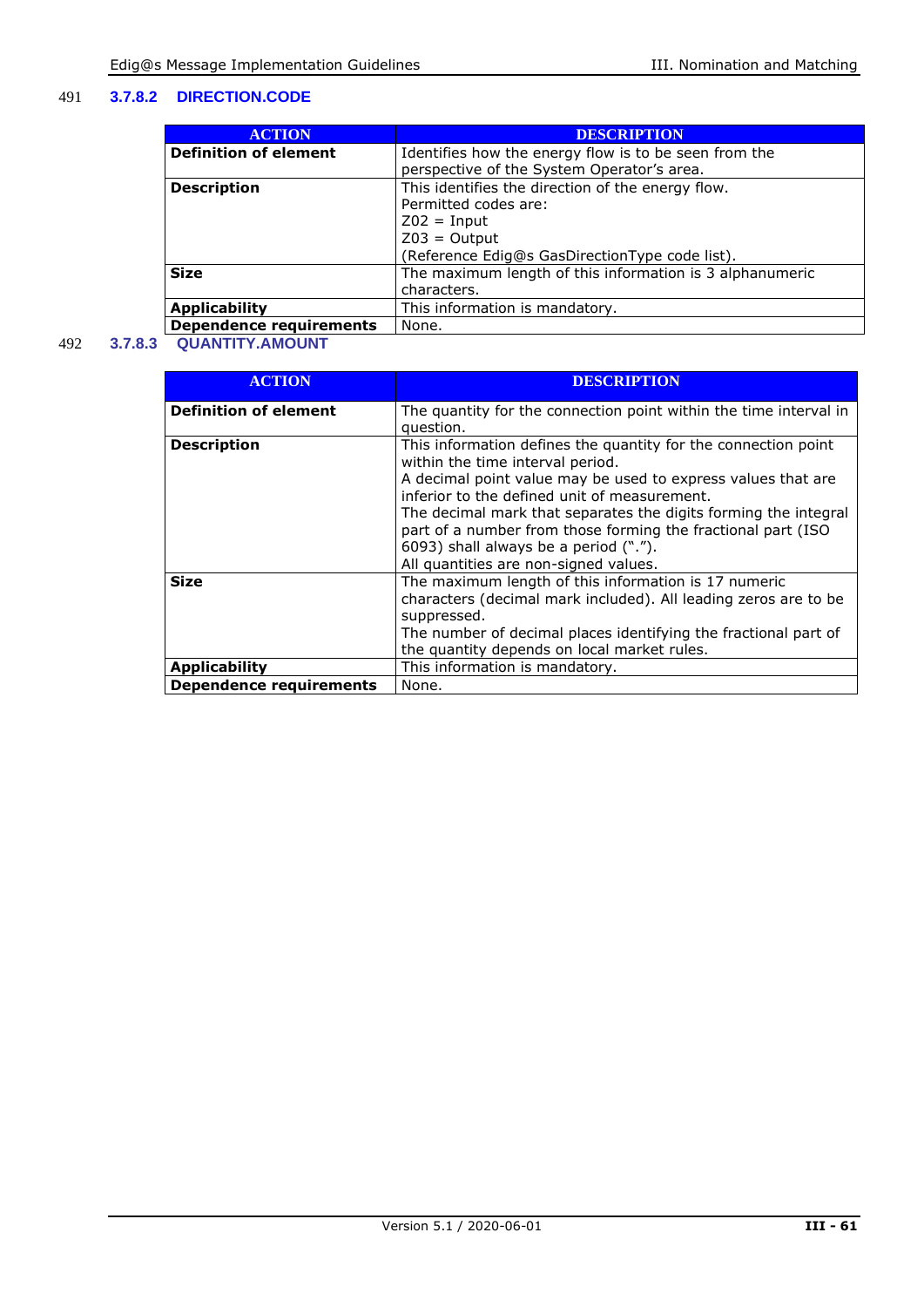#### 491 **3.7.8.2 DIRECTION.CODE**

| <b>ACTION</b>                  | <b>DESCRIPTION</b>                                       |  |
|--------------------------------|----------------------------------------------------------|--|
| <b>Definition of element</b>   | Identifies how the energy flow is to be seen from the    |  |
|                                | perspective of the System Operator's area.               |  |
| <b>Description</b>             | This identifies the direction of the energy flow.        |  |
|                                | Permitted codes are:                                     |  |
|                                | $Z02 = Input$                                            |  |
|                                | $Z03 = Output$                                           |  |
|                                | (Reference Edig@s GasDirectionType code list).           |  |
| <b>Size</b>                    | The maximum length of this information is 3 alphanumeric |  |
|                                | characters.                                              |  |
| <b>Applicability</b>           | This information is mandatory.                           |  |
| <b>Dependence requirements</b> | None.                                                    |  |

#### 492 **3.7.8.3 QUANTITY.AMOUNT**

| <b>ACTION</b>                  | <b>DESCRIPTION</b>                                                |
|--------------------------------|-------------------------------------------------------------------|
|                                |                                                                   |
| <b>Definition of element</b>   | The quantity for the connection point within the time interval in |
|                                | question.                                                         |
| <b>Description</b>             | This information defines the quantity for the connection point    |
|                                | within the time interval period.                                  |
|                                | A decimal point value may be used to express values that are      |
|                                | inferior to the defined unit of measurement.                      |
|                                | The decimal mark that separates the digits forming the integral   |
|                                |                                                                   |
|                                | part of a number from those forming the fractional part (ISO      |
|                                | 6093) shall always be a period (".").                             |
|                                | All quantities are non-signed values.                             |
| <b>Size</b>                    | The maximum length of this information is 17 numeric              |
|                                | characters (decimal mark included). All leading zeros are to be   |
|                                | suppressed.                                                       |
|                                | The number of decimal places identifying the fractional part of   |
|                                | the quantity depends on local market rules.                       |
|                                |                                                                   |
| <b>Applicability</b>           | This information is mandatory.                                    |
| <b>Dependence requirements</b> | None.                                                             |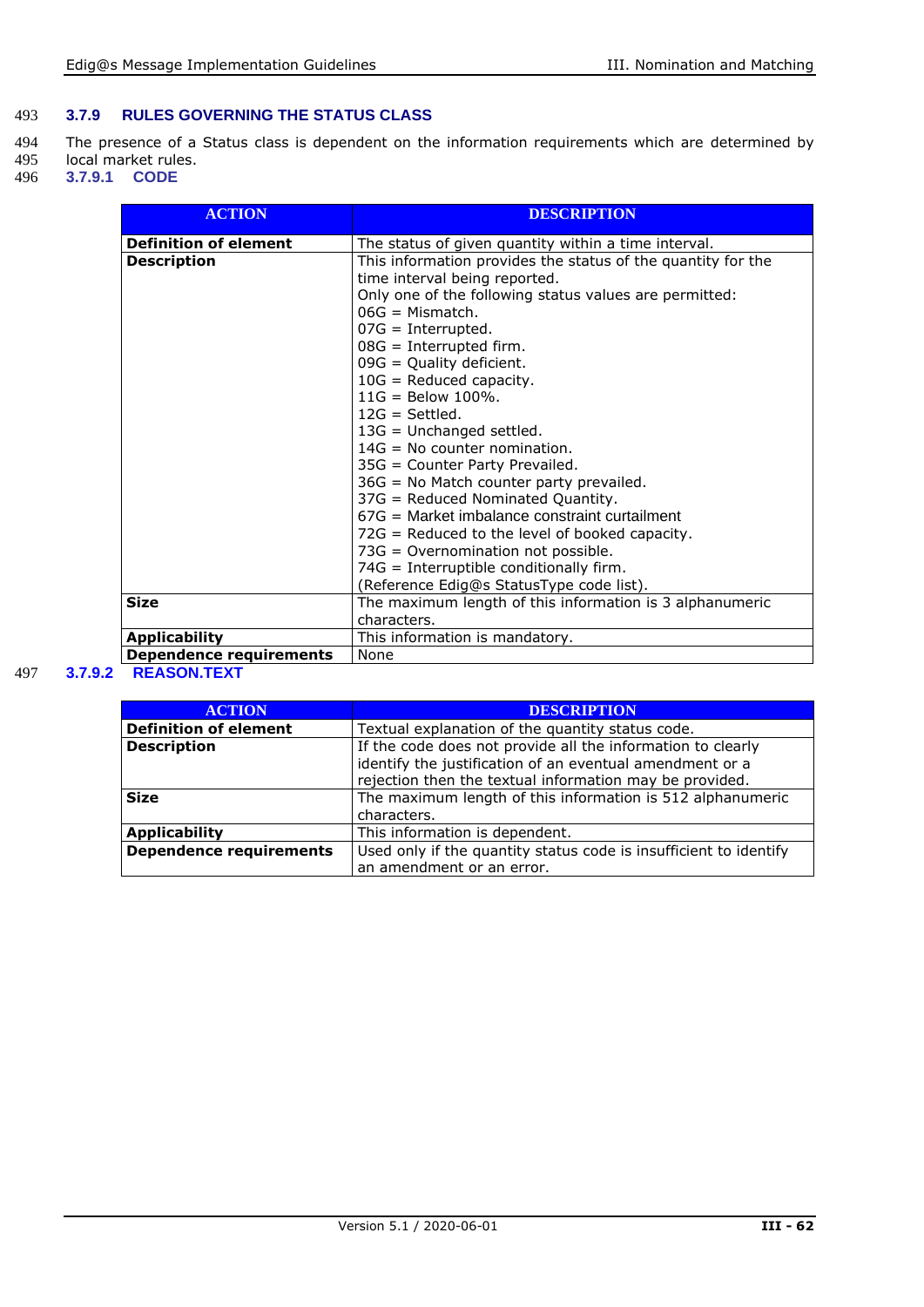#### 493 **3.7.9 RULES GOVERNING THE STATUS CLASS**

494 The presence of a Status class is dependent on the information requirements which are determined by 495 local market rules. 495 local market rules.<br>496 **3.7.9.1 CODE** 

496 **3.7.9.1 CODE**

| <b>ACTION</b>                  | <b>DESCRIPTION</b>                                                                                                                                                                                                                                                                                                                                                                                                                                            |  |  |
|--------------------------------|---------------------------------------------------------------------------------------------------------------------------------------------------------------------------------------------------------------------------------------------------------------------------------------------------------------------------------------------------------------------------------------------------------------------------------------------------------------|--|--|
| <b>Definition of element</b>   | The status of given quantity within a time interval.                                                                                                                                                                                                                                                                                                                                                                                                          |  |  |
| <b>Description</b>             | This information provides the status of the quantity for the<br>time interval being reported.<br>Only one of the following status values are permitted:<br>$06G =$ Mismatch.<br>$07G =$ Interrupted.<br>$08G =$ Interrupted firm.<br>$09G =$ Quality deficient.<br>$10G$ = Reduced capacity.                                                                                                                                                                  |  |  |
|                                | $11G =$ Below 100%.<br>$12G = Settled.$<br>$13G =$ Unchanged settled.<br>$14G = No$ counter nomination.<br>35G = Counter Party Prevailed.<br>$36G$ = No Match counter party prevailed.<br>37G = Reduced Nominated Quantity.<br>67G = Market imbalance constraint curtailment<br>$72G$ = Reduced to the level of booked capacity.<br>73G = Overnomination not possible.<br>74G = Interruptible conditionally firm.<br>(Reference Edig@s StatusType code list). |  |  |
| <b>Size</b>                    | The maximum length of this information is 3 alphanumeric<br>characters.                                                                                                                                                                                                                                                                                                                                                                                       |  |  |
| <b>Applicability</b>           | This information is mandatory.                                                                                                                                                                                                                                                                                                                                                                                                                                |  |  |
| <b>Dependence requirements</b> | None                                                                                                                                                                                                                                                                                                                                                                                                                                                          |  |  |
| BEAGAN TEVT                    |                                                                                                                                                                                                                                                                                                                                                                                                                                                               |  |  |

#### 497 **3.7.9.2 REASON.TEXT**

| <b>ACTION</b>                  | <b>DESCRIPTION</b>                                                |  |  |  |
|--------------------------------|-------------------------------------------------------------------|--|--|--|
| <b>Definition of element</b>   | Textual explanation of the quantity status code.                  |  |  |  |
| <b>Description</b>             | If the code does not provide all the information to clearly       |  |  |  |
|                                | identify the justification of an eventual amendment or a          |  |  |  |
|                                | rejection then the textual information may be provided.           |  |  |  |
| <b>Size</b>                    | The maximum length of this information is 512 alphanumeric        |  |  |  |
|                                | characters.                                                       |  |  |  |
| <b>Applicability</b>           | This information is dependent.                                    |  |  |  |
| <b>Dependence requirements</b> | Used only if the quantity status code is insufficient to identify |  |  |  |
|                                | an amendment or an error.                                         |  |  |  |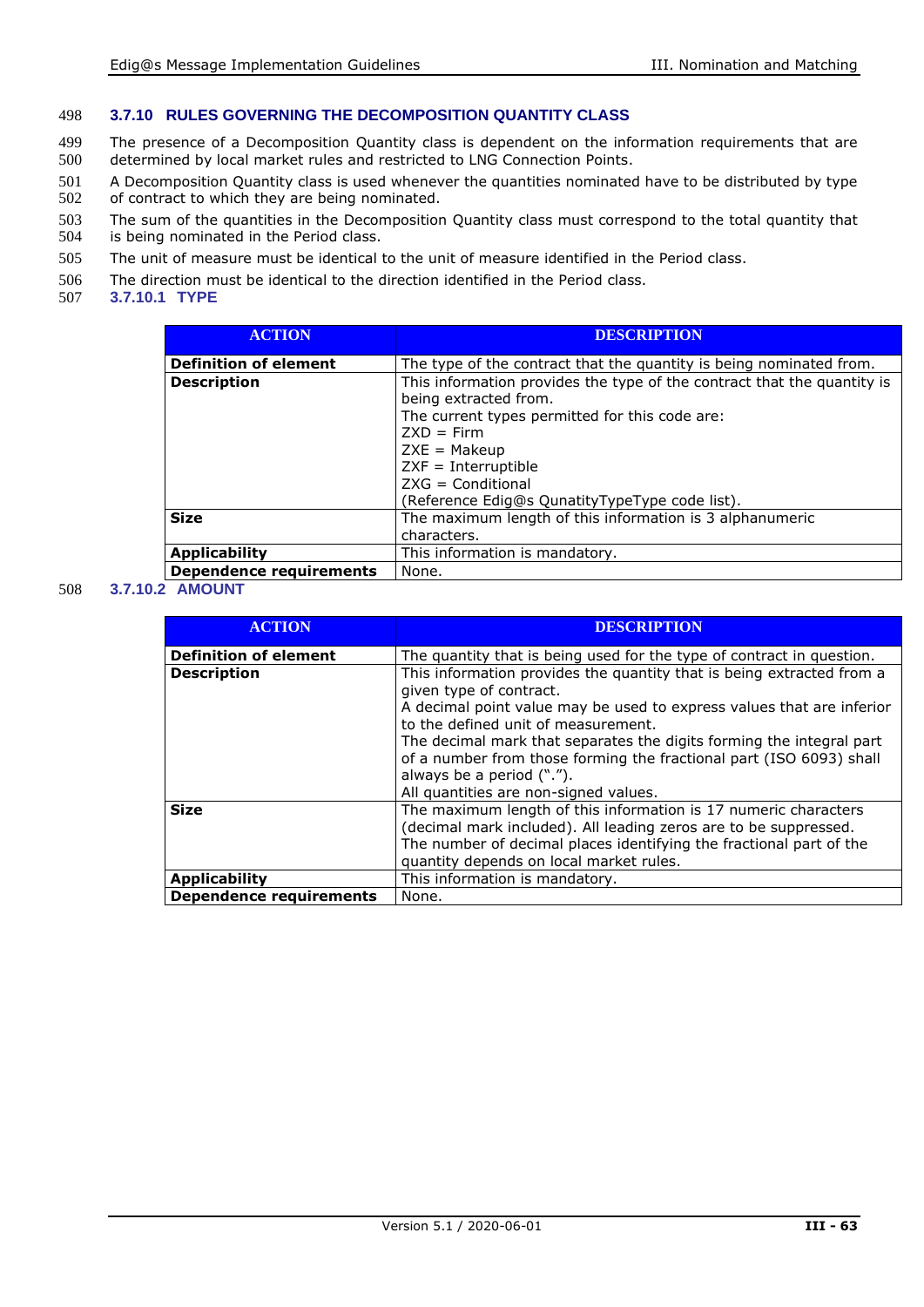#### 498 **3.7.10 RULES GOVERNING THE DECOMPOSITION QUANTITY CLASS**

- 499 The presence of a Decomposition Quantity class is dependent on the information requirements that are 500 determined by local market rules and restricted to LNG Connection Points.
- 501 A Decomposition Quantity class is used whenever the quantities nominated have to be distributed by type<br>502 of contract to which they are being nominated. of contract to which they are being nominated.
- 503 The sum of the quantities in the Decomposition Quantity class must correspond to the total quantity that 504 is being nominated in the Period class. is being nominated in the Period class.
- 505 The unit of measure must be identical to the unit of measure identified in the Period class.
- 506 The direction must be identical to the direction identified in the Period class.<br>507 3.7.10.1 TYPE
- 507 **3.7.10.1 TYPE**

| <b>ACTION</b>                  | <b>DESCRIPTION</b>                                                                                                                                                                                                                                                                     |  |  |
|--------------------------------|----------------------------------------------------------------------------------------------------------------------------------------------------------------------------------------------------------------------------------------------------------------------------------------|--|--|
| <b>Definition of element</b>   | The type of the contract that the quantity is being nominated from.                                                                                                                                                                                                                    |  |  |
| <b>Description</b>             | This information provides the type of the contract that the quantity is<br>being extracted from.<br>The current types permitted for this code are:<br>$7XD = Firm$<br>$ZXE = Makeup$<br>$ZXF = Interruptible$<br>$ZXG =$ Conditional<br>(Reference Edig@s QunatityTypeType code list). |  |  |
| <b>Size</b>                    | The maximum length of this information is 3 alphanumeric<br>characters.                                                                                                                                                                                                                |  |  |
| <b>Applicability</b>           | This information is mandatory.                                                                                                                                                                                                                                                         |  |  |
| <b>Dependence requirements</b> | None.                                                                                                                                                                                                                                                                                  |  |  |

#### 508 **3.7.10.2 AMOUNT**

| <b>ACTION</b>                  | <b>DESCRIPTION</b>                                                                                                                                                                                                                                                                                                                                                                                                                    |  |
|--------------------------------|---------------------------------------------------------------------------------------------------------------------------------------------------------------------------------------------------------------------------------------------------------------------------------------------------------------------------------------------------------------------------------------------------------------------------------------|--|
| <b>Definition of element</b>   | The quantity that is being used for the type of contract in question.                                                                                                                                                                                                                                                                                                                                                                 |  |
| <b>Description</b>             | This information provides the quantity that is being extracted from a<br>given type of contract.<br>A decimal point value may be used to express values that are inferior<br>to the defined unit of measurement.<br>The decimal mark that separates the digits forming the integral part<br>of a number from those forming the fractional part (ISO 6093) shall<br>always be a period (".").<br>All quantities are non-signed values. |  |
| <b>Size</b>                    | The maximum length of this information is 17 numeric characters<br>(decimal mark included). All leading zeros are to be suppressed.<br>The number of decimal places identifying the fractional part of the<br>quantity depends on local market rules.                                                                                                                                                                                 |  |
| <b>Applicability</b>           | This information is mandatory.                                                                                                                                                                                                                                                                                                                                                                                                        |  |
| <b>Dependence requirements</b> | None.                                                                                                                                                                                                                                                                                                                                                                                                                                 |  |